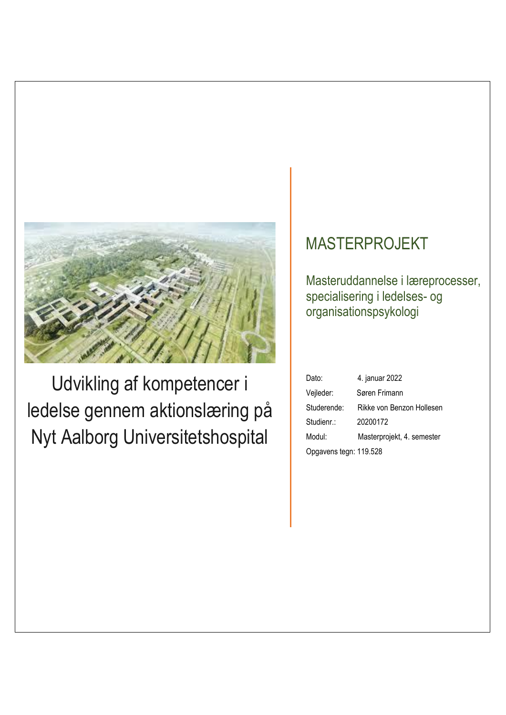

Udvikling af kompetencer i 20200172 ledelse gennem aktionslæring på Nyt Aalborg Universitetshospital

# **MASTERPROJEKT**

**Masteruddannelse i læreprocesser,** specialisering i ledelses- og organisationspsykologi

|   | Dato:                  | 4. januar 2022             |
|---|------------------------|----------------------------|
|   | Vejleder:              | Søren Frimann              |
| å | Studerende:            | Rikke von Benzon Hollesen  |
|   | Studienr.:             | 20200172                   |
|   | Modul:                 | Masterprojekt, 4. semester |
|   | Opgavens tegn: 119.528 |                            |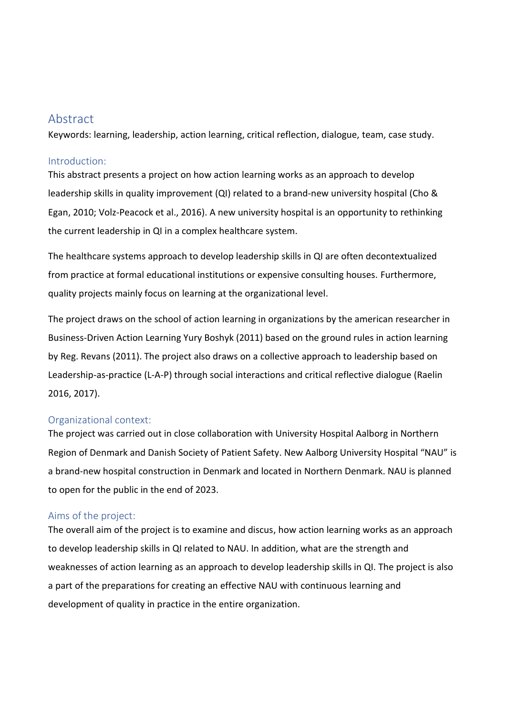# Abstract

Keywords: learning, leadership, action learning, critical reflection, dialogue, team, case study.

### Introduction:

This abstract presents a project on how action learning works as an approach to develop leadership skills in quality improvement (QI) related to a brand-new university hospital (Cho & Egan, 2010; Volz-Peacock et al., 2016). A new university hospital is an opportunity to rethinking the current leadership in QI in a complex healthcare system.

The healthcare systems approach to develop leadership skills in QI are often decontextualized from practice at formal educational institutions or expensive consulting houses. Furthermore, quality projects mainly focus on learning at the organizational level.

The project draws on the school of action learning in organizations by the american researcher in Business-Driven Action Learning Yury Boshyk (2011) based on the ground rules in action learning by Reg. Revans (2011). The project also draws on a collective approach to leadership based on Leadership-as-practice (L-A-P) through social interactions and critical reflective dialogue (Raelin 2016, 2017).

# Organizational context:

The project was carried out in close collaboration with University Hospital Aalborg in Northern Region of Denmark and Danish Society of Patient Safety. New Aalborg University Hospital "NAU" is a brand-new hospital construction in Denmark and located in Northern Denmark. NAU is planned to open for the public in the end of 2023.

# Aims of the project:

The overall aim of the project is to examine and discus, how action learning works as an approach to develop leadership skills in QI related to NAU. In addition, what are the strength and weaknesses of action learning as an approach to develop leadership skills in QI. The project is also a part of the preparations for creating an effective NAU with continuous learning and development of quality in practice in the entire organization.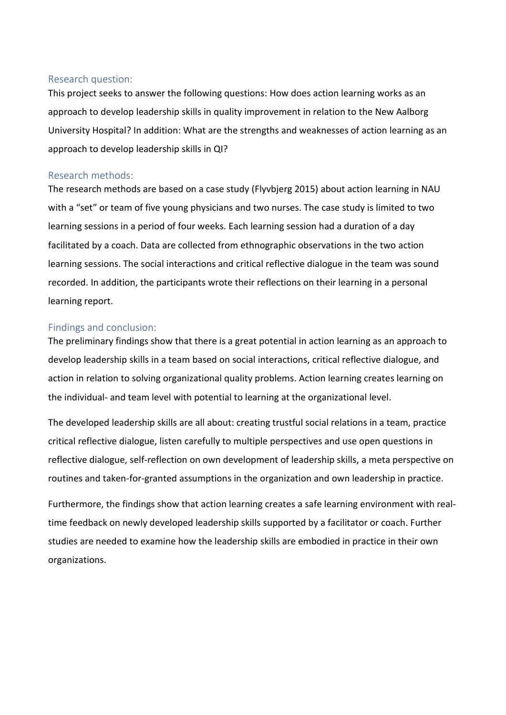#### Research question:

This project seeks to answer the following questions: How does action learning works as an approach to develop leadership skills in quality improvement in relation to the New Aalborg University Hospital? In addition: What are the strengths and weaknesses of action learning as an approach to develop leadership skills in QI?

#### Research methods:

The research methods are based on a case study (Flyvbjerg 2015) about action learning in NAU with a "set" or team of five young physicians and two nurses. The case study is limited to two learning sessions in a period of four weeks. Each learning session had a duration of a day facilitated by a coach. Data are collected from ethnographic observations in the two action learning sessions. The social interactions and critical reflective dialogue in the team was sound recorded. In addition, the participants wrote their reflections on their learning in a personal learning report.

### Findings and conclusion:

The preliminary findings show that there is a great potential in action learning as an approach to develop leadership skills in a team based on social interactions, critical reflective dialogue, and action in relation to solving organizational quality problems. Action learning creates learning on the individual- and team level with potential to learning at the organizational level.

The developed leadership skills are all about: creating trustful social relations in a team, practice critical reflective dialogue, listen carefully to multiple perspectives and use open questions in reflective dialogue, self-reflection on own development of leadership skills, a meta perspective on routines and taken-for-granted assumptions in the organization and own leadership in practice.

Furthermore, the findings show that action learning creates a safe learning environment with realtime feedback on newly developed leadership skills supported by a facilitator or coach. Further studies are needed to examine how the leadership skills are embodied in practice in their own organizations.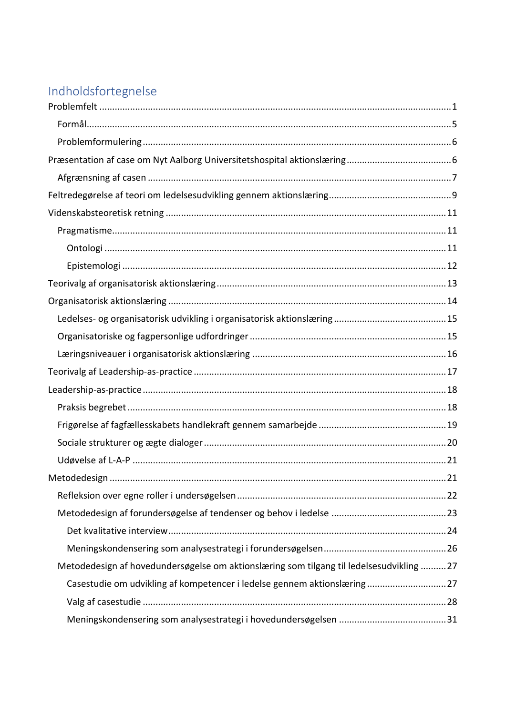# Indholdsfortegnelse

| Metodedesign af hovedundersøgelse om aktionslæring som tilgang til ledelsesudvikling 27 |
|-----------------------------------------------------------------------------------------|
| Casestudie om udvikling af kompetencer i ledelse gennem aktionslæring 27                |
|                                                                                         |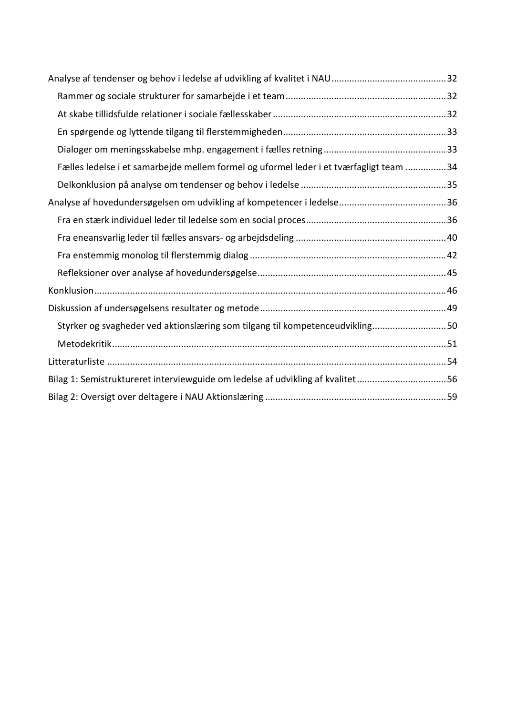| Fælles ledelse i et samarbejde mellem formel og uformel leder i et tværfagligt team 34 |  |
|----------------------------------------------------------------------------------------|--|
|                                                                                        |  |
|                                                                                        |  |
|                                                                                        |  |
|                                                                                        |  |
|                                                                                        |  |
|                                                                                        |  |
|                                                                                        |  |
|                                                                                        |  |
| Styrker og svagheder ved aktionslæring som tilgang til kompetenceudvikling50           |  |
|                                                                                        |  |
|                                                                                        |  |
| Bilag 1: Semistruktureret interviewguide om ledelse af udvikling af kvalitet56         |  |
|                                                                                        |  |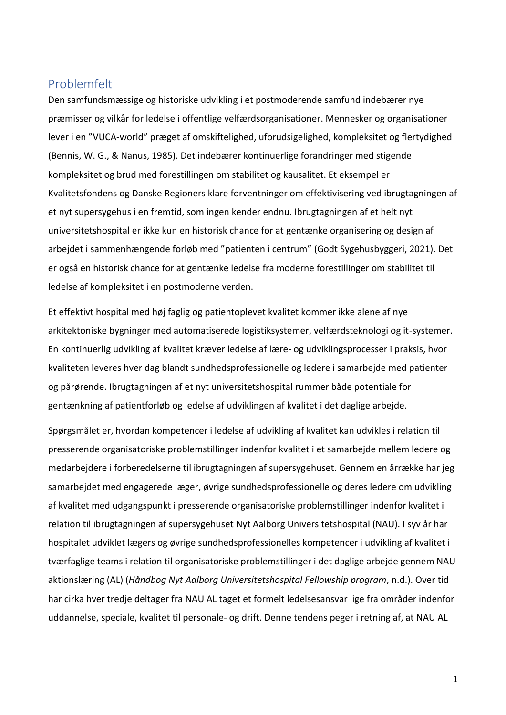# <span id="page-5-0"></span>Problemfelt

Den samfundsmæssige og historiske udvikling i et postmoderende samfund indebærer nye præmisser og vilkår for ledelse i offentlige velfærdsorganisationer. Mennesker og organisationer lever i en "VUCA-world" præget af omskiftelighed, uforudsigelighed, kompleksitet og flertydighed (Bennis, W. G., & Nanus, 1985). Det indebærer kontinuerlige forandringer med stigende kompleksitet og brud med forestillingen om stabilitet og kausalitet. Et eksempel er Kvalitetsfondens og Danske Regioners klare forventninger om effektivisering ved ibrugtagningen af et nyt supersygehus i en fremtid, som ingen kender endnu. Ibrugtagningen af et helt nyt universitetshospital er ikke kun en historisk chance for at gentænke organisering og design af arbejdet i sammenhængende forløb med "patienten i centrum" (Godt Sygehusbyggeri, 2021). Det er også en historisk chance for at gentænke ledelse fra moderne forestillinger om stabilitet til ledelse af kompleksitet i en postmoderne verden.

Et effektivt hospital med høj faglig og patientoplevet kvalitet kommer ikke alene af nye arkitektoniske bygninger med automatiserede logistiksystemer, velfærdsteknologi og it-systemer. En kontinuerlig udvikling af kvalitet kræver ledelse af lære- og udviklingsprocesser i praksis, hvor kvaliteten leveres hver dag blandt sundhedsprofessionelle og ledere i samarbejde med patienter og pårørende. Ibrugtagningen af et nyt universitetshospital rummer både potentiale for gentænkning af patientforløb og ledelse af udviklingen af kvalitet i det daglige arbejde.

Spørgsmålet er, hvordan kompetencer i ledelse af udvikling af kvalitet kan udvikles i relation til presserende organisatoriske problemstillinger indenfor kvalitet i et samarbejde mellem ledere og medarbejdere i forberedelserne til ibrugtagningen af supersygehuset. Gennem en årrække har jeg samarbejdet med engagerede læger, øvrige sundhedsprofessionelle og deres ledere om udvikling af kvalitet med udgangspunkt i presserende organisatoriske problemstillinger indenfor kvalitet i relation til ibrugtagningen af supersygehuset Nyt Aalborg Universitetshospital (NAU). I syv år har hospitalet udviklet lægers og øvrige sundhedsprofessionelles kompetencer i udvikling af kvalitet i tværfaglige teams i relation til organisatoriske problemstillinger i det daglige arbejde gennem NAU aktionslæring (AL) (*Håndbog Nyt Aalborg Universitetshospital Fellowship program*, n.d.). Over tid har cirka hver tredje deltager fra NAU AL taget et formelt ledelsesansvar lige fra områder indenfor uddannelse, speciale, kvalitet til personale- og drift. Denne tendens peger i retning af, at NAU AL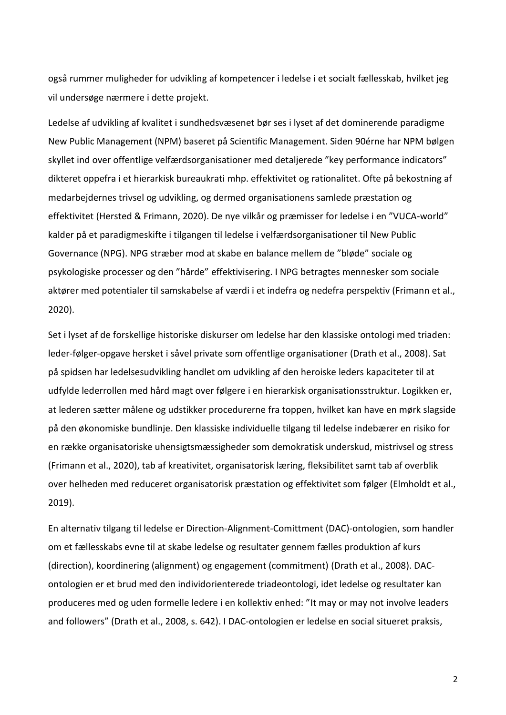også rummer muligheder for udvikling af kompetencer i ledelse i et socialt fællesskab, hvilket jeg vil undersøge nærmere i dette projekt.

Ledelse af udvikling af kvalitet i sundhedsvæsenet bør ses i lyset af det dominerende paradigme New Public Management (NPM) baseret på Scientific Management. Siden 90érne har NPM bølgen skyllet ind over offentlige velfærdsorganisationer med detaljerede "key performance indicators" dikteret oppefra i et hierarkisk bureaukrati mhp. effektivitet og rationalitet. Ofte på bekostning af medarbejdernes trivsel og udvikling, og dermed organisationens samlede præstation og effektivitet (Hersted & Frimann, 2020). De nye vilkår og præmisser for ledelse i en "VUCA-world" kalder på et paradigmeskifte i tilgangen til ledelse i velfærdsorganisationer til New Public Governance (NPG). NPG stræber mod at skabe en balance mellem de "bløde" sociale og psykologiske processer og den "hårde" effektivisering. I NPG betragtes mennesker som sociale aktører med potentialer til samskabelse af værdi i et indefra og nedefra perspektiv (Frimann et al., 2020).

Set i lyset af de forskellige historiske diskurser om ledelse har den klassiske ontologi med triaden: leder-følger-opgave hersket i såvel private som offentlige organisationer (Drath et al., 2008). Sat på spidsen har ledelsesudvikling handlet om udvikling af den heroiske leders kapaciteter til at udfylde lederrollen med hård magt over følgere i en hierarkisk organisationsstruktur. Logikken er, at lederen sætter målene og udstikker procedurerne fra toppen, hvilket kan have en mørk slagside på den økonomiske bundlinje. Den klassiske individuelle tilgang til ledelse indebærer en risiko for en række organisatoriske uhensigtsmæssigheder som demokratisk underskud, mistrivsel og stress (Frimann et al., 2020), tab af kreativitet, organisatorisk læring, fleksibilitet samt tab af overblik over helheden med reduceret organisatorisk præstation og effektivitet som følger (Elmholdt et al., 2019).

En alternativ tilgang til ledelse er Direction-Alignment-Comittment (DAC)-ontologien, som handler om et fællesskabs evne til at skabe ledelse og resultater gennem fælles produktion af kurs (direction), koordinering (alignment) og engagement (commitment) (Drath et al., 2008). DAContologien er et brud med den individorienterede triadeontologi, idet ledelse og resultater kan produceres med og uden formelle ledere i en kollektiv enhed: "It may or may not involve leaders and followers" (Drath et al., 2008, s. 642). I DAC-ontologien er ledelse en social situeret praksis,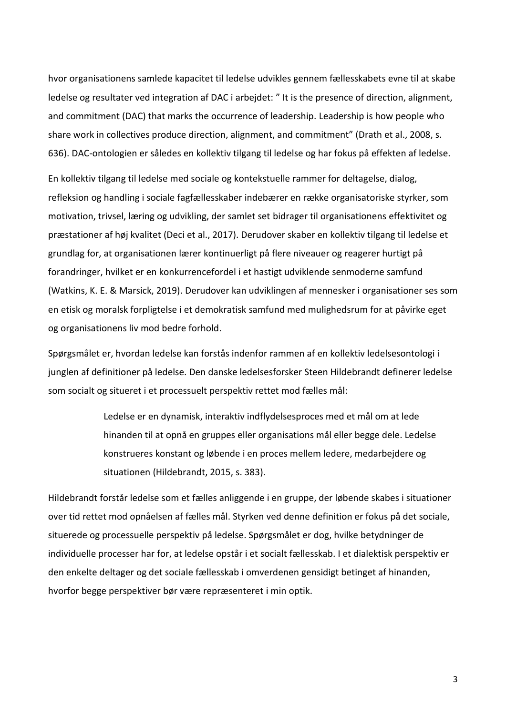hvor organisationens samlede kapacitet til ledelse udvikles gennem fællesskabets evne til at skabe ledelse og resultater ved integration af DAC i arbejdet: " It is the presence of direction, alignment, and commitment (DAC) that marks the occurrence of leadership. Leadership is how people who share work in collectives produce direction, alignment, and commitment" (Drath et al., 2008, s. 636). DAC-ontologien er således en kollektiv tilgang til ledelse og har fokus på effekten af ledelse.

En kollektiv tilgang til ledelse med sociale og kontekstuelle rammer for deltagelse, dialog, refleksion og handling i sociale fagfællesskaber indebærer en række organisatoriske styrker, som motivation, trivsel, læring og udvikling, der samlet set bidrager til organisationens effektivitet og præstationer af høj kvalitet (Deci et al., 2017). Derudover skaber en kollektiv tilgang til ledelse et grundlag for, at organisationen lærer kontinuerligt på flere niveauer og reagerer hurtigt på forandringer, hvilket er en konkurrencefordel i et hastigt udviklende senmoderne samfund (Watkins, K. E. & Marsick, 2019). Derudover kan udviklingen af mennesker i organisationer ses som en etisk og moralsk forpligtelse i et demokratisk samfund med mulighedsrum for at påvirke eget og organisationens liv mod bedre forhold.

Spørgsmålet er, hvordan ledelse kan forstås indenfor rammen af en kollektiv ledelsesontologi i junglen af definitioner på ledelse. Den danske ledelsesforsker Steen Hildebrandt definerer ledelse som socialt og situeret i et processuelt perspektiv rettet mod fælles mål:

> Ledelse er en dynamisk, interaktiv indflydelsesproces med et mål om at lede hinanden til at opnå en gruppes eller organisations mål eller begge dele. Ledelse konstrueres konstant og løbende i en proces mellem ledere, medarbejdere og situationen (Hildebrandt, 2015, s. 383).

Hildebrandt forstår ledelse som et fælles anliggende i en gruppe, der løbende skabes i situationer over tid rettet mod opnåelsen af fælles mål. Styrken ved denne definition er fokus på det sociale, situerede og processuelle perspektiv på ledelse. Spørgsmålet er dog, hvilke betydninger de individuelle processer har for, at ledelse opstår i et socialt fællesskab. I et dialektisk perspektiv er den enkelte deltager og det sociale fællesskab i omverdenen gensidigt betinget af hinanden, hvorfor begge perspektiver bør være repræsenteret i min optik.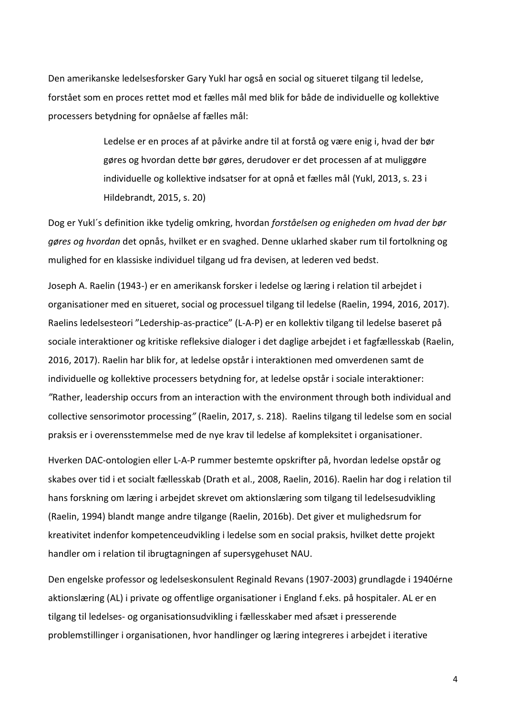Den amerikanske ledelsesforsker Gary Yukl har også en social og situeret tilgang til ledelse, forstået som en proces rettet mod et fælles mål med blik for både de individuelle og kollektive processers betydning for opnåelse af fælles mål:

> Ledelse er en proces af at påvirke andre til at forstå og være enig i, hvad der bør gøres og hvordan dette bør gøres, derudover er det processen af at muliggøre individuelle og kollektive indsatser for at opnå et fælles mål (Yukl, 2013, s. 23 i Hildebrandt, 2015, s. 20)

Dog er Yukl´s definition ikke tydelig omkring, hvordan *forståelsen og enigheden om hvad der bør gøres og hvordan* det opnås, hvilket er en svaghed. Denne uklarhed skaber rum til fortolkning og mulighed for en klassiske individuel tilgang ud fra devisen, at lederen ved bedst.

Joseph A. Raelin (1943-) er en amerikansk forsker i ledelse og læring i relation til arbejdet i organisationer med en situeret, social og processuel tilgang til ledelse (Raelin, 1994, 2016, 2017). Raelins ledelsesteori "Ledership-as-practice" (L-A-P) er en kollektiv tilgang til ledelse baseret på sociale interaktioner og kritiske refleksive dialoger i det daglige arbejdet i et fagfællesskab (Raelin, 2016, 2017). Raelin har blik for, at ledelse opstår i interaktionen med omverdenen samt de individuelle og kollektive processers betydning for, at ledelse opstår i sociale interaktioner: *"*Rather, leadership occurs from an interaction with the environment through both individual and collective sensorimotor processing*"* (Raelin, 2017, s. 218). Raelins tilgang til ledelse som en social praksis er i overensstemmelse med de nye krav til ledelse af kompleksitet i organisationer.

Hverken DAC-ontologien eller L-A-P rummer bestemte opskrifter på, hvordan ledelse opstår og skabes over tid i et socialt fællesskab (Drath et al., 2008, Raelin, 2016). Raelin har dog i relation til hans forskning om læring i arbejdet skrevet om aktionslæring som tilgang til ledelsesudvikling (Raelin, 1994) blandt mange andre tilgange (Raelin, 2016b). Det giver et mulighedsrum for kreativitet indenfor kompetenceudvikling i ledelse som en social praksis, hvilket dette projekt handler om i relation til ibrugtagningen af supersygehuset NAU.

Den engelske professor og ledelseskonsulent Reginald Revans (1907-2003) grundlagde i 1940érne aktionslæring (AL) i private og offentlige organisationer i England f.eks. på hospitaler. AL er en tilgang til ledelses- og organisationsudvikling i fællesskaber med afsæt i presserende problemstillinger i organisationen, hvor handlinger og læring integreres i arbejdet i iterative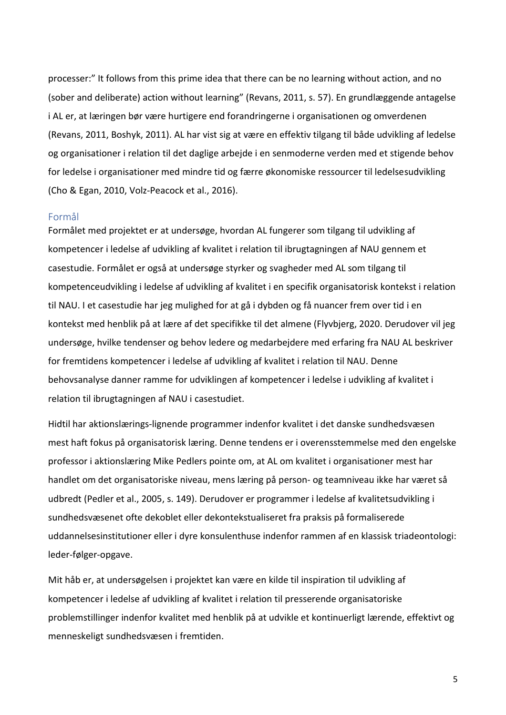processer:" It follows from this prime idea that there can be no learning without action, and no (sober and deliberate) action without learning" (Revans, 2011, s. 57). En grundlæggende antagelse i AL er, at læringen bør være hurtigere end forandringerne i organisationen og omverdenen (Revans, 2011, Boshyk, 2011). AL har vist sig at være en effektiv tilgang til både udvikling af ledelse og organisationer i relation til det daglige arbejde i en senmoderne verden med et stigende behov for ledelse i organisationer med mindre tid og færre økonomiske ressourcer til ledelsesudvikling (Cho & Egan, 2010, Volz-Peacock et al., 2016).

#### <span id="page-9-0"></span>Formål

Formålet med projektet er at undersøge, hvordan AL fungerer som tilgang til udvikling af kompetencer i ledelse af udvikling af kvalitet i relation til ibrugtagningen af NAU gennem et casestudie. Formålet er også at undersøge styrker og svagheder med AL som tilgang til kompetenceudvikling i ledelse af udvikling af kvalitet i en specifik organisatorisk kontekst i relation til NAU. I et casestudie har jeg mulighed for at gå i dybden og få nuancer frem over tid i en kontekst med henblik på at lære af det specifikke til det almene (Flyvbjerg, 2020. Derudover vil jeg undersøge, hvilke tendenser og behov ledere og medarbejdere med erfaring fra NAU AL beskriver for fremtidens kompetencer i ledelse af udvikling af kvalitet i relation til NAU. Denne behovsanalyse danner ramme for udviklingen af kompetencer i ledelse i udvikling af kvalitet i relation til ibrugtagningen af NAU i casestudiet.

Hidtil har aktionslærings-lignende programmer indenfor kvalitet i det danske sundhedsvæsen mest haft fokus på organisatorisk læring. Denne tendens er i overensstemmelse med den engelske professor i aktionslæring Mike Pedlers pointe om, at AL om kvalitet i organisationer mest har handlet om det organisatoriske niveau, mens læring på person- og teamniveau ikke har været så udbredt (Pedler et al., 2005, s. 149). Derudover er programmer i ledelse af kvalitetsudvikling i sundhedsvæsenet ofte dekoblet eller dekontekstualiseret fra praksis på formaliserede uddannelsesinstitutioner eller i dyre konsulenthuse indenfor rammen af en klassisk triadeontologi: leder-følger-opgave.

Mit håb er, at undersøgelsen i projektet kan være en kilde til inspiration til udvikling af kompetencer i ledelse af udvikling af kvalitet i relation til presserende organisatoriske problemstillinger indenfor kvalitet med henblik på at udvikle et kontinuerligt lærende, effektivt og menneskeligt sundhedsvæsen i fremtiden.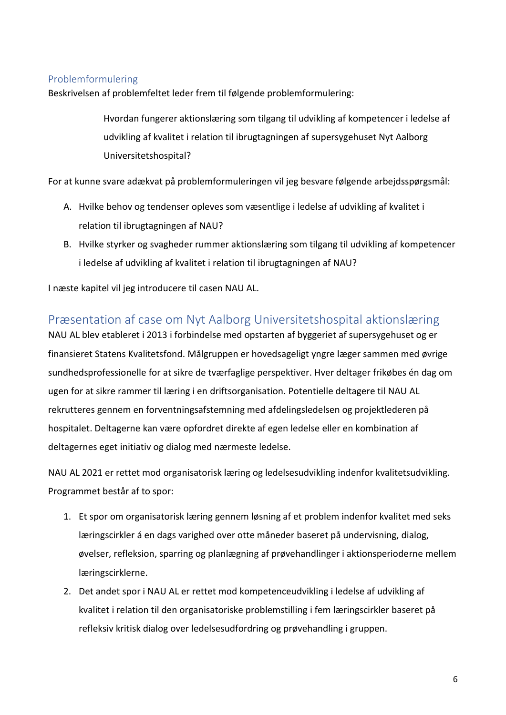# <span id="page-10-0"></span>Problemformulering

Beskrivelsen af problemfeltet leder frem til følgende problemformulering:

Hvordan fungerer aktionslæring som tilgang til udvikling af kompetencer i ledelse af udvikling af kvalitet i relation til ibrugtagningen af supersygehuset Nyt Aalborg Universitetshospital?

For at kunne svare adækvat på problemformuleringen vil jeg besvare følgende arbejdsspørgsmål:

- A. Hvilke behov og tendenser opleves som væsentlige i ledelse af udvikling af kvalitet i relation til ibrugtagningen af NAU?
- B. Hvilke styrker og svagheder rummer aktionslæring som tilgang til udvikling af kompetencer i ledelse af udvikling af kvalitet i relation til ibrugtagningen af NAU?

I næste kapitel vil jeg introducere til casen NAU AL.

# <span id="page-10-1"></span>Præsentation af case om Nyt Aalborg Universitetshospital aktionslæring

NAU AL blev etableret i 2013 i forbindelse med opstarten af byggeriet af supersygehuset og er finansieret Statens Kvalitetsfond. Målgruppen er hovedsageligt yngre læger sammen med øvrige sundhedsprofessionelle for at sikre de tværfaglige perspektiver. Hver deltager frikøbes én dag om ugen for at sikre rammer til læring i en driftsorganisation. Potentielle deltagere til NAU AL rekrutteres gennem en forventningsafstemning med afdelingsledelsen og projektlederen på hospitalet. Deltagerne kan være opfordret direkte af egen ledelse eller en kombination af deltagernes eget initiativ og dialog med nærmeste ledelse.

NAU AL 2021 er rettet mod organisatorisk læring og ledelsesudvikling indenfor kvalitetsudvikling. Programmet består af to spor:

- 1. Et spor om organisatorisk læring gennem løsning af et problem indenfor kvalitet med seks læringscirkler á en dags varighed over otte måneder baseret på undervisning, dialog, øvelser, refleksion, sparring og planlægning af prøvehandlinger i aktionsperioderne mellem læringscirklerne.
- 2. Det andet spor i NAU AL er rettet mod kompetenceudvikling i ledelse af udvikling af kvalitet i relation til den organisatoriske problemstilling i fem læringscirkler baseret på refleksiv kritisk dialog over ledelsesudfordring og prøvehandling i gruppen.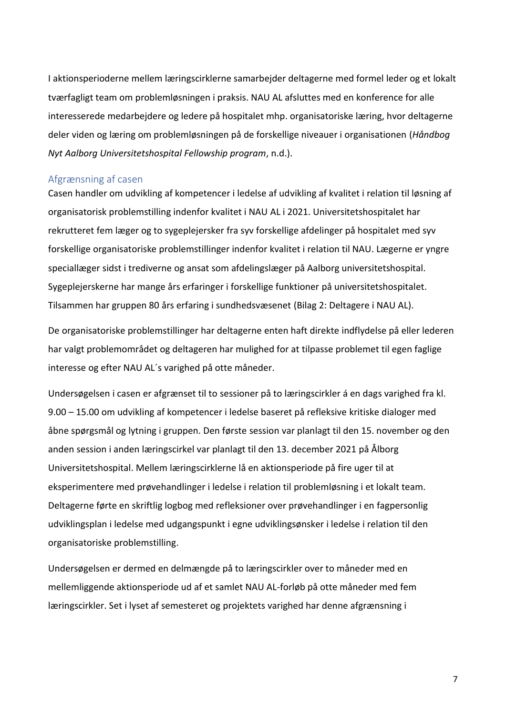I aktionsperioderne mellem læringscirklerne samarbejder deltagerne med formel leder og et lokalt tværfagligt team om problemløsningen i praksis. NAU AL afsluttes med en konference for alle interesserede medarbejdere og ledere på hospitalet mhp. organisatoriske læring, hvor deltagerne deler viden og læring om problemløsningen på de forskellige niveauer i organisationen (*Håndbog Nyt Aalborg Universitetshospital Fellowship program*, n.d.).

#### <span id="page-11-0"></span>Afgrænsning af casen

Casen handler om udvikling af kompetencer i ledelse af udvikling af kvalitet i relation til løsning af organisatorisk problemstilling indenfor kvalitet i NAU AL i 2021. Universitetshospitalet har rekrutteret fem læger og to sygeplejersker fra syv forskellige afdelinger på hospitalet med syv forskellige organisatoriske problemstillinger indenfor kvalitet i relation til NAU. Lægerne er yngre speciallæger sidst i trediverne og ansat som afdelingslæger på Aalborg universitetshospital. Sygeplejerskerne har mange års erfaringer i forskellige funktioner på universitetshospitalet. Tilsammen har gruppen 80 års erfaring i sundhedsvæsenet (Bilag 2: Deltagere i NAU AL).

De organisatoriske problemstillinger har deltagerne enten haft direkte indflydelse på eller lederen har valgt problemområdet og deltageren har mulighed for at tilpasse problemet til egen faglige interesse og efter NAU AL´s varighed på otte måneder.

Undersøgelsen i casen er afgrænset til to sessioner på to læringscirkler á en dags varighed fra kl. 9.00 – 15.00 om udvikling af kompetencer i ledelse baseret på refleksive kritiske dialoger med åbne spørgsmål og lytning i gruppen. Den første session var planlagt til den 15. november og den anden session i anden læringscirkel var planlagt til den 13. december 2021 på Ålborg Universitetshospital. Mellem læringscirklerne lå en aktionsperiode på fire uger til at eksperimentere med prøvehandlinger i ledelse i relation til problemløsning i et lokalt team. Deltagerne førte en skriftlig logbog med refleksioner over prøvehandlinger i en fagpersonlig udviklingsplan i ledelse med udgangspunkt i egne udviklingsønsker i ledelse i relation til den organisatoriske problemstilling.

Undersøgelsen er dermed en delmængde på to læringscirkler over to måneder med en mellemliggende aktionsperiode ud af et samlet NAU AL-forløb på otte måneder med fem læringscirkler. Set i lyset af semesteret og projektets varighed har denne afgrænsning i

7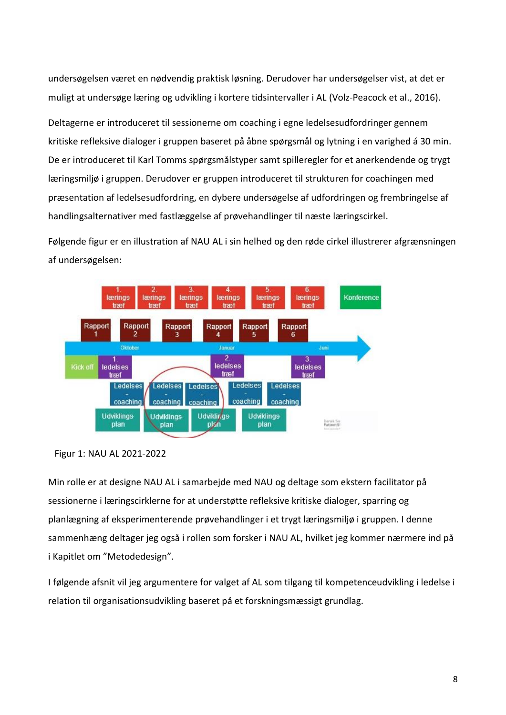undersøgelsen været en nødvendig praktisk løsning. Derudover har undersøgelser vist, at det er muligt at undersøge læring og udvikling i kortere tidsintervaller i AL (Volz-Peacock et al., 2016).

Deltagerne er introduceret til sessionerne om coaching i egne ledelsesudfordringer gennem kritiske refleksive dialoger i gruppen baseret på åbne spørgsmål og lytning i en varighed á 30 min. De er introduceret til Karl Tomms spørgsmålstyper samt spilleregler for et anerkendende og trygt læringsmiljø i gruppen. Derudover er gruppen introduceret til strukturen for coachingen med præsentation af ledelsesudfordring, en dybere undersøgelse af udfordringen og frembringelse af handlingsalternativer med fastlæggelse af prøvehandlinger til næste læringscirkel.

Følgende figur er en illustration af NAU AL i sin helhed og den røde cirkel illustrerer afgrænsningen af undersøgelsen:



Figur 1: NAU AL 2021-2022

Min rolle er at designe NAU AL i samarbejde med NAU og deltage som ekstern facilitator på sessionerne i læringscirklerne for at understøtte refleksive kritiske dialoger, sparring og planlægning af eksperimenterende prøvehandlinger i et trygt læringsmiljø i gruppen. I denne sammenhæng deltager jeg også i rollen som forsker i NAU AL, hvilket jeg kommer nærmere ind på i Kapitlet om "Metodedesign".

I følgende afsnit vil jeg argumentere for valget af AL som tilgang til kompetenceudvikling i ledelse i relation til organisationsudvikling baseret på et forskningsmæssigt grundlag.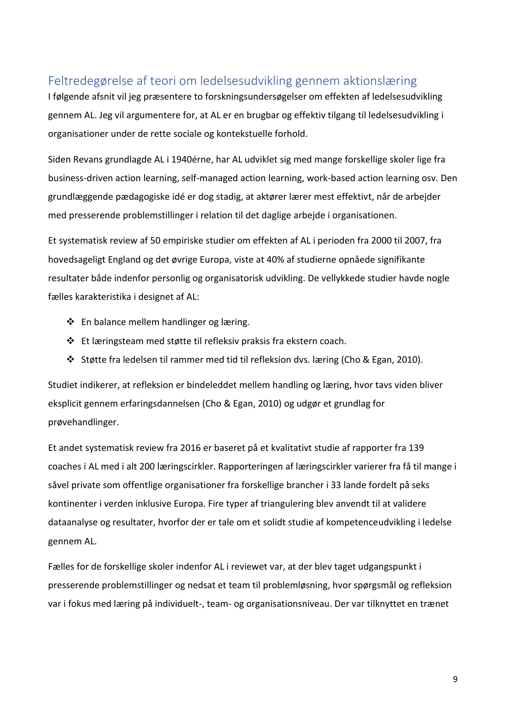# <span id="page-13-0"></span>Feltredegørelse af teori om ledelsesudvikling gennem aktionslæring

I følgende afsnit vil jeg præsentere to forskningsundersøgelser om effekten af ledelsesudvikling gennem AL. Jeg vil argumentere for, at AL er en brugbar og effektiv tilgang til ledelsesudvikling i organisationer under de rette sociale og kontekstuelle forhold.

Siden Revans grundlagde AL i 1940érne, har AL udviklet sig med mange forskellige skoler lige fra business-driven action learning, self-managed action learning, work-based action learning osv. Den grundlæggende pædagogiske idé er dog stadig, at aktører lærer mest effektivt, når de arbejder med presserende problemstillinger i relation til det daglige arbejde i organisationen.

Et systematisk review af 50 empiriske studier om effekten af AL i perioden fra 2000 til 2007, fra hovedsageligt England og det øvrige Europa, viste at 40% af studierne opnåede signifikante resultater både indenfor personlig og organisatorisk udvikling. De vellykkede studier havde nogle fælles karakteristika i designet af AL:

- ❖ En balance mellem handlinger og læring.
- ❖ Et læringsteam med støtte til refleksiv praksis fra ekstern coach.
- ❖ Støtte fra ledelsen til rammer med tid til refleksion dvs. læring (Cho & Egan, 2010).

Studiet indikerer, at refleksion er bindeleddet mellem handling og læring, hvor tavs viden bliver eksplicit gennem erfaringsdannelsen (Cho & Egan, 2010) og udgør et grundlag for prøvehandlinger.

Et andet systematisk review fra 2016 er baseret på et kvalitativt studie af rapporter fra 139 coaches i AL med i alt 200 læringscirkler. Rapporteringen af læringscirkler varierer fra få til mange i såvel private som offentlige organisationer fra forskellige brancher i 33 lande fordelt på seks kontinenter i verden inklusive Europa. Fire typer af triangulering blev anvendt til at validere dataanalyse og resultater, hvorfor der er tale om et solidt studie af kompetenceudvikling i ledelse gennem AL.

Fælles for de forskellige skoler indenfor AL i reviewet var, at der blev taget udgangspunkt i presserende problemstillinger og nedsat et team til problemløsning, hvor spørgsmål og refleksion var i fokus med læring på individuelt-, team- og organisationsniveau. Der var tilknyttet en trænet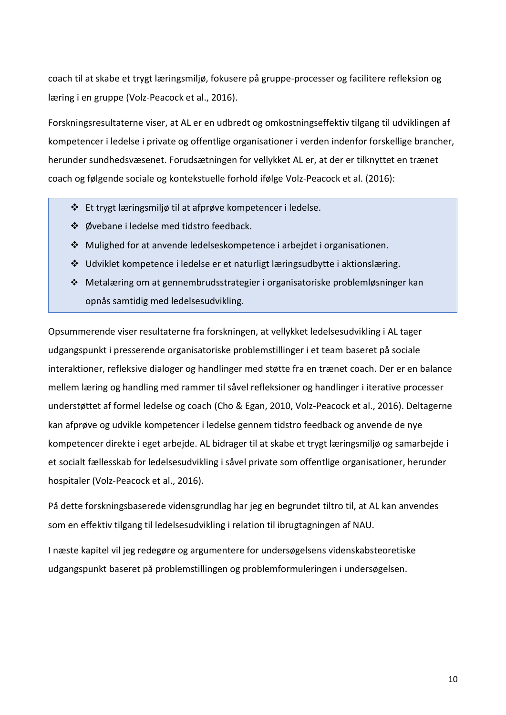coach til at skabe et trygt læringsmiljø, fokusere på gruppe-processer og facilitere refleksion og læring i en gruppe (Volz-Peacock et al., 2016).

Forskningsresultaterne viser, at AL er en udbredt og omkostningseffektiv tilgang til udviklingen af kompetencer i ledelse i private og offentlige organisationer i verden indenfor forskellige brancher, herunder sundhedsvæsenet. Forudsætningen for vellykket AL er, at der er tilknyttet en trænet coach og følgende sociale og kontekstuelle forhold ifølge Volz-Peacock et al. (2016):

- ❖ Et trygt læringsmiljø til at afprøve kompetencer i ledelse.
- ❖ Øvebane i ledelse med tidstro feedback.
- ❖ Mulighed for at anvende ledelseskompetence i arbejdet i organisationen.
- ❖ Udviklet kompetence i ledelse er et naturligt læringsudbytte i aktionslæring.
- ❖ Metalæring om at gennembrudsstrategier i organisatoriske problemløsninger kan opnås samtidig med ledelsesudvikling.

Opsummerende viser resultaterne fra forskningen, at vellykket ledelsesudvikling i AL tager udgangspunkt i presserende organisatoriske problemstillinger i et team baseret på sociale interaktioner, refleksive dialoger og handlinger med støtte fra en trænet coach. Der er en balance mellem læring og handling med rammer til såvel refleksioner og handlinger i iterative processer understøttet af formel ledelse og coach (Cho & Egan, 2010, Volz-Peacock et al., 2016). Deltagerne kan afprøve og udvikle kompetencer i ledelse gennem tidstro feedback og anvende de nye kompetencer direkte i eget arbejde. AL bidrager til at skabe et trygt læringsmiljø og samarbejde i et socialt fællesskab for ledelsesudvikling i såvel private som offentlige organisationer, herunder hospitaler (Volz-Peacock et al., 2016).

På dette forskningsbaserede vidensgrundlag har jeg en begrundet tiltro til, at AL kan anvendes som en effektiv tilgang til ledelsesudvikling i relation til ibrugtagningen af NAU.

I næste kapitel vil jeg redegøre og argumentere for undersøgelsens videnskabsteoretiske udgangspunkt baseret på problemstillingen og problemformuleringen i undersøgelsen.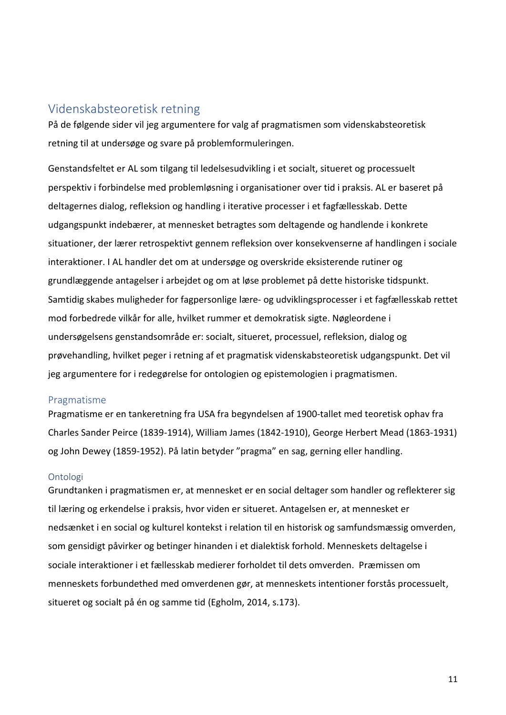# <span id="page-15-0"></span>Videnskabsteoretisk retning

På de følgende sider vil jeg argumentere for valg af pragmatismen som videnskabsteoretisk retning til at undersøge og svare på problemformuleringen.

Genstandsfeltet er AL som tilgang til ledelsesudvikling i et socialt, situeret og processuelt perspektiv i forbindelse med problemløsning i organisationer over tid i praksis. AL er baseret på deltagernes dialog, refleksion og handling i iterative processer i et fagfællesskab. Dette udgangspunkt indebærer, at mennesket betragtes som deltagende og handlende i konkrete situationer, der lærer retrospektivt gennem refleksion over konsekvenserne af handlingen i sociale interaktioner. I AL handler det om at undersøge og overskride eksisterende rutiner og grundlæggende antagelser i arbejdet og om at løse problemet på dette historiske tidspunkt. Samtidig skabes muligheder for fagpersonlige lære- og udviklingsprocesser i et fagfællesskab rettet mod forbedrede vilkår for alle, hvilket rummer et demokratisk sigte. Nøgleordene i undersøgelsens genstandsområde er: socialt, situeret, processuel, refleksion, dialog og prøvehandling, hvilket peger i retning af et pragmatisk videnskabsteoretisk udgangspunkt. Det vil jeg argumentere for i redegørelse for ontologien og epistemologien i pragmatismen.

# <span id="page-15-1"></span>Pragmatisme

Pragmatisme er en tankeretning fra USA fra begyndelsen af 1900-tallet med teoretisk ophav fra Charles Sander Peirce (1839-1914), William James (1842-1910), George Herbert Mead (1863-1931) og John Dewey (1859-1952). På latin betyder "pragma" en sag, gerning eller handling.

### <span id="page-15-2"></span>Ontologi

Grundtanken i pragmatismen er, at mennesket er en social deltager som handler og reflekterer sig til læring og erkendelse i praksis, hvor viden er situeret. Antagelsen er, at mennesket er nedsænket i en social og kulturel kontekst i relation til en historisk og samfundsmæssig omverden, som gensidigt påvirker og betinger hinanden i et dialektisk forhold. Menneskets deltagelse i sociale interaktioner i et fællesskab medierer forholdet til dets omverden. Præmissen om menneskets forbundethed med omverdenen gør, at menneskets intentioner forstås processuelt, situeret og socialt på én og samme tid (Egholm, 2014, s.173).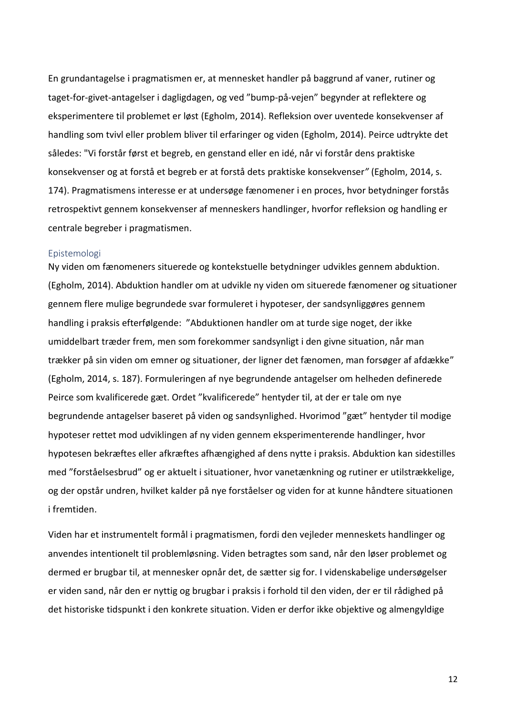En grundantagelse i pragmatismen er, at mennesket handler på baggrund af vaner, rutiner og taget-for-givet-antagelser i dagligdagen, og ved "bump-på-vejen" begynder at reflektere og eksperimentere til problemet er løst (Egholm, 2014). Refleksion over uventede konsekvenser af handling som tvivl eller problem bliver til erfaringer og viden (Egholm, 2014). Peirce udtrykte det således: "Vi forstår først et begreb, en genstand eller en idé, når vi forstår dens praktiske konsekvenser og at forstå et begreb er at forstå dets praktiske konsekvenser*"* (Egholm, 2014, s. 174). Pragmatismens interesse er at undersøge fænomener i en proces, hvor betydninger forstås retrospektivt gennem konsekvenser af menneskers handlinger, hvorfor refleksion og handling er centrale begreber i pragmatismen.

#### <span id="page-16-0"></span>Epistemologi

Ny viden om fænomeners situerede og kontekstuelle betydninger udvikles gennem abduktion. (Egholm, 2014). Abduktion handler om at udvikle ny viden om situerede fænomener og situationer gennem flere mulige begrundede svar formuleret i hypoteser, der sandsynliggøres gennem handling i praksis efterfølgende: "Abduktionen handler om at turde sige noget, der ikke umiddelbart træder frem, men som forekommer sandsynligt i den givne situation, når man trækker på sin viden om emner og situationer, der ligner det fænomen, man forsøger af afdække" (Egholm, 2014, s. 187). Formuleringen af nye begrundende antagelser om helheden definerede Peirce som kvalificerede gæt. Ordet "kvalificerede" hentyder til, at der er tale om nye begrundende antagelser baseret på viden og sandsynlighed. Hvorimod "gæt" hentyder til modige hypoteser rettet mod udviklingen af ny viden gennem eksperimenterende handlinger, hvor hypotesen bekræftes eller afkræftes afhængighed af dens nytte i praksis. Abduktion kan sidestilles med "forståelsesbrud" og er aktuelt i situationer, hvor vanetænkning og rutiner er utilstrækkelige, og der opstår undren, hvilket kalder på nye forståelser og viden for at kunne håndtere situationen i fremtiden.

Viden har et instrumentelt formål i pragmatismen, fordi den vejleder menneskets handlinger og anvendes intentionelt til problemløsning. Viden betragtes som sand, når den løser problemet og dermed er brugbar til, at mennesker opnår det, de sætter sig for. I videnskabelige undersøgelser er viden sand, når den er nyttig og brugbar i praksis i forhold til den viden, der er til rådighed på det historiske tidspunkt i den konkrete situation. Viden er derfor ikke objektive og almengyldige

12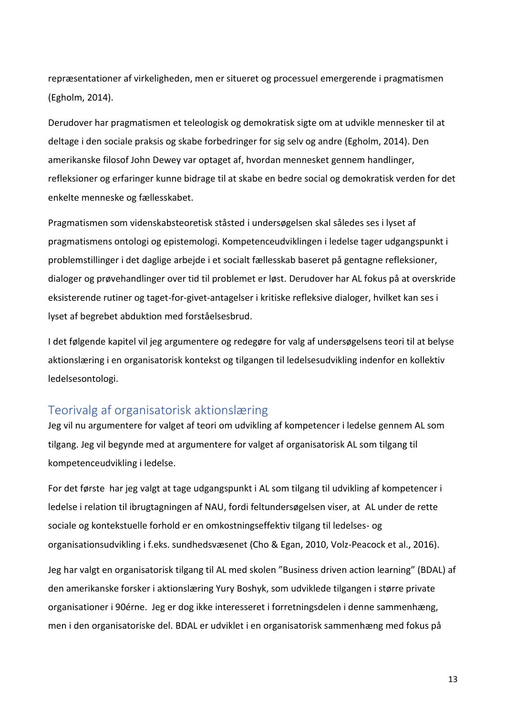repræsentationer af virkeligheden, men er situeret og processuel emergerende i pragmatismen (Egholm, 2014).

Derudover har pragmatismen et teleologisk og demokratisk sigte om at udvikle mennesker til at deltage i den sociale praksis og skabe forbedringer for sig selv og andre (Egholm, 2014). Den amerikanske filosof John Dewey var optaget af, hvordan mennesket gennem handlinger, refleksioner og erfaringer kunne bidrage til at skabe en bedre social og demokratisk verden for det enkelte menneske og fællesskabet.

Pragmatismen som videnskabsteoretisk ståsted i undersøgelsen skal således ses i lyset af pragmatismens ontologi og epistemologi. Kompetenceudviklingen i ledelse tager udgangspunkt i problemstillinger i det daglige arbejde i et socialt fællesskab baseret på gentagne refleksioner, dialoger og prøvehandlinger over tid til problemet er løst. Derudover har AL fokus på at overskride eksisterende rutiner og taget-for-givet-antagelser i kritiske refleksive dialoger, hvilket kan ses i lyset af begrebet abduktion med forståelsesbrud.

I det følgende kapitel vil jeg argumentere og redegøre for valg af undersøgelsens teori til at belyse aktionslæring i en organisatorisk kontekst og tilgangen til ledelsesudvikling indenfor en kollektiv ledelsesontologi.

# <span id="page-17-0"></span>Teorivalg af organisatorisk aktionslæring

Jeg vil nu argumentere for valget af teori om udvikling af kompetencer i ledelse gennem AL som tilgang. Jeg vil begynde med at argumentere for valget af organisatorisk AL som tilgang til kompetenceudvikling i ledelse.

For det første har jeg valgt at tage udgangspunkt i AL som tilgang til udvikling af kompetencer i ledelse i relation til ibrugtagningen af NAU, fordi feltundersøgelsen viser, at AL under de rette sociale og kontekstuelle forhold er en omkostningseffektiv tilgang til ledelses- og organisationsudvikling i f.eks. sundhedsvæsenet (Cho & Egan, 2010, Volz-Peacock et al., 2016).

Jeg har valgt en organisatorisk tilgang til AL med skolen "Business driven action learning" (BDAL) af den amerikanske forsker i aktionslæring Yury Boshyk, som udviklede tilgangen i større private organisationer i 90érne. Jeg er dog ikke interesseret i forretningsdelen i denne sammenhæng, men i den organisatoriske del. BDAL er udviklet i en organisatorisk sammenhæng med fokus på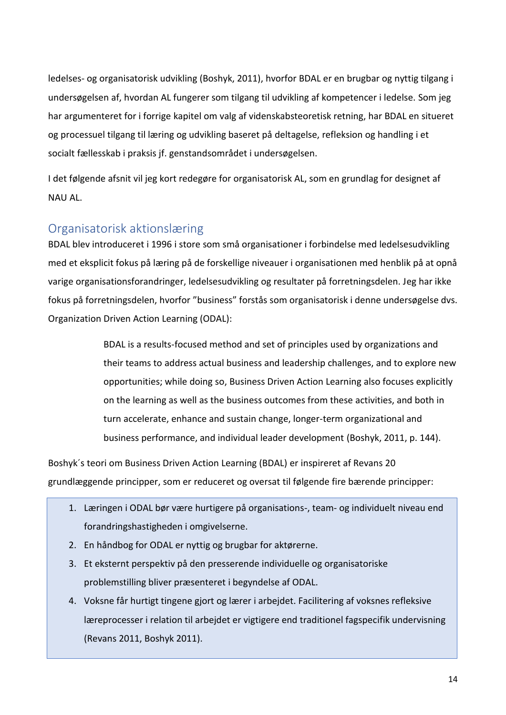ledelses- og organisatorisk udvikling (Boshyk, 2011), hvorfor BDAL er en brugbar og nyttig tilgang i undersøgelsen af, hvordan AL fungerer som tilgang til udvikling af kompetencer i ledelse. Som jeg har argumenteret for i forrige kapitel om valg af videnskabsteoretisk retning, har BDAL en situeret og processuel tilgang til læring og udvikling baseret på deltagelse, refleksion og handling i et socialt fællesskab i praksis jf. genstandsområdet i undersøgelsen.

I det følgende afsnit vil jeg kort redegøre for organisatorisk AL, som en grundlag for designet af NAU AL.

# <span id="page-18-0"></span>Organisatorisk aktionslæring

BDAL blev introduceret i 1996 i store som små organisationer i forbindelse med ledelsesudvikling med et eksplicit fokus på læring på de forskellige niveauer i organisationen med henblik på at opnå varige organisationsforandringer, ledelsesudvikling og resultater på forretningsdelen. Jeg har ikke fokus på forretningsdelen, hvorfor "business" forstås som organisatorisk i denne undersøgelse dvs. Organization Driven Action Learning (ODAL):

> BDAL is a results-focused method and set of principles used by organizations and their teams to address actual business and leadership challenges, and to explore new opportunities; while doing so, Business Driven Action Learning also focuses explicitly on the learning as well as the business outcomes from these activities, and both in turn accelerate, enhance and sustain change, longer-term organizational and business performance, and individual leader development (Boshyk, 2011, p. 144).

Boshyk´s teori om Business Driven Action Learning (BDAL) er inspireret af Revans 20 grundlæggende principper, som er reduceret og oversat til følgende fire bærende principper:

- 1. Læringen i ODAL bør være hurtigere på organisations-, team- og individuelt niveau end forandringshastigheden i omgivelserne.
- 2. En håndbog for ODAL er nyttig og brugbar for aktørerne.
- 3. Et eksternt perspektiv på den presserende individuelle og organisatoriske problemstilling bliver præsenteret i begyndelse af ODAL.
- 4. Voksne får hurtigt tingene gjort og lærer i arbejdet. Facilitering af voksnes refleksive læreprocesser i relation til arbejdet er vigtigere end traditionel fagspecifik undervisning (Revans 2011, Boshyk 2011).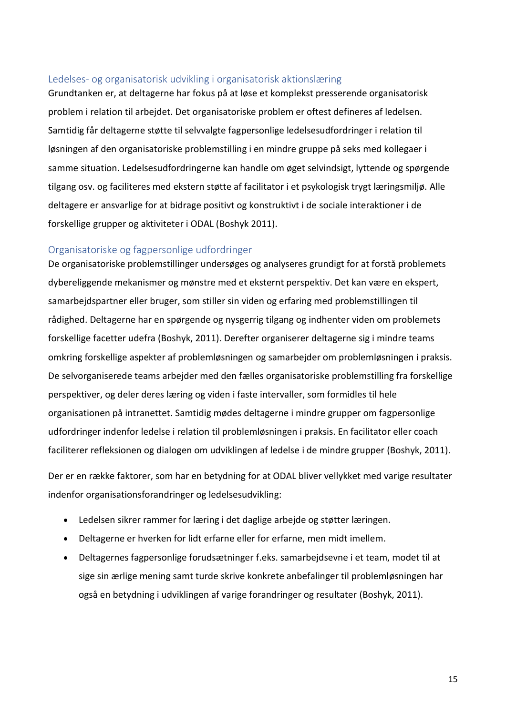### <span id="page-19-0"></span>Ledelses- og organisatorisk udvikling i organisatorisk aktionslæring

Grundtanken er, at deltagerne har fokus på at løse et komplekst presserende organisatorisk problem i relation til arbejdet. Det organisatoriske problem er oftest defineres af ledelsen. Samtidig får deltagerne støtte til selvvalgte fagpersonlige ledelsesudfordringer i relation til løsningen af den organisatoriske problemstilling i en mindre gruppe på seks med kollegaer i samme situation. Ledelsesudfordringerne kan handle om øget selvindsigt, lyttende og spørgende tilgang osv. og faciliteres med ekstern støtte af facilitator i et psykologisk trygt læringsmiljø. Alle deltagere er ansvarlige for at bidrage positivt og konstruktivt i de sociale interaktioner i de forskellige grupper og aktiviteter i ODAL (Boshyk 2011).

## <span id="page-19-1"></span>Organisatoriske og fagpersonlige udfordringer

De organisatoriske problemstillinger undersøges og analyseres grundigt for at forstå problemets dybereliggende mekanismer og mønstre med et eksternt perspektiv. Det kan være en ekspert, samarbejdspartner eller bruger, som stiller sin viden og erfaring med problemstillingen til rådighed. Deltagerne har en spørgende og nysgerrig tilgang og indhenter viden om problemets forskellige facetter udefra (Boshyk, 2011). Derefter organiserer deltagerne sig i mindre teams omkring forskellige aspekter af problemløsningen og samarbejder om problemløsningen i praksis. De selvorganiserede teams arbejder med den fælles organisatoriske problemstilling fra forskellige perspektiver, og deler deres læring og viden i faste intervaller, som formidles til hele organisationen på intranettet. Samtidig mødes deltagerne i mindre grupper om fagpersonlige udfordringer indenfor ledelse i relation til problemløsningen i praksis. En facilitator eller coach faciliterer refleksionen og dialogen om udviklingen af ledelse i de mindre grupper (Boshyk, 2011).

Der er en række faktorer, som har en betydning for at ODAL bliver vellykket med varige resultater indenfor organisationsforandringer og ledelsesudvikling:

- Ledelsen sikrer rammer for læring i det daglige arbejde og støtter læringen.
- Deltagerne er hverken for lidt erfarne eller for erfarne, men midt imellem.
- Deltagernes fagpersonlige forudsætninger f.eks. samarbejdsevne i et team, modet til at sige sin ærlige mening samt turde skrive konkrete anbefalinger til problemløsningen har også en betydning i udviklingen af varige forandringer og resultater (Boshyk, 2011).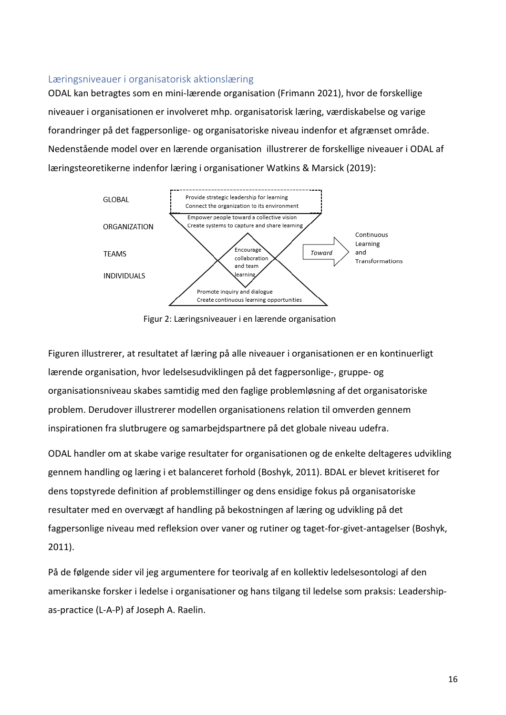## <span id="page-20-0"></span>Læringsniveauer i organisatorisk aktionslæring

ODAL kan betragtes som en mini-lærende organisation (Frimann 2021), hvor de forskellige niveauer i organisationen er involveret mhp. organisatorisk læring, værdiskabelse og varige forandringer på det fagpersonlige- og organisatoriske niveau indenfor et afgrænset område. Nedenstående model over en lærende organisation illustrerer de forskellige niveauer i ODAL af læringsteoretikerne indenfor læring i organisationer Watkins & Marsick (2019):



Figur 2: Læringsniveauer i en lærende organisation

Figuren illustrerer, at resultatet af læring på alle niveauer i organisationen er en kontinuerligt lærende organisation, hvor ledelsesudviklingen på det fagpersonlige-, gruppe- og organisationsniveau skabes samtidig med den faglige problemløsning af det organisatoriske problem. Derudover illustrerer modellen organisationens relation til omverden gennem inspirationen fra slutbrugere og samarbejdspartnere på det globale niveau udefra.

ODAL handler om at skabe varige resultater for organisationen og de enkelte deltageres udvikling gennem handling og læring i et balanceret forhold (Boshyk, 2011). BDAL er blevet kritiseret for dens topstyrede definition af problemstillinger og dens ensidige fokus på organisatoriske resultater med en overvægt af handling på bekostningen af læring og udvikling på det fagpersonlige niveau med refleksion over vaner og rutiner og taget-for-givet-antagelser (Boshyk, 2011).

På de følgende sider vil jeg argumentere for teorivalg af en kollektiv ledelsesontologi af den amerikanske forsker i ledelse i organisationer og hans tilgang til ledelse som praksis: Leadershipas-practice (L-A-P) af Joseph A. Raelin.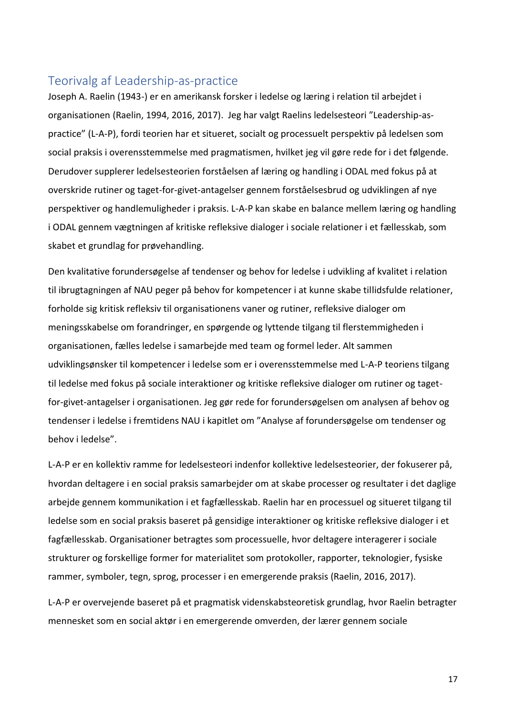# <span id="page-21-0"></span>Teorivalg af Leadership-as-practice

Joseph A. Raelin (1943-) er en amerikansk forsker i ledelse og læring i relation til arbejdet i organisationen (Raelin, 1994, 2016, 2017). Jeg har valgt Raelins ledelsesteori "Leadership-aspractice" (L-A-P), fordi teorien har et situeret, socialt og processuelt perspektiv på ledelsen som social praksis i overensstemmelse med pragmatismen, hvilket jeg vil gøre rede for i det følgende. Derudover supplerer ledelsesteorien forståelsen af læring og handling i ODAL med fokus på at overskride rutiner og taget-for-givet-antagelser gennem forståelsesbrud og udviklingen af nye perspektiver og handlemuligheder i praksis. L-A-P kan skabe en balance mellem læring og handling i ODAL gennem vægtningen af kritiske refleksive dialoger i sociale relationer i et fællesskab, som skabet et grundlag for prøvehandling.

Den kvalitative forundersøgelse af tendenser og behov for ledelse i udvikling af kvalitet i relation til ibrugtagningen af NAU peger på behov for kompetencer i at kunne skabe tillidsfulde relationer, forholde sig kritisk refleksiv til organisationens vaner og rutiner, refleksive dialoger om meningsskabelse om forandringer, en spørgende og lyttende tilgang til flerstemmigheden i organisationen, fælles ledelse i samarbejde med team og formel leder. Alt sammen udviklingsønsker til kompetencer i ledelse som er i overensstemmelse med L-A-P teoriens tilgang til ledelse med fokus på sociale interaktioner og kritiske refleksive dialoger om rutiner og tagetfor-givet-antagelser i organisationen. Jeg gør rede for forundersøgelsen om analysen af behov og tendenser i ledelse i fremtidens NAU i kapitlet om "Analyse af forundersøgelse om tendenser og behov i ledelse".

L-A-P er en kollektiv ramme for ledelsesteori indenfor kollektive ledelsesteorier, der fokuserer på, hvordan deltagere i en social praksis samarbejder om at skabe processer og resultater i det daglige arbejde gennem kommunikation i et fagfællesskab. Raelin har en processuel og situeret tilgang til ledelse som en social praksis baseret på gensidige interaktioner og kritiske refleksive dialoger i et fagfællesskab. Organisationer betragtes som processuelle, hvor deltagere interagerer i sociale strukturer og forskellige former for materialitet som protokoller, rapporter, teknologier, fysiske rammer, symboler, tegn, sprog, processer i en emergerende praksis (Raelin, 2016, 2017).

L-A-P er overvejende baseret på et pragmatisk videnskabsteoretisk grundlag, hvor Raelin betragter mennesket som en social aktør i en emergerende omverden, der lærer gennem sociale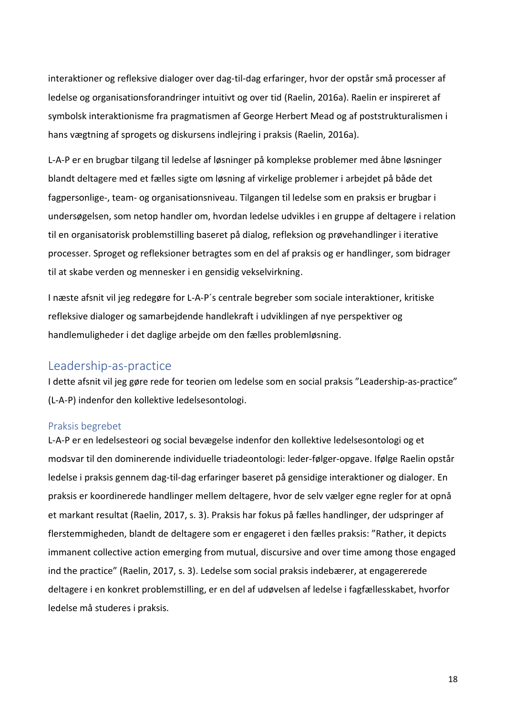interaktioner og refleksive dialoger over dag-til-dag erfaringer, hvor der opstår små processer af ledelse og organisationsforandringer intuitivt og over tid (Raelin, 2016a). Raelin er inspireret af symbolsk interaktionisme fra pragmatismen af George Herbert Mead og af poststrukturalismen i hans vægtning af sprogets og diskursens indlejring i praksis (Raelin, 2016a).

L-A-P er en brugbar tilgang til ledelse af løsninger på komplekse problemer med åbne løsninger blandt deltagere med et fælles sigte om løsning af virkelige problemer i arbejdet på både det fagpersonlige-, team- og organisationsniveau. Tilgangen til ledelse som en praksis er brugbar i undersøgelsen, som netop handler om, hvordan ledelse udvikles i en gruppe af deltagere i relation til en organisatorisk problemstilling baseret på dialog, refleksion og prøvehandlinger i iterative processer. Sproget og refleksioner betragtes som en del af praksis og er handlinger, som bidrager til at skabe verden og mennesker i en gensidig vekselvirkning.

I næste afsnit vil jeg redegøre for L-A-P´s centrale begreber som sociale interaktioner, kritiske refleksive dialoger og samarbejdende handlekraft i udviklingen af nye perspektiver og handlemuligheder i det daglige arbejde om den fælles problemløsning.

# <span id="page-22-0"></span>Leadership-as-practice

I dette afsnit vil jeg gøre rede for teorien om ledelse som en social praksis "Leadership-as-practice" (L-A-P) indenfor den kollektive ledelsesontologi.

# <span id="page-22-1"></span>Praksis begrebet

L-A-P er en ledelsesteori og social bevægelse indenfor den kollektive ledelsesontologi og et modsvar til den dominerende individuelle triadeontologi: leder-følger-opgave. Ifølge Raelin opstår ledelse i praksis gennem dag-til-dag erfaringer baseret på gensidige interaktioner og dialoger. En praksis er koordinerede handlinger mellem deltagere, hvor de selv vælger egne regler for at opnå et markant resultat (Raelin, 2017, s. 3). Praksis har fokus på fælles handlinger, der udspringer af flerstemmigheden, blandt de deltagere som er engageret i den fælles praksis: "Rather, it depicts immanent collective action emerging from mutual, discursive and over time among those engaged ind the practice" (Raelin, 2017, s. 3). Ledelse som social praksis indebærer, at engagererede deltagere i en konkret problemstilling, er en del af udøvelsen af ledelse i fagfællesskabet, hvorfor ledelse må studeres i praksis.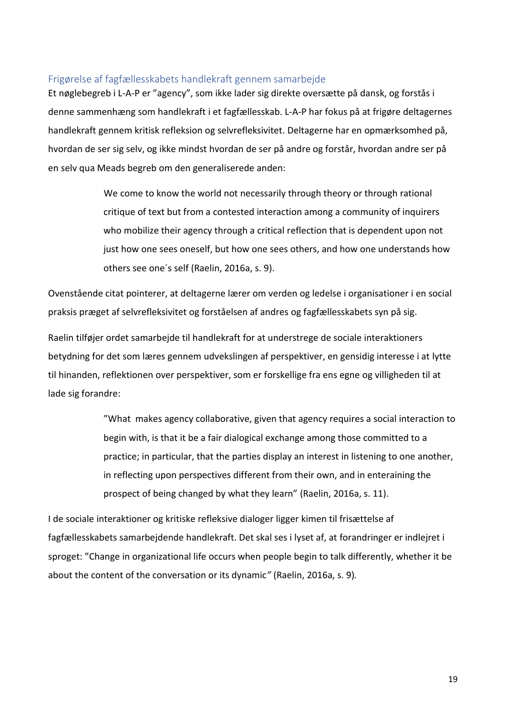## <span id="page-23-0"></span>Frigørelse af fagfællesskabets handlekraft gennem samarbejde

Et nøglebegreb i L-A-P er "agency", som ikke lader sig direkte oversætte på dansk, og forstås i denne sammenhæng som handlekraft i et fagfællesskab. L-A-P har fokus på at frigøre deltagernes handlekraft gennem kritisk refleksion og selvrefleksivitet. Deltagerne har en opmærksomhed på, hvordan de ser sig selv, og ikke mindst hvordan de ser på andre og forstår, hvordan andre ser på en selv qua Meads begreb om den generaliserede anden:

> We come to know the world not necessarily through theory or through rational critique of text but from a contested interaction among a community of inquirers who mobilize their agency through a critical reflection that is dependent upon not just how one sees oneself, but how one sees others, and how one understands how others see one´s self (Raelin, 2016a, s. 9).

Ovenstående citat pointerer, at deltagerne lærer om verden og ledelse i organisationer i en social praksis præget af selvrefleksivitet og forståelsen af andres og fagfællesskabets syn på sig.

Raelin tilføjer ordet samarbejde til handlekraft for at understrege de sociale interaktioners betydning for det som læres gennem udvekslingen af perspektiver, en gensidig interesse i at lytte til hinanden, reflektionen over perspektiver, som er forskellige fra ens egne og villigheden til at lade sig forandre:

> "What makes agency collaborative, given that agency requires a social interaction to begin with, is that it be a fair dialogical exchange among those committed to a practice; in particular, that the parties display an interest in listening to one another, in reflecting upon perspectives different from their own, and in enteraining the prospect of being changed by what they learn" (Raelin, 2016a, s. 11).

I de sociale interaktioner og kritiske refleksive dialoger ligger kimen til frisættelse af fagfællesskabets samarbejdende handlekraft. Det skal ses i lyset af, at forandringer er indlejret i sproget: "Change in organizational life occurs when people begin to talk differently, whether it be about the content of the conversation or its dynamic*"* (Raelin, 2016a, s. 9)*.*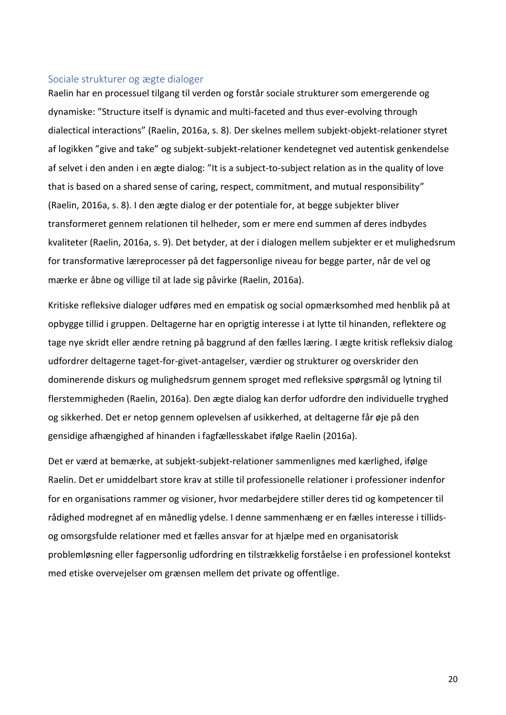#### <span id="page-24-0"></span>Sociale strukturer og ægte dialoger

Raelin har en processuel tilgang til verden og forstår sociale strukturer som emergerende og dynamiske: "Structure itself is dynamic and multi-faceted and thus ever-evolving through dialectical interactions" (Raelin, 2016a, s. 8). Der skelnes mellem subjekt-objekt-relationer styret af logikken "give and take" og subjekt-subjekt-relationer kendetegnet ved autentisk genkendelse af selvet i den anden i en ægte dialog: "It is a subject-to-subject relation as in the quality of love that is based on a shared sense of caring, respect, commitment, and mutual responsibility" (Raelin, 2016a, s. 8). I den ægte dialog er der potentiale for, at begge subjekter bliver transformeret gennem relationen til helheder, som er mere end summen af deres indbydes kvaliteter (Raelin, 2016a, s. 9). Det betyder, at der i dialogen mellem subjekter er et mulighedsrum for transformative læreprocesser på det fagpersonlige niveau for begge parter, når de vel og mærke er åbne og villige til at lade sig påvirke (Raelin, 2016a).

Kritiske refleksive dialoger udføres med en empatisk og social opmærksomhed med henblik på at opbygge tillid i gruppen. Deltagerne har en oprigtig interesse i at lytte til hinanden, reflektere og tage nye skridt eller ændre retning på baggrund af den fælles læring. I ægte kritisk refleksiv dialog udfordrer deltagerne taget-for-givet-antagelser, værdier og strukturer og overskrider den dominerende diskurs og mulighedsrum gennem sproget med refleksive spørgsmål og lytning til flerstemmigheden (Raelin, 2016a). Den ægte dialog kan derfor udfordre den individuelle tryghed og sikkerhed. Det er netop gennem oplevelsen af usikkerhed, at deltagerne får øje på den gensidige afhængighed af hinanden i fagfællesskabet ifølge Raelin (2016a).

Det er værd at bemærke, at subjekt-subjekt-relationer sammenlignes med kærlighed, ifølge Raelin. Det er umiddelbart store krav at stille til professionelle relationer i professioner indenfor for en organisations rammer og visioner, hvor medarbejdere stiller deres tid og kompetencer til rådighed modregnet af en månedlig ydelse. I denne sammenhæng er en fælles interesse i tillidsog omsorgsfulde relationer med et fælles ansvar for at hjælpe med en organisatorisk problemløsning eller fagpersonlig udfordring en tilstrækkelig forståelse i en professionel kontekst med etiske overvejelser om grænsen mellem det private og offentlige.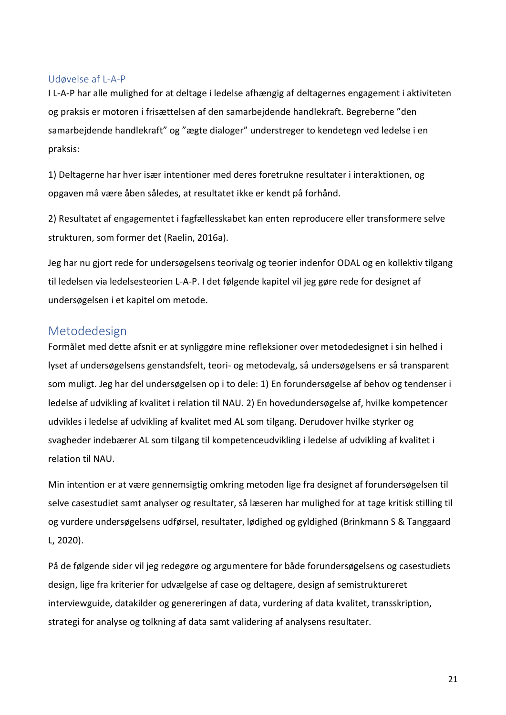#### <span id="page-25-0"></span>Udøvelse af L-A-P

I L-A-P har alle mulighed for at deltage i ledelse afhængig af deltagernes engagement i aktiviteten og praksis er motoren i frisættelsen af den samarbejdende handlekraft. Begreberne "den samarbejdende handlekraft" og "ægte dialoger" understreger to kendetegn ved ledelse i en praksis:

1) Deltagerne har hver især intentioner med deres foretrukne resultater i interaktionen, og opgaven må være åben således, at resultatet ikke er kendt på forhånd.

2) Resultatet af engagementet i fagfællesskabet kan enten reproducere eller transformere selve strukturen, som former det (Raelin, 2016a).

Jeg har nu gjort rede for undersøgelsens teorivalg og teorier indenfor ODAL og en kollektiv tilgang til ledelsen via ledelsesteorien L-A-P. I det følgende kapitel vil jeg gøre rede for designet af undersøgelsen i et kapitel om metode.

# <span id="page-25-1"></span>Metodedesign

Formålet med dette afsnit er at synliggøre mine refleksioner over metodedesignet i sin helhed i lyset af undersøgelsens genstandsfelt, teori- og metodevalg, så undersøgelsens er så transparent som muligt. Jeg har del undersøgelsen op i to dele: 1) En forundersøgelse af behov og tendenser i ledelse af udvikling af kvalitet i relation til NAU. 2) En hovedundersøgelse af, hvilke kompetencer udvikles i ledelse af udvikling af kvalitet med AL som tilgang. Derudover hvilke styrker og svagheder indebærer AL som tilgang til kompetenceudvikling i ledelse af udvikling af kvalitet i relation til NAU.

Min intention er at være gennemsigtig omkring metoden lige fra designet af forundersøgelsen til selve casestudiet samt analyser og resultater, så læseren har mulighed for at tage kritisk stilling til og vurdere undersøgelsens udførsel, resultater, lødighed og gyldighed (Brinkmann S & Tanggaard L, 2020).

På de følgende sider vil jeg redegøre og argumentere for både forundersøgelsens og casestudiets design, lige fra kriterier for udvælgelse af case og deltagere, design af semistruktureret interviewguide, datakilder og genereringen af data, vurdering af data kvalitet, transskription, strategi for analyse og tolkning af data samt validering af analysens resultater.

21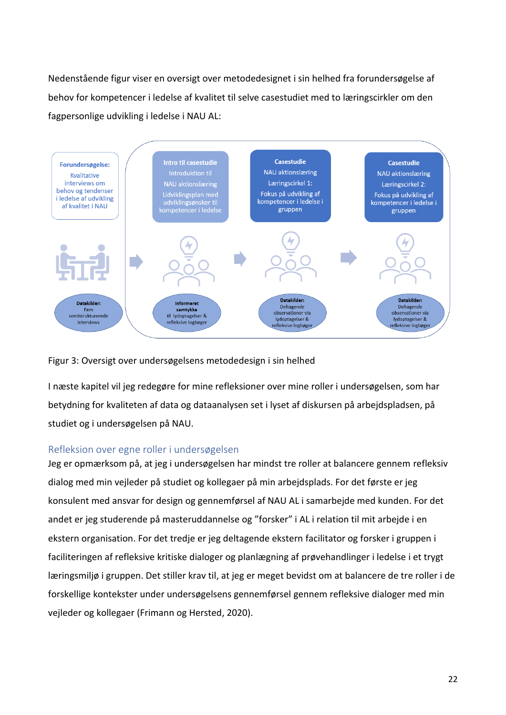Nedenstående figur viser en oversigt over metodedesignet i sin helhed fra forundersøgelse af behov for kompetencer i ledelse af kvalitet til selve casestudiet med to læringscirkler om den fagpersonlige udvikling i ledelse i NAU AL:



Figur 3: Oversigt over undersøgelsens metodedesign i sin helhed

I næste kapitel vil jeg redegøre for mine refleksioner over mine roller i undersøgelsen, som har betydning for kvaliteten af data og dataanalysen set i lyset af diskursen på arbejdspladsen, på studiet og i undersøgelsen på NAU.

# <span id="page-26-0"></span>Refleksion over egne roller i undersøgelsen

Jeg er opmærksom på, at jeg i undersøgelsen har mindst tre roller at balancere gennem refleksiv dialog med min vejleder på studiet og kollegaer på min arbejdsplads. For det første er jeg konsulent med ansvar for design og gennemførsel af NAU AL i samarbejde med kunden. For det andet er jeg studerende på masteruddannelse og "forsker" i AL i relation til mit arbejde i en ekstern organisation. For det tredje er jeg deltagende ekstern facilitator og forsker i gruppen i faciliteringen af refleksive kritiske dialoger og planlægning af prøvehandlinger i ledelse i et trygt læringsmiljø i gruppen. Det stiller krav til, at jeg er meget bevidst om at balancere de tre roller i de forskellige kontekster under undersøgelsens gennemførsel gennem refleksive dialoger med min vejleder og kollegaer (Frimann og Hersted, 2020).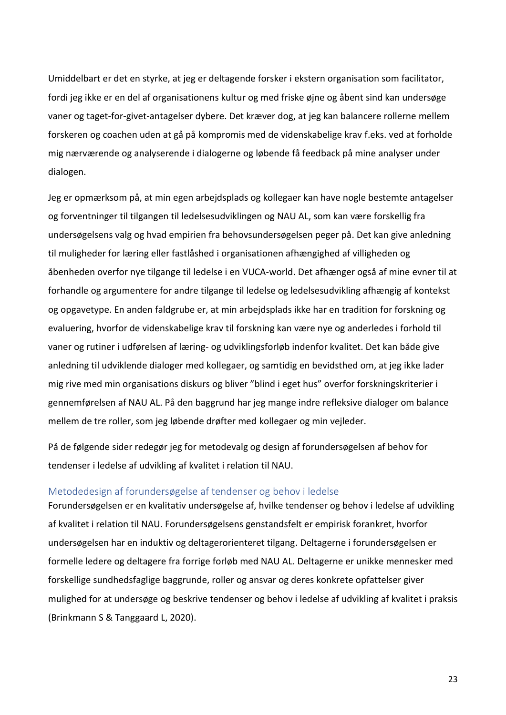Umiddelbart er det en styrke, at jeg er deltagende forsker i ekstern organisation som facilitator, fordi jeg ikke er en del af organisationens kultur og med friske øjne og åbent sind kan undersøge vaner og taget-for-givet-antagelser dybere. Det kræver dog, at jeg kan balancere rollerne mellem forskeren og coachen uden at gå på kompromis med de videnskabelige krav f.eks. ved at forholde mig nærværende og analyserende i dialogerne og løbende få feedback på mine analyser under dialogen.

Jeg er opmærksom på, at min egen arbejdsplads og kollegaer kan have nogle bestemte antagelser og forventninger til tilgangen til ledelsesudviklingen og NAU AL, som kan være forskellig fra undersøgelsens valg og hvad empirien fra behovsundersøgelsen peger på. Det kan give anledning til muligheder for læring eller fastlåshed i organisationen afhængighed af villigheden og åbenheden overfor nye tilgange til ledelse i en VUCA-world. Det afhænger også af mine evner til at forhandle og argumentere for andre tilgange til ledelse og ledelsesudvikling afhængig af kontekst og opgavetype. En anden faldgrube er, at min arbejdsplads ikke har en tradition for forskning og evaluering, hvorfor de videnskabelige krav til forskning kan være nye og anderledes i forhold til vaner og rutiner i udførelsen af læring- og udviklingsforløb indenfor kvalitet. Det kan både give anledning til udviklende dialoger med kollegaer, og samtidig en bevidsthed om, at jeg ikke lader mig rive med min organisations diskurs og bliver "blind i eget hus" overfor forskningskriterier i gennemførelsen af NAU AL. På den baggrund har jeg mange indre refleksive dialoger om balance mellem de tre roller, som jeg løbende drøfter med kollegaer og min vejleder.

På de følgende sider redegør jeg for metodevalg og design af forundersøgelsen af behov for tendenser i ledelse af udvikling af kvalitet i relation til NAU.

## <span id="page-27-0"></span>Metodedesign af forundersøgelse af tendenser og behov i ledelse

Forundersøgelsen er en kvalitativ undersøgelse af, hvilke tendenser og behov i ledelse af udvikling af kvalitet i relation til NAU. Forundersøgelsens genstandsfelt er empirisk forankret, hvorfor undersøgelsen har en induktiv og deltagerorienteret tilgang. Deltagerne i forundersøgelsen er formelle ledere og deltagere fra forrige forløb med NAU AL. Deltagerne er unikke mennesker med forskellige sundhedsfaglige baggrunde, roller og ansvar og deres konkrete opfattelser giver mulighed for at undersøge og beskrive tendenser og behov i ledelse af udvikling af kvalitet i praksis (Brinkmann S & Tanggaard L, 2020).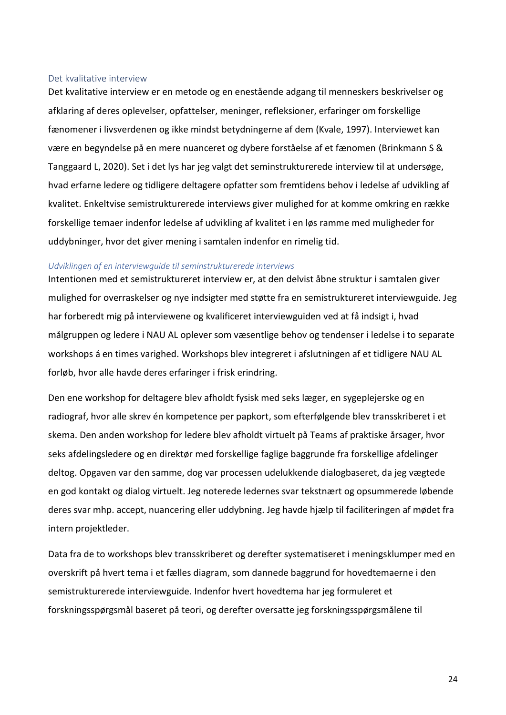#### <span id="page-28-0"></span>Det kvalitative interview

Det kvalitative interview er en metode og en enestående adgang til menneskers beskrivelser og afklaring af deres oplevelser, opfattelser, meninger, refleksioner, erfaringer om forskellige fænomener i livsverdenen og ikke mindst betydningerne af dem (Kvale, 1997). Interviewet kan være en begyndelse på en mere nuanceret og dybere forståelse af et fænomen (Brinkmann S & Tanggaard L, 2020). Set i det lys har jeg valgt det seminstrukturerede interview til at undersøge, hvad erfarne ledere og tidligere deltagere opfatter som fremtidens behov i ledelse af udvikling af kvalitet. Enkeltvise semistrukturerede interviews giver mulighed for at komme omkring en række forskellige temaer indenfor ledelse af udvikling af kvalitet i en løs ramme med muligheder for uddybninger, hvor det giver mening i samtalen indenfor en rimelig tid.

#### *Udviklingen af en interviewguide til seminstrukturerede interviews*

Intentionen med et semistruktureret interview er, at den delvist åbne struktur i samtalen giver mulighed for overraskelser og nye indsigter med støtte fra en semistruktureret interviewguide. Jeg har forberedt mig på interviewene og kvalificeret interviewguiden ved at få indsigt i, hvad målgruppen og ledere i NAU AL oplever som væsentlige behov og tendenser i ledelse i to separate workshops á en times varighed. Workshops blev integreret i afslutningen af et tidligere NAU AL forløb, hvor alle havde deres erfaringer i frisk erindring.

Den ene workshop for deltagere blev afholdt fysisk med seks læger, en sygeplejerske og en radiograf, hvor alle skrev én kompetence per papkort, som efterfølgende blev transskriberet i et skema. Den anden workshop for ledere blev afholdt virtuelt på Teams af praktiske årsager, hvor seks afdelingsledere og en direktør med forskellige faglige baggrunde fra forskellige afdelinger deltog. Opgaven var den samme, dog var processen udelukkende dialogbaseret, da jeg vægtede en god kontakt og dialog virtuelt. Jeg noterede ledernes svar tekstnært og opsummerede løbende deres svar mhp. accept, nuancering eller uddybning. Jeg havde hjælp til faciliteringen af mødet fra intern projektleder.

Data fra de to workshops blev transskriberet og derefter systematiseret i meningsklumper med en overskrift på hvert tema i et fælles diagram, som dannede baggrund for hovedtemaerne i den semistrukturerede interviewguide. Indenfor hvert hovedtema har jeg formuleret et forskningsspørgsmål baseret på teori, og derefter oversatte jeg forskningsspørgsmålene til

24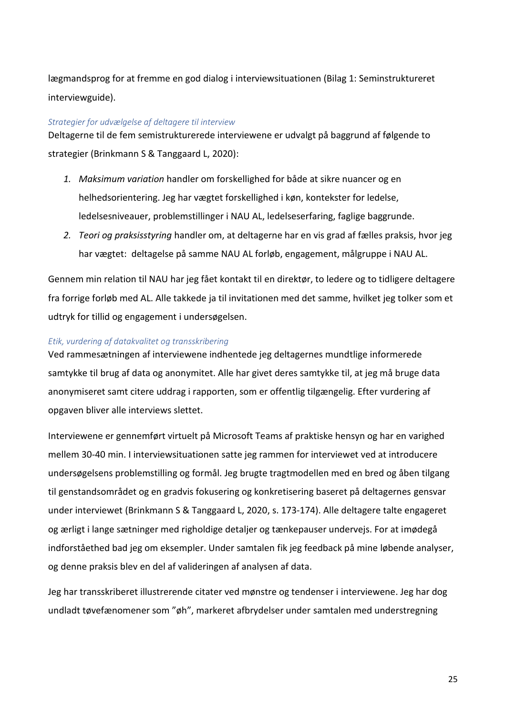lægmandsprog for at fremme en god dialog i interviewsituationen (Bilag 1: Seminstruktureret interviewguide).

#### *Strategier for udvælgelse af deltagere til interview*

Deltagerne til de fem semistrukturerede interviewene er udvalgt på baggrund af følgende to strategier (Brinkmann S & Tanggaard L, 2020):

- *1. Maksimum variation* handler om forskellighed for både at sikre nuancer og en helhedsorientering. Jeg har vægtet forskellighed i køn, kontekster for ledelse, ledelsesniveauer, problemstillinger i NAU AL, ledelseserfaring, faglige baggrunde.
- *2. Teori og praksisstyring* handler om, at deltagerne har en vis grad af fælles praksis, hvor jeg har vægtet: deltagelse på samme NAU AL forløb, engagement, målgruppe i NAU AL.

Gennem min relation til NAU har jeg fået kontakt til en direktør, to ledere og to tidligere deltagere fra forrige forløb med AL. Alle takkede ja til invitationen med det samme, hvilket jeg tolker som et udtryk for tillid og engagement i undersøgelsen.

### *Etik, vurdering af datakvalitet og transskribering*

Ved rammesætningen af interviewene indhentede jeg deltagernes mundtlige informerede samtykke til brug af data og anonymitet. Alle har givet deres samtykke til, at jeg må bruge data anonymiseret samt citere uddrag i rapporten, som er offentlig tilgængelig. Efter vurdering af opgaven bliver alle interviews slettet.

Interviewene er gennemført virtuelt på Microsoft Teams af praktiske hensyn og har en varighed mellem 30-40 min. I interviewsituationen satte jeg rammen for interviewet ved at introducere undersøgelsens problemstilling og formål. Jeg brugte tragtmodellen med en bred og åben tilgang til genstandsområdet og en gradvis fokusering og konkretisering baseret på deltagernes gensvar under interviewet (Brinkmann S & Tanggaard L, 2020, s. 173-174). Alle deltagere talte engageret og ærligt i lange sætninger med righoldige detaljer og tænkepauser undervejs. For at imødegå indforståethed bad jeg om eksempler. Under samtalen fik jeg feedback på mine løbende analyser, og denne praksis blev en del af valideringen af analysen af data.

Jeg har transskriberet illustrerende citater ved mønstre og tendenser i interviewene. Jeg har dog undladt tøvefænomener som "øh", markeret afbrydelser under samtalen med understregning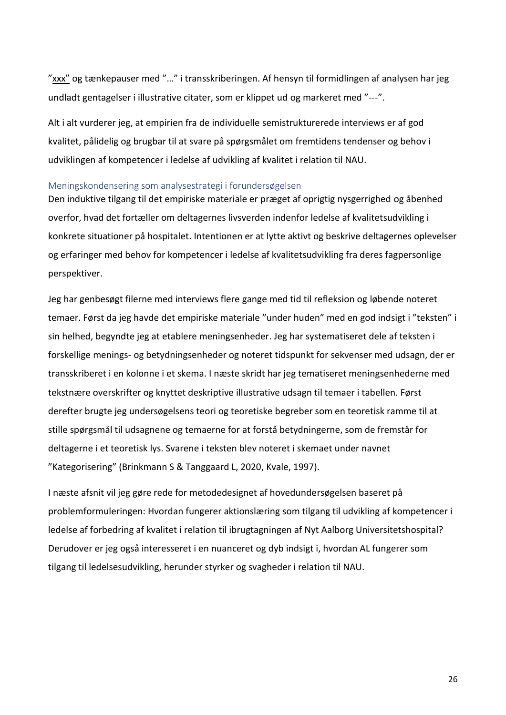"xxx" og tænkepauser med "..." i transskriberingen. Af hensyn til formidlingen af analysen har jeg undladt gentagelser i illustrative citater, som er klippet ud og markeret med "---".

Alt i alt vurderer jeg, at empirien fra de individuelle semistrukturerede interviews er af god kvalitet, pålidelig og brugbar til at svare på spørgsmålet om fremtidens tendenser og behov i udviklingen af kompetencer i ledelse af udvikling af kvalitet i relation til NAU.

#### <span id="page-30-0"></span>Meningskondensering som analysestrategi i forundersøgelsen

Den induktive tilgang til det empiriske materiale er præget af oprigtig nysgerrighed og åbenhed overfor, hvad det fortæller om deltagernes livsverden indenfor ledelse af kvalitetsudvikling i konkrete situationer på hospitalet. Intentionen er at lytte aktivt og beskrive deltagernes oplevelser og erfaringer med behov for kompetencer i ledelse af kvalitetsudvikling fra deres fagpersonlige perspektiver.

Jeg har genbesøgt filerne med interviews flere gange med tid til refleksion og løbende noteret temaer. Først da jeg havde det empiriske materiale "under huden" med en god indsigt i "teksten" i sin helhed, begyndte jeg at etablere meningsenheder. Jeg har systematiseret dele af teksten i forskellige menings- og betydningsenheder og noteret tidspunkt for sekvenser med udsagn, der er transskriberet i en kolonne i et skema. I næste skridt har jeg tematiseret meningsenhederne med tekstnære overskrifter og knyttet deskriptive illustrative udsagn til temaer i tabellen. Først derefter brugte jeg undersøgelsens teori og teoretiske begreber som en teoretisk ramme til at stille spørgsmål til udsagnene og temaerne for at forstå betydningerne, som de fremstår for deltagerne i et teoretisk lys. Svarene i teksten blev noteret i skemaet under navnet "Kategorisering" (Brinkmann S & Tanggaard L, 2020, Kvale, 1997).

I næste afsnit vil jeg gøre rede for metodedesignet af hovedundersøgelsen baseret på problemformuleringen: Hvordan fungerer aktionslæring som tilgang til udvikling af kompetencer i ledelse af forbedring af kvalitet i relation til ibrugtagningen af Nyt Aalborg Universitetshospital? Derudover er jeg også interesseret i en nuanceret og dyb indsigt i, hvordan AL fungerer som tilgang til ledelsesudvikling, herunder styrker og svagheder i relation til NAU.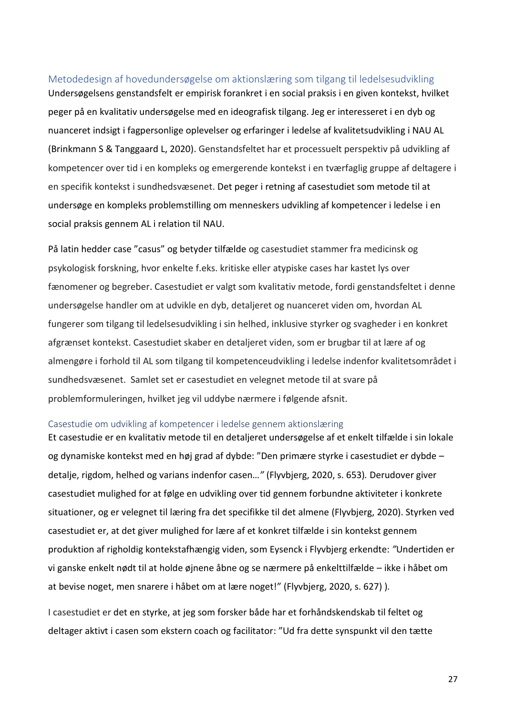# <span id="page-31-0"></span>Metodedesign af hovedundersøgelse om aktionslæring som tilgang til ledelsesudvikling

Undersøgelsens genstandsfelt er empirisk forankret i en social praksis i en given kontekst, hvilket peger på en kvalitativ undersøgelse med en ideografisk tilgang. Jeg er interesseret i en dyb og nuanceret indsigt i fagpersonlige oplevelser og erfaringer i ledelse af kvalitetsudvikling i NAU AL (Brinkmann S & Tanggaard L, 2020). Genstandsfeltet har et processuelt perspektiv på udvikling af kompetencer over tid i en kompleks og emergerende kontekst i en tværfaglig gruppe af deltagere i en specifik kontekst i sundhedsvæsenet. Det peger i retning af casestudiet som metode til at undersøge en kompleks problemstilling om menneskers udvikling af kompetencer i ledelse i en social praksis gennem AL i relation til NAU.

På latin hedder case "casus" og betyder tilfælde og casestudiet stammer fra medicinsk og psykologisk forskning, hvor enkelte f.eks. kritiske eller atypiske cases har kastet lys over fænomener og begreber. Casestudiet er valgt som kvalitativ metode, fordi genstandsfeltet i denne undersøgelse handler om at udvikle en dyb, detaljeret og nuanceret viden om, hvordan AL fungerer som tilgang til ledelsesudvikling i sin helhed, inklusive styrker og svagheder i en konkret afgrænset kontekst. Casestudiet skaber en detaljeret viden, som er brugbar til at lære af og almengøre i forhold til AL som tilgang til kompetenceudvikling i ledelse indenfor kvalitetsområdet i sundhedsvæsenet. Samlet set er casestudiet en velegnet metode til at svare på problemformuleringen, hvilket jeg vil uddybe nærmere i følgende afsnit.

#### <span id="page-31-1"></span>Casestudie om udvikling af kompetencer i ledelse gennem aktionslæring

Et casestudie er en kvalitativ metode til en detaljeret undersøgelse af et enkelt tilfælde i sin lokale og dynamiske kontekst med en høj grad af dybde: "Den primære styrke i casestudiet er dybde – detalje, rigdom, helhed og varians indenfor casen…*"* (Flyvbjerg, 2020, s. 653)*.* Derudover giver casestudiet mulighed for at følge en udvikling over tid gennem forbundne aktiviteter i konkrete situationer, og er velegnet til læring fra det specifikke til det almene (Flyvbjerg, 2020). Styrken ved casestudiet er, at det giver mulighed for lære af et konkret tilfælde i sin kontekst gennem produktion af righoldig kontekstafhængig viden, som Eysenck i Flyvbjerg erkendte: *"*Undertiden er vi ganske enkelt nødt til at holde øjnene åbne og se nærmere på enkelttilfælde – ikke i håbet om at bevise noget, men snarere i håbet om at lære noget!" (Flyvbjerg, 2020, s. 627) )*.*

I casestudiet er det en styrke, at jeg som forsker både har et forhåndskendskab til feltet og deltager aktivt i casen som ekstern coach og facilitator: "Ud fra dette synspunkt vil den tætte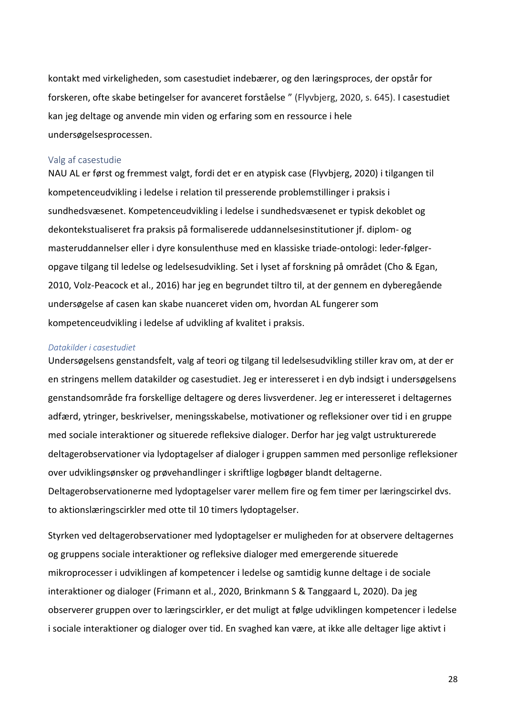kontakt med virkeligheden, som casestudiet indebærer, og den læringsproces, der opstår for forskeren, ofte skabe betingelser for avanceret forståelse " (Flyvbjerg, 2020, s. 645). I casestudiet kan jeg deltage og anvende min viden og erfaring som en ressource i hele undersøgelsesprocessen.

#### <span id="page-32-0"></span>Valg af casestudie

NAU AL er først og fremmest valgt, fordi det er en atypisk case (Flyvbjerg, 2020) i tilgangen til kompetenceudvikling i ledelse i relation til presserende problemstillinger i praksis i sundhedsvæsenet. Kompetenceudvikling i ledelse i sundhedsvæsenet er typisk dekoblet og dekontekstualiseret fra praksis på formaliserede uddannelsesinstitutioner jf. diplom- og masteruddannelser eller i dyre konsulenthuse med en klassiske triade-ontologi: leder-følgeropgave tilgang til ledelse og ledelsesudvikling. Set i lyset af forskning på området (Cho & Egan, 2010, Volz-Peacock et al., 2016) har jeg en begrundet tiltro til, at der gennem en dyberegående undersøgelse af casen kan skabe nuanceret viden om, hvordan AL fungerer som kompetenceudvikling i ledelse af udvikling af kvalitet i praksis.

#### *Datakilder i casestudiet*

Undersøgelsens genstandsfelt, valg af teori og tilgang til ledelsesudvikling stiller krav om, at der er en stringens mellem datakilder og casestudiet. Jeg er interesseret i en dyb indsigt i undersøgelsens genstandsområde fra forskellige deltagere og deres livsverdener. Jeg er interesseret i deltagernes adfærd, ytringer, beskrivelser, meningsskabelse, motivationer og refleksioner over tid i en gruppe med sociale interaktioner og situerede refleksive dialoger. Derfor har jeg valgt ustrukturerede deltagerobservationer via lydoptagelser af dialoger i gruppen sammen med personlige refleksioner over udviklingsønsker og prøvehandlinger i skriftlige logbøger blandt deltagerne. Deltagerobservationerne med lydoptagelser varer mellem fire og fem timer per læringscirkel dvs. to aktionslæringscirkler med otte til 10 timers lydoptagelser.

Styrken ved deltagerobservationer med lydoptagelser er muligheden for at observere deltagernes og gruppens sociale interaktioner og refleksive dialoger med emergerende situerede mikroprocesser i udviklingen af kompetencer i ledelse og samtidig kunne deltage i de sociale interaktioner og dialoger (Frimann et al., 2020, Brinkmann S & Tanggaard L, 2020). Da jeg observerer gruppen over to læringscirkler, er det muligt at følge udviklingen kompetencer i ledelse i sociale interaktioner og dialoger over tid. En svaghed kan være, at ikke alle deltager lige aktivt i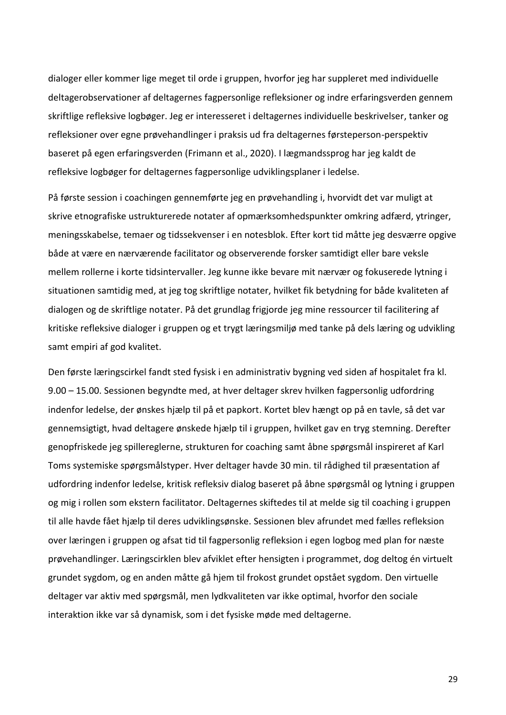dialoger eller kommer lige meget til orde i gruppen, hvorfor jeg har suppleret med individuelle deltagerobservationer af deltagernes fagpersonlige refleksioner og indre erfaringsverden gennem skriftlige refleksive logbøger. Jeg er interesseret i deltagernes individuelle beskrivelser, tanker og refleksioner over egne prøvehandlinger i praksis ud fra deltagernes førsteperson-perspektiv baseret på egen erfaringsverden (Frimann et al., 2020). I lægmandssprog har jeg kaldt de refleksive logbøger for deltagernes fagpersonlige udviklingsplaner i ledelse.

På første session i coachingen gennemførte jeg en prøvehandling i, hvorvidt det var muligt at skrive etnografiske ustrukturerede notater af opmærksomhedspunkter omkring adfærd, ytringer, meningsskabelse, temaer og tidssekvenser i en notesblok. Efter kort tid måtte jeg desværre opgive både at være en nærværende facilitator og observerende forsker samtidigt eller bare veksle mellem rollerne i korte tidsintervaller. Jeg kunne ikke bevare mit nærvær og fokuserede lytning i situationen samtidig med, at jeg tog skriftlige notater, hvilket fik betydning for både kvaliteten af dialogen og de skriftlige notater. På det grundlag frigjorde jeg mine ressourcer til facilitering af kritiske refleksive dialoger i gruppen og et trygt læringsmiljø med tanke på dels læring og udvikling samt empiri af god kvalitet.

Den første læringscirkel fandt sted fysisk i en administrativ bygning ved siden af hospitalet fra kl. 9.00 – 15.00. Sessionen begyndte med, at hver deltager skrev hvilken fagpersonlig udfordring indenfor ledelse, der ønskes hjælp til på et papkort. Kortet blev hængt op på en tavle, så det var gennemsigtigt, hvad deltagere ønskede hjælp til i gruppen, hvilket gav en tryg stemning. Derefter genopfriskede jeg spillereglerne, strukturen for coaching samt åbne spørgsmål inspireret af Karl Toms systemiske spørgsmålstyper. Hver deltager havde 30 min. til rådighed til præsentation af udfordring indenfor ledelse, kritisk refleksiv dialog baseret på åbne spørgsmål og lytning i gruppen og mig i rollen som ekstern facilitator. Deltagernes skiftedes til at melde sig til coaching i gruppen til alle havde fået hjælp til deres udviklingsønske. Sessionen blev afrundet med fælles refleksion over læringen i gruppen og afsat tid til fagpersonlig refleksion i egen logbog med plan for næste prøvehandlinger. Læringscirklen blev afviklet efter hensigten i programmet, dog deltog én virtuelt grundet sygdom, og en anden måtte gå hjem til frokost grundet opstået sygdom. Den virtuelle deltager var aktiv med spørgsmål, men lydkvaliteten var ikke optimal, hvorfor den sociale interaktion ikke var så dynamisk, som i det fysiske møde med deltagerne.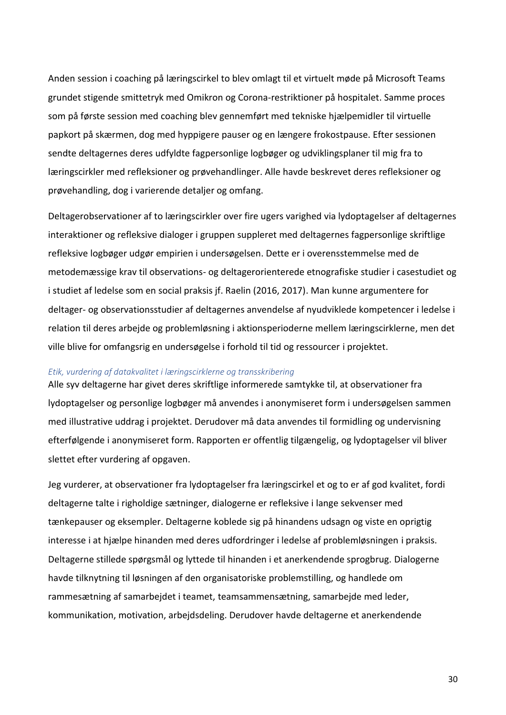Anden session i coaching på læringscirkel to blev omlagt til et virtuelt møde på Microsoft Teams grundet stigende smittetryk med Omikron og Corona-restriktioner på hospitalet. Samme proces som på første session med coaching blev gennemført med tekniske hjælpemidler til virtuelle papkort på skærmen, dog med hyppigere pauser og en længere frokostpause. Efter sessionen sendte deltagernes deres udfyldte fagpersonlige logbøger og udviklingsplaner til mig fra to læringscirkler med refleksioner og prøvehandlinger. Alle havde beskrevet deres refleksioner og prøvehandling, dog i varierende detaljer og omfang.

Deltagerobservationer af to læringscirkler over fire ugers varighed via lydoptagelser af deltagernes interaktioner og refleksive dialoger i gruppen suppleret med deltagernes fagpersonlige skriftlige refleksive logbøger udgør empirien i undersøgelsen. Dette er i overensstemmelse med de metodemæssige krav til observations- og deltagerorienterede etnografiske studier i casestudiet og i studiet af ledelse som en social praksis jf. Raelin (2016, 2017). Man kunne argumentere for deltager- og observationsstudier af deltagernes anvendelse af nyudviklede kompetencer i ledelse i relation til deres arbejde og problemløsning i aktionsperioderne mellem læringscirklerne, men det ville blive for omfangsrig en undersøgelse i forhold til tid og ressourcer i projektet.

#### *Etik, vurdering af datakvalitet i læringscirklerne og transskribering*

Alle syv deltagerne har givet deres skriftlige informerede samtykke til, at observationer fra lydoptagelser og personlige logbøger må anvendes i anonymiseret form i undersøgelsen sammen med illustrative uddrag i projektet. Derudover må data anvendes til formidling og undervisning efterfølgende i anonymiseret form. Rapporten er offentlig tilgængelig, og lydoptagelser vil bliver slettet efter vurdering af opgaven.

Jeg vurderer, at observationer fra lydoptagelser fra læringscirkel et og to er af god kvalitet, fordi deltagerne talte i righoldige sætninger, dialogerne er refleksive i lange sekvenser med tænkepauser og eksempler. Deltagerne koblede sig på hinandens udsagn og viste en oprigtig interesse i at hjælpe hinanden med deres udfordringer i ledelse af problemløsningen i praksis. Deltagerne stillede spørgsmål og lyttede til hinanden i et anerkendende sprogbrug. Dialogerne havde tilknytning til løsningen af den organisatoriske problemstilling, og handlede om rammesætning af samarbejdet i teamet, teamsammensætning, samarbejde med leder, kommunikation, motivation, arbejdsdeling. Derudover havde deltagerne et anerkendende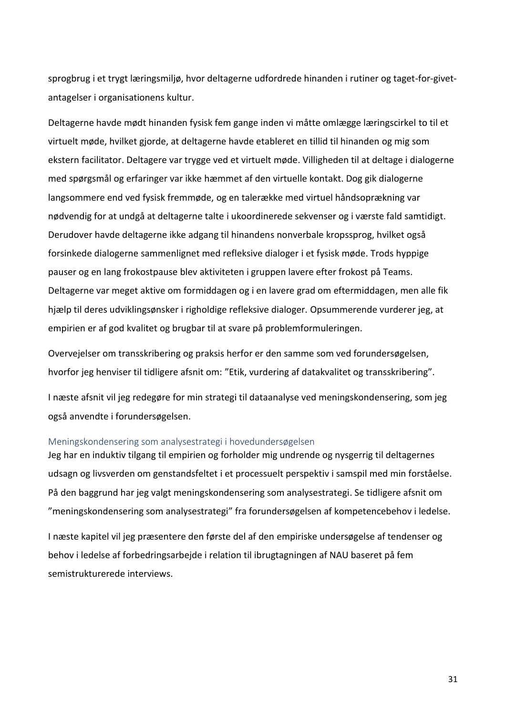sprogbrug i et trygt læringsmiljø, hvor deltagerne udfordrede hinanden i rutiner og taget-for-givetantagelser i organisationens kultur.

Deltagerne havde mødt hinanden fysisk fem gange inden vi måtte omlægge læringscirkel to til et virtuelt møde, hvilket gjorde, at deltagerne havde etableret en tillid til hinanden og mig som ekstern facilitator. Deltagere var trygge ved et virtuelt møde. Villigheden til at deltage i dialogerne med spørgsmål og erfaringer var ikke hæmmet af den virtuelle kontakt. Dog gik dialogerne langsommere end ved fysisk fremmøde, og en talerække med virtuel håndsoprækning var nødvendig for at undgå at deltagerne talte i ukoordinerede sekvenser og i værste fald samtidigt. Derudover havde deltagerne ikke adgang til hinandens nonverbale kropssprog, hvilket også forsinkede dialogerne sammenlignet med refleksive dialoger i et fysisk møde. Trods hyppige pauser og en lang frokostpause blev aktiviteten i gruppen lavere efter frokost på Teams. Deltagerne var meget aktive om formiddagen og i en lavere grad om eftermiddagen, men alle fik hjælp til deres udviklingsønsker i righoldige refleksive dialoger. Opsummerende vurderer jeg, at empirien er af god kvalitet og brugbar til at svare på problemformuleringen.

Overvejelser om transskribering og praksis herfor er den samme som ved forundersøgelsen, hvorfor jeg henviser til tidligere afsnit om: "Etik, vurdering af datakvalitet og transskribering".

I næste afsnit vil jeg redegøre for min strategi til dataanalyse ved meningskondensering, som jeg også anvendte i forundersøgelsen.

#### <span id="page-35-0"></span>Meningskondensering som analysestrategi i hovedundersøgelsen

Jeg har en induktiv tilgang til empirien og forholder mig undrende og nysgerrig til deltagernes udsagn og livsverden om genstandsfeltet i et processuelt perspektiv i samspil med min forståelse. På den baggrund har jeg valgt meningskondensering som analysestrategi. Se tidligere afsnit om "meningskondensering som analysestrategi" fra forundersøgelsen af kompetencebehov i ledelse.

I næste kapitel vil jeg præsentere den første del af den empiriske undersøgelse af tendenser og behov i ledelse af forbedringsarbejde i relation til ibrugtagningen af NAU baseret på fem semistrukturerede interviews.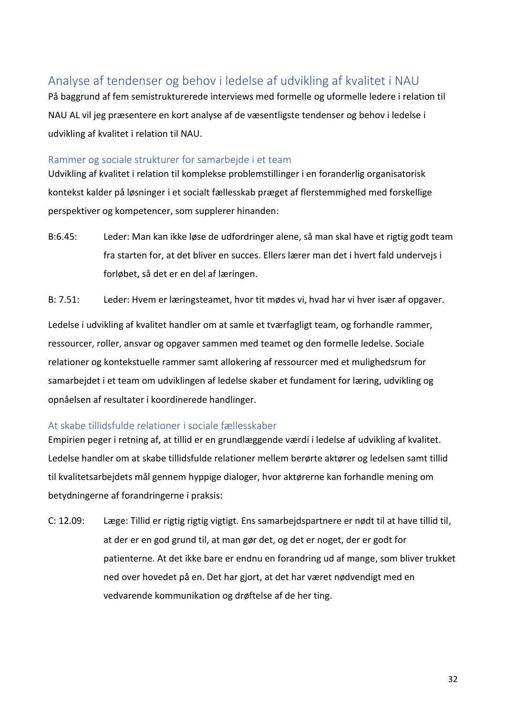# <span id="page-36-0"></span>Analyse af tendenser og behov i ledelse af udvikling af kvalitet i NAU

På baggrund af fem semistrukturerede interviews med formelle og uformelle ledere i relation til NAU AL vil jeg præsentere en kort analyse af de væsentligste tendenser og behov i ledelse i udvikling af kvalitet i relation til NAU.

## <span id="page-36-1"></span>Rammer og sociale strukturer for samarbejde i et team

Udvikling af kvalitet i relation til komplekse problemstillinger i en foranderlig organisatorisk kontekst kalder på løsninger i et socialt fællesskab præget af flerstemmighed med forskellige perspektiver og kompetencer, som supplerer hinanden:

B:6.45: Leder: Man kan ikke løse de udfordringer alene, så man skal have et rigtig godt team fra starten for, at det bliver en succes. Ellers lærer man det i hvert fald undervejs i forløbet, så det er en del af læringen.

B: 7.51: Leder: Hvem er læringsteamet, hvor tit mødes vi, hvad har vi hver især af opgaver.

Ledelse i udvikling af kvalitet handler om at samle et tværfagligt team, og forhandle rammer, ressourcer, roller, ansvar og opgaver sammen med teamet og den formelle ledelse. Sociale relationer og kontekstuelle rammer samt allokering af ressourcer med et mulighedsrum for samarbejdet i et team om udviklingen af ledelse skaber et fundament for læring, udvikling og opnåelsen af resultater i koordinerede handlinger.

# <span id="page-36-2"></span>At skabe tillidsfulde relationer i sociale fællesskaber

Empirien peger i retning af, at tillid er en grundlæggende værdi i ledelse af udvikling af kvalitet. Ledelse handler om at skabe tillidsfulde relationer mellem berørte aktører og ledelsen samt tillid til kvalitetsarbejdets mål gennem hyppige dialoger, hvor aktørerne kan forhandle mening om betydningerne af forandringerne i praksis:

C: 12.09: Læge: Tillid er rigtig rigtig vigtigt. Ens samarbejdspartnere er nødt til at have tillid til, at der er en god grund til, at man gør det, og det er noget, der er godt for patienterne. At det ikke bare er endnu en forandring ud af mange, som bliver trukket ned over hovedet på en. Det har gjort, at det har været nødvendigt med en vedvarende kommunikation og drøftelse af de her ting.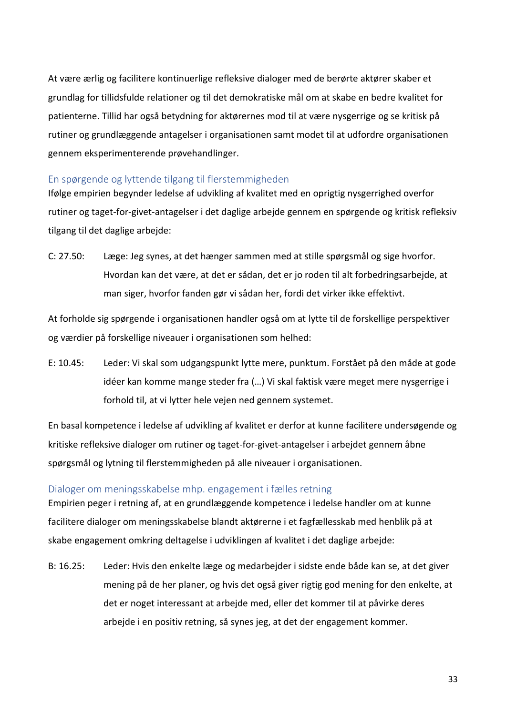At være ærlig og facilitere kontinuerlige refleksive dialoger med de berørte aktører skaber et grundlag for tillidsfulde relationer og til det demokratiske mål om at skabe en bedre kvalitet for patienterne. Tillid har også betydning for aktørernes mod til at være nysgerrige og se kritisk på rutiner og grundlæggende antagelser i organisationen samt modet til at udfordre organisationen gennem eksperimenterende prøvehandlinger.

# <span id="page-37-0"></span>En spørgende og lyttende tilgang til flerstemmigheden

Ifølge empirien begynder ledelse af udvikling af kvalitet med en oprigtig nysgerrighed overfor rutiner og taget-for-givet-antagelser i det daglige arbejde gennem en spørgende og kritisk refleksiv tilgang til det daglige arbejde:

C: 27.50: Læge: Jeg synes, at det hænger sammen med at stille spørgsmål og sige hvorfor. Hvordan kan det være, at det er sådan, det er jo roden til alt forbedringsarbejde, at man siger, hvorfor fanden gør vi sådan her, fordi det virker ikke effektivt.

At forholde sig spørgende i organisationen handler også om at lytte til de forskellige perspektiver og værdier på forskellige niveauer i organisationen som helhed:

E: 10.45: Leder: Vi skal som udgangspunkt lytte mere, punktum. Forstået på den måde at gode idéer kan komme mange steder fra (…) Vi skal faktisk være meget mere nysgerrige i forhold til, at vi lytter hele vejen ned gennem systemet.

En basal kompetence i ledelse af udvikling af kvalitet er derfor at kunne facilitere undersøgende og kritiske refleksive dialoger om rutiner og taget-for-givet-antagelser i arbejdet gennem åbne spørgsmål og lytning til flerstemmigheden på alle niveauer i organisationen.

# <span id="page-37-1"></span>Dialoger om meningsskabelse mhp. engagement i fælles retning

Empirien peger i retning af, at en grundlæggende kompetence i ledelse handler om at kunne facilitere dialoger om meningsskabelse blandt aktørerne i et fagfællesskab med henblik på at skabe engagement omkring deltagelse i udviklingen af kvalitet i det daglige arbejde:

B: 16.25: Leder: Hvis den enkelte læge og medarbejder i sidste ende både kan se, at det giver mening på de her planer, og hvis det også giver rigtig god mening for den enkelte, at det er noget interessant at arbejde med, eller det kommer til at påvirke deres arbejde i en positiv retning, så synes jeg, at det der engagement kommer.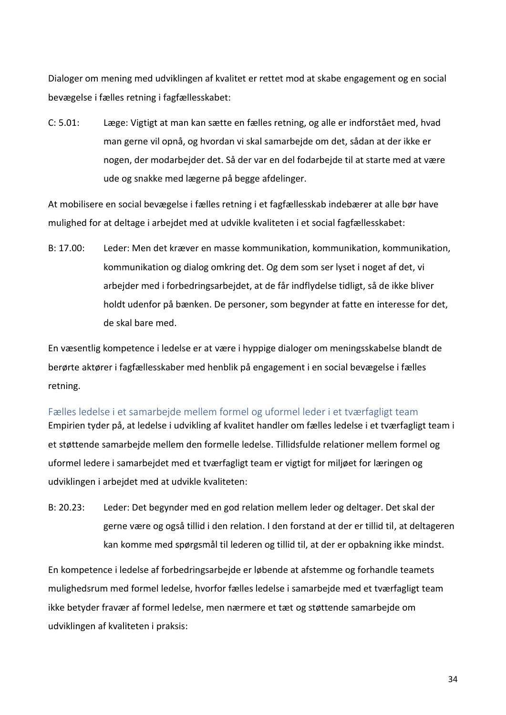Dialoger om mening med udviklingen af kvalitet er rettet mod at skabe engagement og en social bevægelse i fælles retning i fagfællesskabet:

C: 5.01: Læge: Vigtigt at man kan sætte en fælles retning, og alle er indforstået med, hvad man gerne vil opnå, og hvordan vi skal samarbejde om det, sådan at der ikke er nogen, der modarbejder det. Så der var en del fodarbejde til at starte med at være ude og snakke med lægerne på begge afdelinger.

At mobilisere en social bevægelse i fælles retning i et fagfællesskab indebærer at alle bør have mulighed for at deltage i arbejdet med at udvikle kvaliteten i et social fagfællesskabet:

B: 17.00: Leder: Men det kræver en masse kommunikation, kommunikation, kommunikation, kommunikation og dialog omkring det. Og dem som ser lyset i noget af det, vi arbejder med i forbedringsarbejdet, at de får indflydelse tidligt, så de ikke bliver holdt udenfor på bænken. De personer, som begynder at fatte en interesse for det, de skal bare med.

En væsentlig kompetence i ledelse er at være i hyppige dialoger om meningsskabelse blandt de berørte aktører i fagfællesskaber med henblik på engagement i en social bevægelse i fælles retning.

<span id="page-38-0"></span>Fælles ledelse i et samarbejde mellem formel og uformel leder i et tværfagligt team Empirien tyder på, at ledelse i udvikling af kvalitet handler om fælles ledelse i et tværfagligt team i et støttende samarbejde mellem den formelle ledelse. Tillidsfulde relationer mellem formel og uformel ledere i samarbejdet med et tværfagligt team er vigtigt for miljøet for læringen og udviklingen i arbejdet med at udvikle kvaliteten:

B: 20.23: Leder: Det begynder med en god relation mellem leder og deltager. Det skal der gerne være og også tillid i den relation. I den forstand at der er tillid til, at deltageren kan komme med spørgsmål til lederen og tillid til, at der er opbakning ikke mindst.

En kompetence i ledelse af forbedringsarbejde er løbende at afstemme og forhandle teamets mulighedsrum med formel ledelse, hvorfor fælles ledelse i samarbejde med et tværfagligt team ikke betyder fravær af formel ledelse, men nærmere et tæt og støttende samarbejde om udviklingen af kvaliteten i praksis: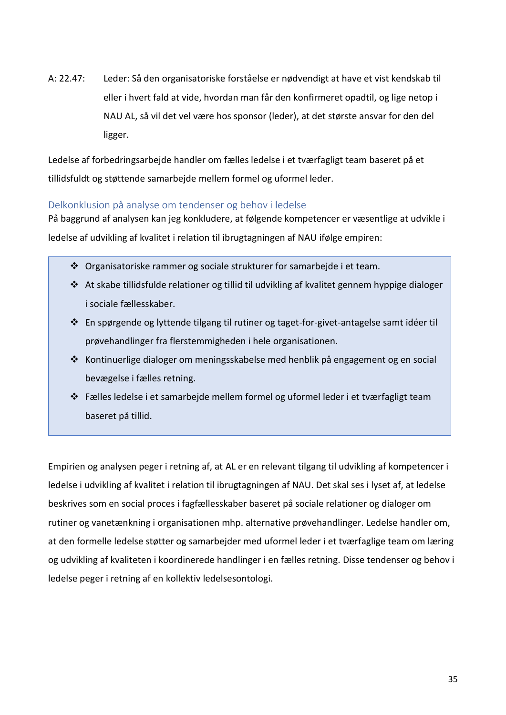A: 22.47: Leder: Så den organisatoriske forståelse er nødvendigt at have et vist kendskab til eller i hvert fald at vide, hvordan man får den konfirmeret opadtil, og lige netop i NAU AL, så vil det vel være hos sponsor (leder), at det største ansvar for den del ligger.

Ledelse af forbedringsarbejde handler om fælles ledelse i et tværfagligt team baseret på et tillidsfuldt og støttende samarbejde mellem formel og uformel leder.

# <span id="page-39-0"></span>Delkonklusion på analyse om tendenser og behov i ledelse

På baggrund af analysen kan jeg konkludere, at følgende kompetencer er væsentlige at udvikle i ledelse af udvikling af kvalitet i relation til ibrugtagningen af NAU ifølge empiren:

- ❖ Organisatoriske rammer og sociale strukturer for samarbejde i et team.
- ❖ At skabe tillidsfulde relationer og tillid til udvikling af kvalitet gennem hyppige dialoger i sociale fællesskaber.
- ❖ En spørgende og lyttende tilgang til rutiner og taget-for-givet-antagelse samt idéer til prøvehandlinger fra flerstemmigheden i hele organisationen.
- ❖ Kontinuerlige dialoger om meningsskabelse med henblik på engagement og en social bevægelse i fælles retning.
- ❖ Fælles ledelse i et samarbejde mellem formel og uformel leder i et tværfagligt team baseret på tillid.

Empirien og analysen peger i retning af, at AL er en relevant tilgang til udvikling af kompetencer i ledelse i udvikling af kvalitet i relation til ibrugtagningen af NAU. Det skal ses i lyset af, at ledelse beskrives som en social proces i fagfællesskaber baseret på sociale relationer og dialoger om rutiner og vanetænkning i organisationen mhp. alternative prøvehandlinger. Ledelse handler om, at den formelle ledelse støtter og samarbejder med uformel leder i et tværfaglige team om læring og udvikling af kvaliteten i koordinerede handlinger i en fælles retning. Disse tendenser og behov i ledelse peger i retning af en kollektiv ledelsesontologi.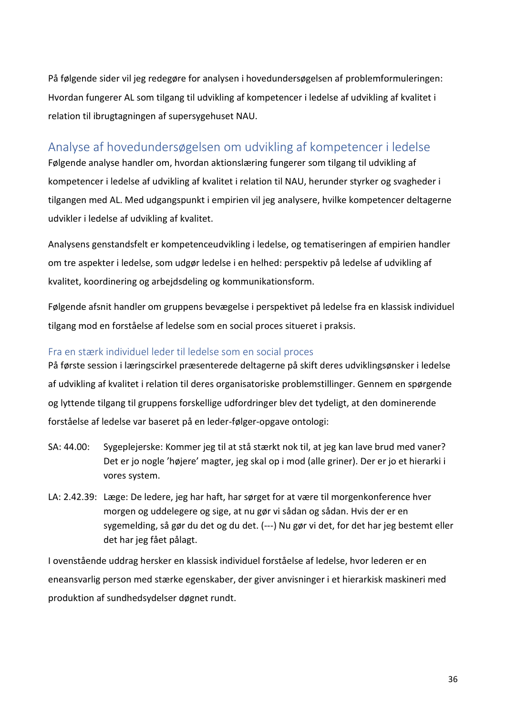På følgende sider vil jeg redegøre for analysen i hovedundersøgelsen af problemformuleringen: Hvordan fungerer AL som tilgang til udvikling af kompetencer i ledelse af udvikling af kvalitet i relation til ibrugtagningen af supersygehuset NAU.

# <span id="page-40-0"></span>Analyse af hovedundersøgelsen om udvikling af kompetencer i ledelse

Følgende analyse handler om, hvordan aktionslæring fungerer som tilgang til udvikling af kompetencer i ledelse af udvikling af kvalitet i relation til NAU, herunder styrker og svagheder i tilgangen med AL. Med udgangspunkt i empirien vil jeg analysere, hvilke kompetencer deltagerne udvikler i ledelse af udvikling af kvalitet.

Analysens genstandsfelt er kompetenceudvikling i ledelse, og tematiseringen af empirien handler om tre aspekter i ledelse, som udgør ledelse i en helhed: perspektiv på ledelse af udvikling af kvalitet, koordinering og arbejdsdeling og kommunikationsform.

Følgende afsnit handler om gruppens bevægelse i perspektivet på ledelse fra en klassisk individuel tilgang mod en forståelse af ledelse som en social proces situeret i praksis.

# <span id="page-40-1"></span>Fra en stærk individuel leder til ledelse som en social proces

På første session i læringscirkel præsenterede deltagerne på skift deres udviklingsønsker i ledelse af udvikling af kvalitet i relation til deres organisatoriske problemstillinger. Gennem en spørgende og lyttende tilgang til gruppens forskellige udfordringer blev det tydeligt, at den dominerende forståelse af ledelse var baseret på en leder-følger-opgave ontologi:

- SA: 44.00: Sygeplejerske: Kommer jeg til at stå stærkt nok til, at jeg kan lave brud med vaner? Det er jo nogle 'højere' magter, jeg skal op i mod (alle griner). Der er jo et hierarki i vores system.
- LA: 2.42.39: Læge: De ledere, jeg har haft, har sørget for at være til morgenkonference hver morgen og uddelegere og sige, at nu gør vi sådan og sådan. Hvis der er en sygemelding, så gør du det og du det. (---) Nu gør vi det, for det har jeg bestemt eller det har jeg fået pålagt.

I ovenstående uddrag hersker en klassisk individuel forståelse af ledelse, hvor lederen er en eneansvarlig person med stærke egenskaber, der giver anvisninger i et hierarkisk maskineri med produktion af sundhedsydelser døgnet rundt.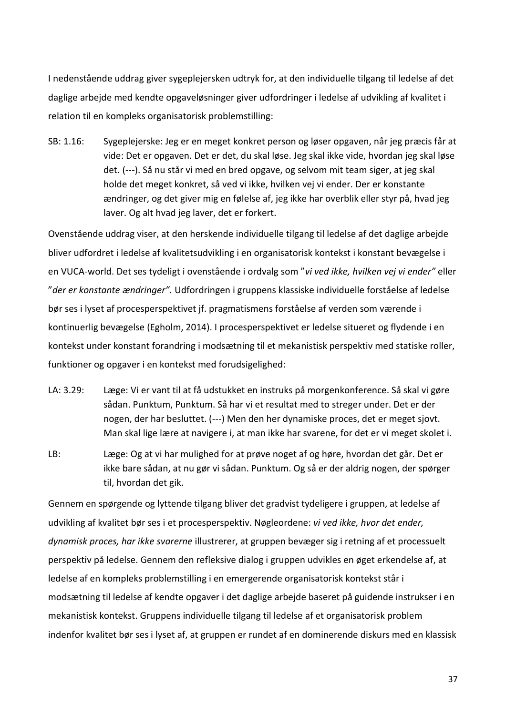I nedenstående uddrag giver sygeplejersken udtryk for, at den individuelle tilgang til ledelse af det daglige arbejde med kendte opgaveløsninger giver udfordringer i ledelse af udvikling af kvalitet i relation til en kompleks organisatorisk problemstilling:

SB: 1.16: Sygeplejerske: Jeg er en meget konkret person og løser opgaven, når jeg præcis får at vide: Det er opgaven. Det er det, du skal løse. Jeg skal ikke vide, hvordan jeg skal løse det. (---). Så nu står vi med en bred opgave, og selvom mit team siger, at jeg skal holde det meget konkret, så ved vi ikke, hvilken vej vi ender. Der er konstante ændringer, og det giver mig en følelse af, jeg ikke har overblik eller styr på, hvad jeg laver. Og alt hvad jeg laver, det er forkert.

Ovenstående uddrag viser, at den herskende individuelle tilgang til ledelse af det daglige arbejde bliver udfordret i ledelse af kvalitetsudvikling i en organisatorisk kontekst i konstant bevægelse i en VUCA-world. Det ses tydeligt i ovenstående i ordvalg som "*vi ved ikke, hvilken vej vi ender"* eller "*der er konstante ændringer".* Udfordringen i gruppens klassiske individuelle forståelse af ledelse bør ses i lyset af procesperspektivet jf. pragmatismens forståelse af verden som værende i kontinuerlig bevægelse (Egholm, 2014). I procesperspektivet er ledelse situeret og flydende i en kontekst under konstant forandring i modsætning til et mekanistisk perspektiv med statiske roller, funktioner og opgaver i en kontekst med forudsigelighed:

- LA: 3.29: Læge: Vi er vant til at få udstukket en instruks på morgenkonference. Så skal vi gøre sådan. Punktum, Punktum. Så har vi et resultat med to streger under. Det er der nogen, der har besluttet. (---) Men den her dynamiske proces, det er meget sjovt. Man skal lige lære at navigere i, at man ikke har svarene, for det er vi meget skolet i.
- LB: Læge: Og at vi har mulighed for at prøve noget af og høre, hvordan det går. Det er ikke bare sådan, at nu gør vi sådan. Punktum. Og så er der aldrig nogen, der spørger til, hvordan det gik.

Gennem en spørgende og lyttende tilgang bliver det gradvist tydeligere i gruppen, at ledelse af udvikling af kvalitet bør ses i et procesperspektiv. Nøgleordene: *vi ved ikke, hvor det ender, dynamisk proces, har ikke svarerne* illustrerer, at gruppen bevæger sig i retning af et processuelt perspektiv på ledelse. Gennem den refleksive dialog i gruppen udvikles en øget erkendelse af, at ledelse af en kompleks problemstilling i en emergerende organisatorisk kontekst står i modsætning til ledelse af kendte opgaver i det daglige arbejde baseret på guidende instrukser i en mekanistisk kontekst. Gruppens individuelle tilgang til ledelse af et organisatorisk problem indenfor kvalitet bør ses i lyset af, at gruppen er rundet af en dominerende diskurs med en klassisk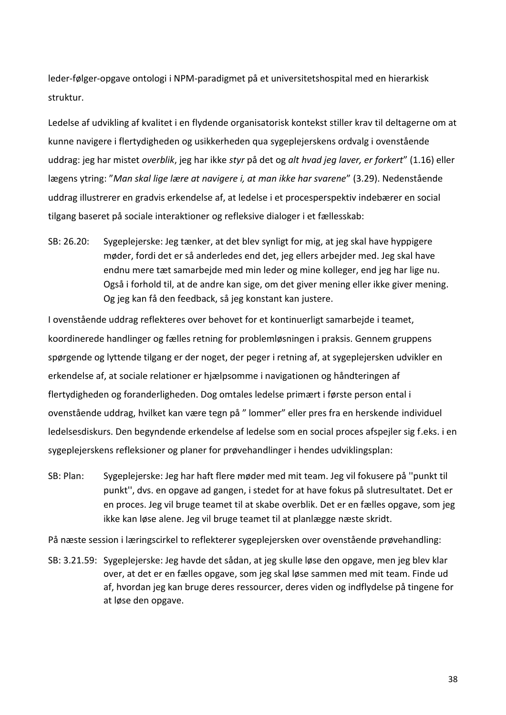leder-følger-opgave ontologi i NPM-paradigmet på et universitetshospital med en hierarkisk struktur.

Ledelse af udvikling af kvalitet i en flydende organisatorisk kontekst stiller krav til deltagerne om at kunne navigere i flertydigheden og usikkerheden qua sygeplejerskens ordvalg i ovenstående uddrag: jeg har mistet *overblik*, jeg har ikke *styr* på det og *alt hvad jeg laver, er forkert*" (1.16) eller lægens ytring: "*Man skal lige lære at navigere i, at man ikke har svarene*" (3.29). Nedenstående uddrag illustrerer en gradvis erkendelse af, at ledelse i et procesperspektiv indebærer en social tilgang baseret på sociale interaktioner og refleksive dialoger i et fællesskab:

SB: 26.20: Sygeplejerske: Jeg tænker, at det blev synligt for mig, at jeg skal have hyppigere møder, fordi det er så anderledes end det, jeg ellers arbejder med. Jeg skal have endnu mere tæt samarbejde med min leder og mine kolleger, end jeg har lige nu. Også i forhold til, at de andre kan sige, om det giver mening eller ikke giver mening. Og jeg kan få den feedback, så jeg konstant kan justere.

I ovenstående uddrag reflekteres over behovet for et kontinuerligt samarbejde i teamet, koordinerede handlinger og fælles retning for problemløsningen i praksis. Gennem gruppens spørgende og lyttende tilgang er der noget, der peger i retning af, at sygeplejersken udvikler en erkendelse af, at sociale relationer er hjælpsomme i navigationen og håndteringen af flertydigheden og foranderligheden. Dog omtales ledelse primært i første person ental i ovenstående uddrag, hvilket kan være tegn på " lommer" eller pres fra en herskende individuel ledelsesdiskurs. Den begyndende erkendelse af ledelse som en social proces afspejler sig f.eks. i en sygeplejerskens refleksioner og planer for prøvehandlinger i hendes udviklingsplan:

SB: Plan: Sygeplejerske: Jeg har haft flere møder med mit team. Jeg vil fokusere på ''punkt til punkt'', dvs. en opgave ad gangen, i stedet for at have fokus på slutresultatet. Det er en proces. Jeg vil bruge teamet til at skabe overblik. Det er en fælles opgave, som jeg ikke kan løse alene. Jeg vil bruge teamet til at planlægge næste skridt.

På næste session i læringscirkel to reflekterer sygeplejersken over ovenstående prøvehandling:

SB: 3.21.59: Sygeplejerske: Jeg havde det sådan, at jeg skulle løse den opgave, men jeg blev klar over, at det er en fælles opgave, som jeg skal løse sammen med mit team. Finde ud af, hvordan jeg kan bruge deres ressourcer, deres viden og indflydelse på tingene for at løse den opgave.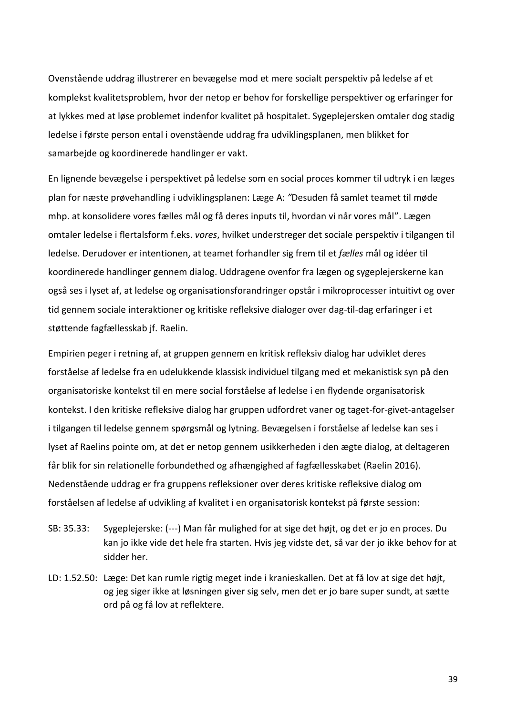Ovenstående uddrag illustrerer en bevægelse mod et mere socialt perspektiv på ledelse af et komplekst kvalitetsproblem, hvor der netop er behov for forskellige perspektiver og erfaringer for at lykkes med at løse problemet indenfor kvalitet på hospitalet. Sygeplejersken omtaler dog stadig ledelse i første person ental i ovenstående uddrag fra udviklingsplanen, men blikket for samarbejde og koordinerede handlinger er vakt.

En lignende bevægelse i perspektivet på ledelse som en social proces kommer til udtryk i en læges plan for næste prøvehandling i udviklingsplanen: Læge A: *"*Desuden få samlet teamet til møde mhp. at konsolidere vores fælles mål og få deres inputs til, hvordan vi når vores mål". Lægen omtaler ledelse i flertalsform f.eks. *vores*, hvilket understreger det sociale perspektiv i tilgangen til ledelse. Derudover er intentionen, at teamet forhandler sig frem til et *fælles* mål og idéer til koordinerede handlinger gennem dialog. Uddragene ovenfor fra lægen og sygeplejerskerne kan også ses i lyset af, at ledelse og organisationsforandringer opstår i mikroprocesser intuitivt og over tid gennem sociale interaktioner og kritiske refleksive dialoger over dag-til-dag erfaringer i et støttende fagfællesskab jf. Raelin.

Empirien peger i retning af, at gruppen gennem en kritisk refleksiv dialog har udviklet deres forståelse af ledelse fra en udelukkende klassisk individuel tilgang med et mekanistisk syn på den organisatoriske kontekst til en mere social forståelse af ledelse i en flydende organisatorisk kontekst. I den kritiske refleksive dialog har gruppen udfordret vaner og taget-for-givet-antagelser i tilgangen til ledelse gennem spørgsmål og lytning. Bevægelsen i forståelse af ledelse kan ses i lyset af Raelins pointe om, at det er netop gennem usikkerheden i den ægte dialog, at deltageren får blik for sin relationelle forbundethed og afhængighed af fagfællesskabet (Raelin 2016). Nedenstående uddrag er fra gruppens refleksioner over deres kritiske refleksive dialog om forståelsen af ledelse af udvikling af kvalitet i en organisatorisk kontekst på første session:

- SB: 35.33: Sygeplejerske: (---) Man får mulighed for at sige det højt, og det er jo en proces. Du kan jo ikke vide det hele fra starten. Hvis jeg vidste det, så var der jo ikke behov for at sidder her.
- LD: 1.52.50: Læge: Det kan rumle rigtig meget inde i kranieskallen. Det at få lov at sige det højt, og jeg siger ikke at løsningen giver sig selv, men det er jo bare super sundt, at sætte ord på og få lov at reflektere.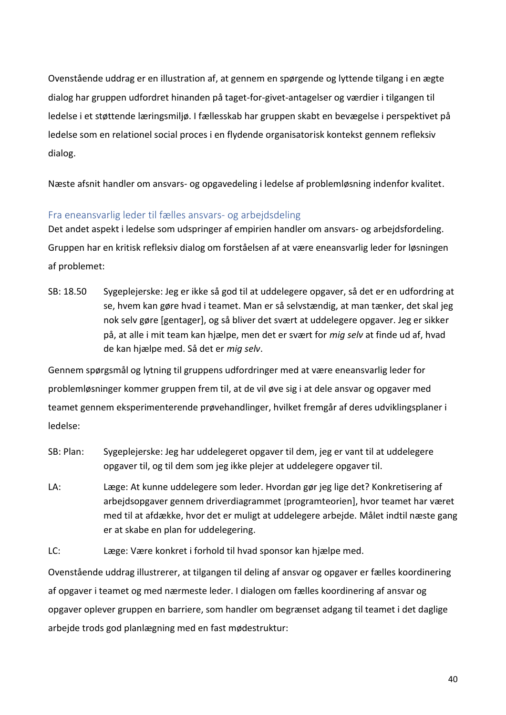Ovenstående uddrag er en illustration af, at gennem en spørgende og lyttende tilgang i en ægte dialog har gruppen udfordret hinanden på taget-for-givet-antagelser og værdier i tilgangen til ledelse i et støttende læringsmiljø. I fællesskab har gruppen skabt en bevægelse i perspektivet på ledelse som en relationel social proces i en flydende organisatorisk kontekst gennem refleksiv dialog.

Næste afsnit handler om ansvars- og opgavedeling i ledelse af problemløsning indenfor kvalitet.

# <span id="page-44-0"></span>Fra eneansvarlig leder til fælles ansvars- og arbejdsdeling

Det andet aspekt i ledelse som udspringer af empirien handler om ansvars- og arbejdsfordeling. Gruppen har en kritisk refleksiv dialog om forståelsen af at være eneansvarlig leder for løsningen af problemet:

SB: 18.50 Sygeplejerske: Jeg er ikke så god til at uddelegere opgaver, så det er en udfordring at se, hvem kan gøre hvad i teamet. Man er så selvstændig, at man tænker, det skal jeg nok selv gøre [gentager], og så bliver det svært at uddelegere opgaver. Jeg er sikker på, at alle i mit team kan hjælpe, men det er svært for *mig selv* at finde ud af, hvad de kan hjælpe med. Så det er *mig selv*.

Gennem spørgsmål og lytning til gruppens udfordringer med at være eneansvarlig leder for problemløsninger kommer gruppen frem til, at de vil øve sig i at dele ansvar og opgaver med teamet gennem eksperimenterende prøvehandlinger, hvilket fremgår af deres udviklingsplaner i ledelse:

- SB: Plan: Sygeplejerske: Jeg har uddelegeret opgaver til dem, jeg er vant til at uddelegere opgaver til, og til dem som jeg ikke plejer at uddelegere opgaver til.
- LA: Læge: At kunne uddelegere som leder. Hvordan gør jeg lige det? Konkretisering af arbejdsopgaver gennem driverdiagrammet [programteorien], hvor teamet har været med til at afdække, hvor det er muligt at uddelegere arbejde. Målet indtil næste gang er at skabe en plan for uddelegering.

LC: Læge: Være konkret i forhold til hvad sponsor kan hjælpe med.

Ovenstående uddrag illustrerer, at tilgangen til deling af ansvar og opgaver er fælles koordinering af opgaver i teamet og med nærmeste leder. I dialogen om fælles koordinering af ansvar og opgaver oplever gruppen en barriere, som handler om begrænset adgang til teamet i det daglige arbejde trods god planlægning med en fast mødestruktur: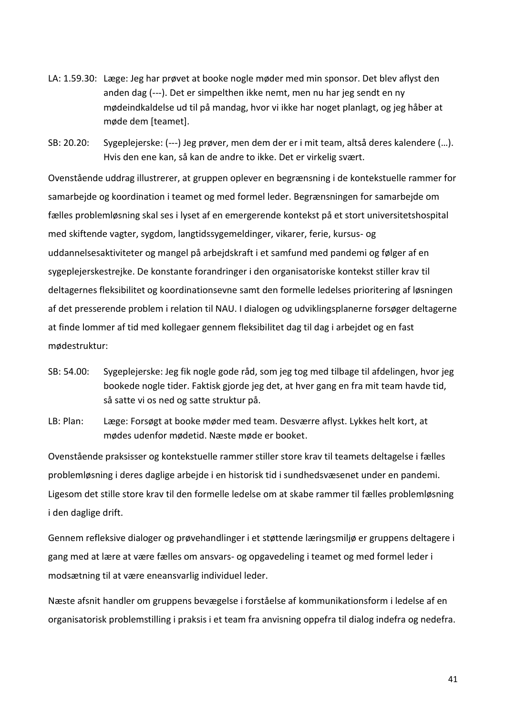- LA: 1.59.30: Læge: Jeg har prøvet at booke nogle møder med min sponsor. Det blev aflyst den anden dag (---). Det er simpelthen ikke nemt, men nu har jeg sendt en ny mødeindkaldelse ud til på mandag, hvor vi ikke har noget planlagt, og jeg håber at møde dem [teamet].
- SB: 20.20: Sygeplejerske: (---) Jeg prøver, men dem der er i mit team, altså deres kalendere (…). Hvis den ene kan, så kan de andre to ikke. Det er virkelig svært.

Ovenstående uddrag illustrerer, at gruppen oplever en begrænsning i de kontekstuelle rammer for samarbejde og koordination i teamet og med formel leder. Begrænsningen for samarbejde om fælles problemløsning skal ses i lyset af en emergerende kontekst på et stort universitetshospital med skiftende vagter, sygdom, langtidssygemeldinger, vikarer, ferie, kursus- og uddannelsesaktiviteter og mangel på arbejdskraft i et samfund med pandemi og følger af en sygeplejerskestrejke. De konstante forandringer i den organisatoriske kontekst stiller krav til deltagernes fleksibilitet og koordinationsevne samt den formelle ledelses prioritering af løsningen af det presserende problem i relation til NAU. I dialogen og udviklingsplanerne forsøger deltagerne at finde lommer af tid med kollegaer gennem fleksibilitet dag til dag i arbejdet og en fast mødestruktur:

- SB: 54.00: Sygeplejerske: Jeg fik nogle gode råd, som jeg tog med tilbage til afdelingen, hvor jeg bookede nogle tider. Faktisk gjorde jeg det, at hver gang en fra mit team havde tid, så satte vi os ned og satte struktur på.
- LB: Plan: Læge: Forsøgt at booke møder med team. Desværre aflyst. Lykkes helt kort, at mødes udenfor mødetid. Næste møde er booket.

Ovenstående praksisser og kontekstuelle rammer stiller store krav til teamets deltagelse i fælles problemløsning i deres daglige arbejde i en historisk tid i sundhedsvæsenet under en pandemi. Ligesom det stille store krav til den formelle ledelse om at skabe rammer til fælles problemløsning i den daglige drift.

Gennem refleksive dialoger og prøvehandlinger i et støttende læringsmiljø er gruppens deltagere i gang med at lære at være fælles om ansvars- og opgavedeling i teamet og med formel leder i modsætning til at være eneansvarlig individuel leder.

Næste afsnit handler om gruppens bevægelse i forståelse af kommunikationsform i ledelse af en organisatorisk problemstilling i praksis i et team fra anvisning oppefra til dialog indefra og nedefra.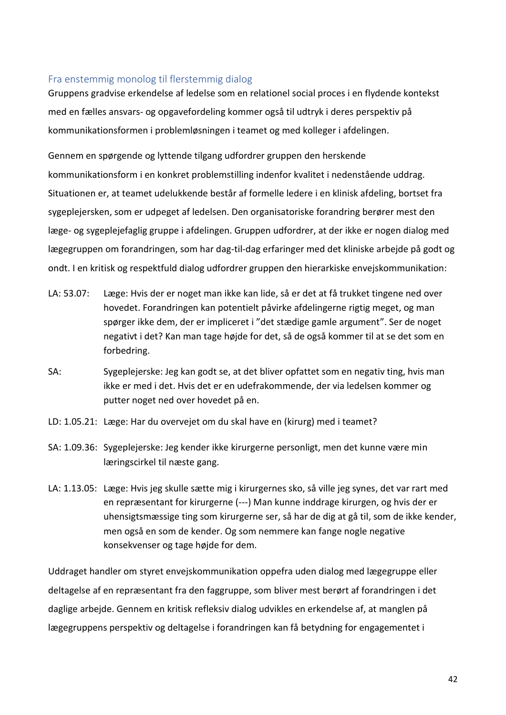### <span id="page-46-0"></span>Fra enstemmig monolog til flerstemmig dialog

Gruppens gradvise erkendelse af ledelse som en relationel social proces i en flydende kontekst med en fælles ansvars- og opgavefordeling kommer også til udtryk i deres perspektiv på kommunikationsformen i problemløsningen i teamet og med kolleger i afdelingen.

Gennem en spørgende og lyttende tilgang udfordrer gruppen den herskende kommunikationsform i en konkret problemstilling indenfor kvalitet i nedenstående uddrag. Situationen er, at teamet udelukkende består af formelle ledere i en klinisk afdeling, bortset fra sygeplejersken, som er udpeget af ledelsen. Den organisatoriske forandring berører mest den læge- og sygeplejefaglig gruppe i afdelingen. Gruppen udfordrer, at der ikke er nogen dialog med lægegruppen om forandringen, som har dag-til-dag erfaringer med det kliniske arbejde på godt og ondt. I en kritisk og respektfuld dialog udfordrer gruppen den hierarkiske envejskommunikation:

- LA: 53.07: Læge: Hvis der er noget man ikke kan lide, så er det at få trukket tingene ned over hovedet. Forandringen kan potentielt påvirke afdelingerne rigtig meget, og man spørger ikke dem, der er impliceret i "det stædige gamle argument". Ser de noget negativt i det? Kan man tage højde for det, så de også kommer til at se det som en forbedring.
- SA: Sygeplejerske: Jeg kan godt se, at det bliver opfattet som en negativ ting, hvis man ikke er med i det. Hvis det er en udefrakommende, der via ledelsen kommer og putter noget ned over hovedet på en.
- LD: 1.05.21: Læge: Har du overvejet om du skal have en (kirurg) med i teamet?
- SA: 1.09.36: Sygeplejerske: Jeg kender ikke kirurgerne personligt, men det kunne være min læringscirkel til næste gang.
- LA: 1.13.05: Læge: Hvis jeg skulle sætte mig i kirurgernes sko, så ville jeg synes, det var rart med en repræsentant for kirurgerne (---) Man kunne inddrage kirurgen, og hvis der er uhensigtsmæssige ting som kirurgerne ser, så har de dig at gå til, som de ikke kender, men også en som de kender. Og som nemmere kan fange nogle negative konsekvenser og tage højde for dem.

Uddraget handler om styret envejskommunikation oppefra uden dialog med lægegruppe eller deltagelse af en repræsentant fra den faggruppe, som bliver mest berørt af forandringen i det daglige arbejde. Gennem en kritisk refleksiv dialog udvikles en erkendelse af, at manglen på lægegruppens perspektiv og deltagelse i forandringen kan få betydning for engagementet i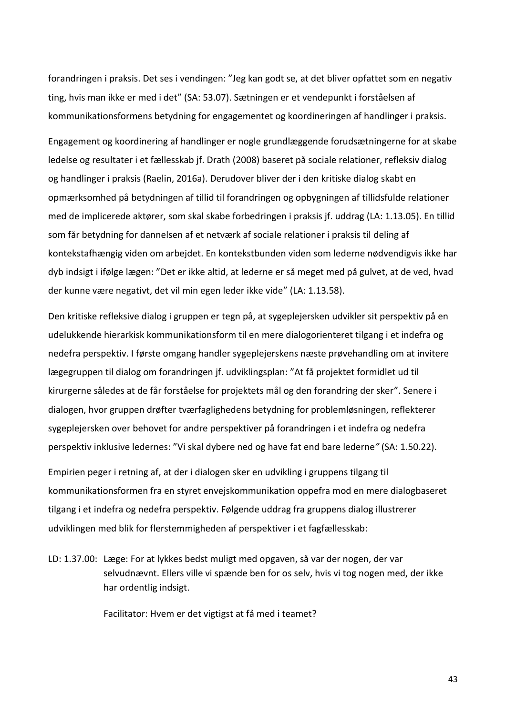forandringen i praksis. Det ses i vendingen: "Jeg kan godt se, at det bliver opfattet som en negativ ting, hvis man ikke er med i det" (SA: 53.07). Sætningen er et vendepunkt i forståelsen af kommunikationsformens betydning for engagementet og koordineringen af handlinger i praksis.

Engagement og koordinering af handlinger er nogle grundlæggende forudsætningerne for at skabe ledelse og resultater i et fællesskab jf. Drath (2008) baseret på sociale relationer, refleksiv dialog og handlinger i praksis (Raelin, 2016a). Derudover bliver der i den kritiske dialog skabt en opmærksomhed på betydningen af tillid til forandringen og opbygningen af tillidsfulde relationer med de implicerede aktører, som skal skabe forbedringen i praksis jf. uddrag (LA: 1.13.05). En tillid som får betydning for dannelsen af et netværk af sociale relationer i praksis til deling af kontekstafhængig viden om arbejdet. En kontekstbunden viden som lederne nødvendigvis ikke har dyb indsigt i ifølge lægen: "Det er ikke altid, at lederne er så meget med på gulvet, at de ved, hvad der kunne være negativt, det vil min egen leder ikke vide" (LA: 1.13.58).

Den kritiske refleksive dialog i gruppen er tegn på, at sygeplejersken udvikler sit perspektiv på en udelukkende hierarkisk kommunikationsform til en mere dialogorienteret tilgang i et indefra og nedefra perspektiv. I første omgang handler sygeplejerskens næste prøvehandling om at invitere lægegruppen til dialog om forandringen jf. udviklingsplan: "At få projektet formidlet ud til kirurgerne således at de får forståelse for projektets mål og den forandring der sker". Senere i dialogen, hvor gruppen drøfter tværfaglighedens betydning for problemløsningen, reflekterer sygeplejersken over behovet for andre perspektiver på forandringen i et indefra og nedefra perspektiv inklusive ledernes: "Vi skal dybere ned og have fat end bare lederne*"* (SA: 1.50.22).

Empirien peger i retning af, at der i dialogen sker en udvikling i gruppens tilgang til kommunikationsformen fra en styret envejskommunikation oppefra mod en mere dialogbaseret tilgang i et indefra og nedefra perspektiv. Følgende uddrag fra gruppens dialog illustrerer udviklingen med blik for flerstemmigheden af perspektiver i et fagfællesskab:

LD: 1.37.00: Læge: For at lykkes bedst muligt med opgaven, så var der nogen, der var selvudnævnt. Ellers ville vi spænde ben for os selv, hvis vi tog nogen med, der ikke har ordentlig indsigt.

Facilitator: Hvem er det vigtigst at få med i teamet?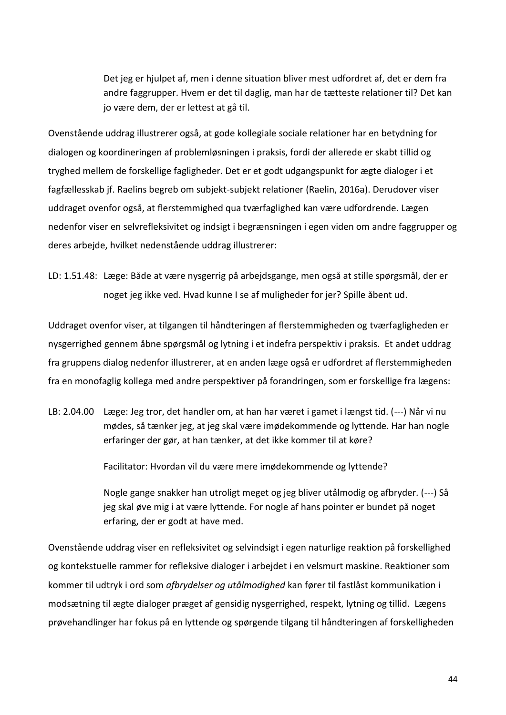Det jeg er hjulpet af, men i denne situation bliver mest udfordret af, det er dem fra andre faggrupper. Hvem er det til daglig, man har de tætteste relationer til? Det kan jo være dem, der er lettest at gå til.

Ovenstående uddrag illustrerer også, at gode kollegiale sociale relationer har en betydning for dialogen og koordineringen af problemløsningen i praksis, fordi der allerede er skabt tillid og tryghed mellem de forskellige fagligheder. Det er et godt udgangspunkt for ægte dialoger i et fagfællesskab jf. Raelins begreb om subjekt-subjekt relationer (Raelin, 2016a). Derudover viser uddraget ovenfor også, at flerstemmighed qua tværfaglighed kan være udfordrende. Lægen nedenfor viser en selvrefleksivitet og indsigt i begrænsningen i egen viden om andre faggrupper og deres arbejde, hvilket nedenstående uddrag illustrerer:

LD: 1.51.48: Læge: Både at være nysgerrig på arbejdsgange, men også at stille spørgsmål, der er noget jeg ikke ved. Hvad kunne I se af muligheder for jer? Spille åbent ud.

Uddraget ovenfor viser, at tilgangen til håndteringen af flerstemmigheden og tværfagligheden er nysgerrighed gennem åbne spørgsmål og lytning i et indefra perspektiv i praksis. Et andet uddrag fra gruppens dialog nedenfor illustrerer, at en anden læge også er udfordret af flerstemmigheden fra en monofaglig kollega med andre perspektiver på forandringen, som er forskellige fra lægens:

LB: 2.04.00 Læge: Jeg tror, det handler om, at han har været i gamet i længst tid. (---) Når vi nu mødes, så tænker jeg, at jeg skal være imødekommende og lyttende. Har han nogle erfaringer der gør, at han tænker, at det ikke kommer til at køre?

Facilitator: Hvordan vil du være mere imødekommende og lyttende?

Nogle gange snakker han utroligt meget og jeg bliver utålmodig og afbryder. (---) Så jeg skal øve mig i at være lyttende. For nogle af hans pointer er bundet på noget erfaring, der er godt at have med.

Ovenstående uddrag viser en refleksivitet og selvindsigt i egen naturlige reaktion på forskellighed og kontekstuelle rammer for refleksive dialoger i arbejdet i en velsmurt maskine. Reaktioner som kommer til udtryk i ord som *afbrydelser og utålmodighed* kan fører til fastlåst kommunikation i modsætning til ægte dialoger præget af gensidig nysgerrighed, respekt, lytning og tillid. Lægens prøvehandlinger har fokus på en lyttende og spørgende tilgang til håndteringen af forskelligheden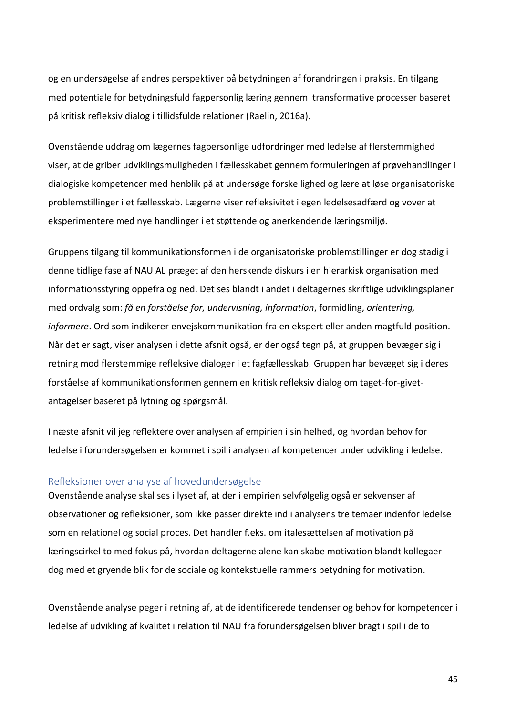og en undersøgelse af andres perspektiver på betydningen af forandringen i praksis. En tilgang med potentiale for betydningsfuld fagpersonlig læring gennem transformative processer baseret på kritisk refleksiv dialog i tillidsfulde relationer (Raelin, 2016a).

Ovenstående uddrag om lægernes fagpersonlige udfordringer med ledelse af flerstemmighed viser, at de griber udviklingsmuligheden i fællesskabet gennem formuleringen af prøvehandlinger i dialogiske kompetencer med henblik på at undersøge forskellighed og lære at løse organisatoriske problemstillinger i et fællesskab. Lægerne viser refleksivitet i egen ledelsesadfærd og vover at eksperimentere med nye handlinger i et støttende og anerkendende læringsmiljø.

Gruppens tilgang til kommunikationsformen i de organisatoriske problemstillinger er dog stadig i denne tidlige fase af NAU AL præget af den herskende diskurs i en hierarkisk organisation med informationsstyring oppefra og ned. Det ses blandt i andet i deltagernes skriftlige udviklingsplaner med ordvalg som: *få en forståelse for, undervisning, information*, formidling, *orientering, informere*. Ord som indikerer envejskommunikation fra en ekspert eller anden magtfuld position. Når det er sagt, viser analysen i dette afsnit også, er der også tegn på, at gruppen bevæger sig i retning mod flerstemmige refleksive dialoger i et fagfællesskab. Gruppen har bevæget sig i deres forståelse af kommunikationsformen gennem en kritisk refleksiv dialog om taget-for-givetantagelser baseret på lytning og spørgsmål.

I næste afsnit vil jeg reflektere over analysen af empirien i sin helhed, og hvordan behov for ledelse i forundersøgelsen er kommet i spil i analysen af kompetencer under udvikling i ledelse.

#### <span id="page-49-0"></span>Refleksioner over analyse af hovedundersøgelse

Ovenstående analyse skal ses i lyset af, at der i empirien selvfølgelig også er sekvenser af observationer og refleksioner, som ikke passer direkte ind i analysens tre temaer indenfor ledelse som en relationel og social proces. Det handler f.eks. om italesættelsen af motivation på læringscirkel to med fokus på, hvordan deltagerne alene kan skabe motivation blandt kollegaer dog med et gryende blik for de sociale og kontekstuelle rammers betydning for motivation.

Ovenstående analyse peger i retning af, at de identificerede tendenser og behov for kompetencer i ledelse af udvikling af kvalitet i relation til NAU fra forundersøgelsen bliver bragt i spil i de to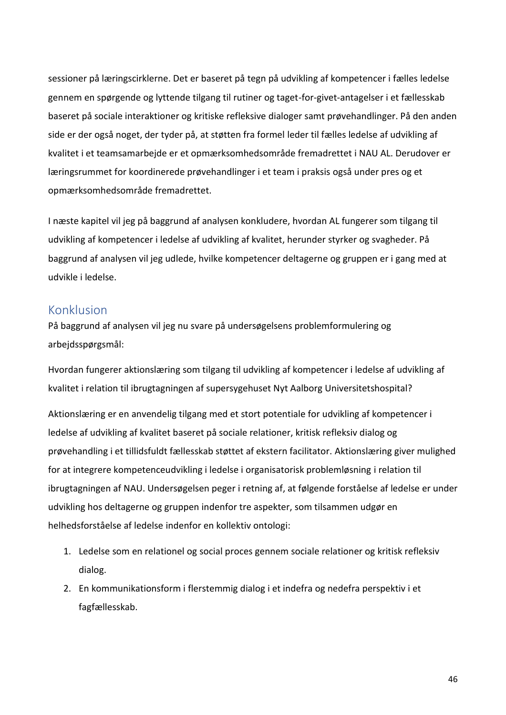sessioner på læringscirklerne. Det er baseret på tegn på udvikling af kompetencer i fælles ledelse gennem en spørgende og lyttende tilgang til rutiner og taget-for-givet-antagelser i et fællesskab baseret på sociale interaktioner og kritiske refleksive dialoger samt prøvehandlinger. På den anden side er der også noget, der tyder på, at støtten fra formel leder til fælles ledelse af udvikling af kvalitet i et teamsamarbejde er et opmærksomhedsområde fremadrettet i NAU AL. Derudover er læringsrummet for koordinerede prøvehandlinger i et team i praksis også under pres og et opmærksomhedsområde fremadrettet.

I næste kapitel vil jeg på baggrund af analysen konkludere, hvordan AL fungerer som tilgang til udvikling af kompetencer i ledelse af udvikling af kvalitet, herunder styrker og svagheder. På baggrund af analysen vil jeg udlede, hvilke kompetencer deltagerne og gruppen er i gang med at udvikle i ledelse.

# <span id="page-50-0"></span>Konklusion

På baggrund af analysen vil jeg nu svare på undersøgelsens problemformulering og arbejdsspørgsmål:

Hvordan fungerer aktionslæring som tilgang til udvikling af kompetencer i ledelse af udvikling af kvalitet i relation til ibrugtagningen af supersygehuset Nyt Aalborg Universitetshospital?

Aktionslæring er en anvendelig tilgang med et stort potentiale for udvikling af kompetencer i ledelse af udvikling af kvalitet baseret på sociale relationer, kritisk refleksiv dialog og prøvehandling i et tillidsfuldt fællesskab støttet af ekstern facilitator. Aktionslæring giver mulighed for at integrere kompetenceudvikling i ledelse i organisatorisk problemløsning i relation til ibrugtagningen af NAU. Undersøgelsen peger i retning af, at følgende forståelse af ledelse er under udvikling hos deltagerne og gruppen indenfor tre aspekter, som tilsammen udgør en helhedsforståelse af ledelse indenfor en kollektiv ontologi:

- 1. Ledelse som en relationel og social proces gennem sociale relationer og kritisk refleksiv dialog.
- 2. En kommunikationsform i flerstemmig dialog i et indefra og nedefra perspektiv i et fagfællesskab.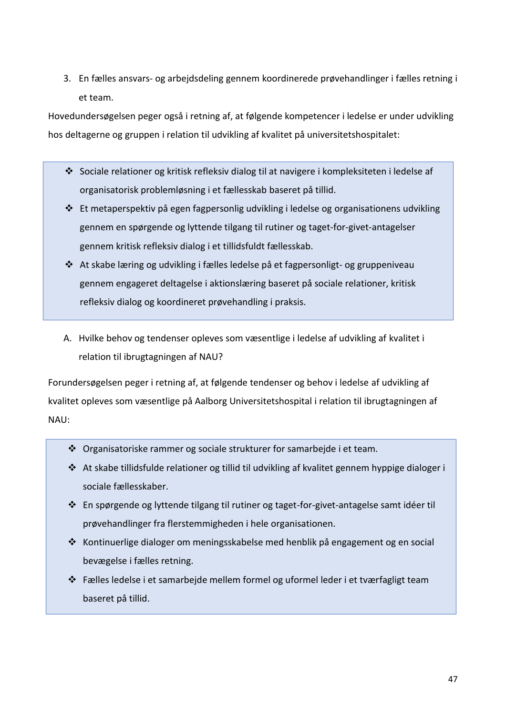3. En fælles ansvars- og arbejdsdeling gennem koordinerede prøvehandlinger i fælles retning i et team.

Hovedundersøgelsen peger også i retning af, at følgende kompetencer i ledelse er under udvikling hos deltagerne og gruppen i relation til udvikling af kvalitet på universitetshospitalet:

- ❖ Sociale relationer og kritisk refleksiv dialog til at navigere i kompleksiteten i ledelse af organisatorisk problemløsning i et fællesskab baseret på tillid.
- ❖ Et metaperspektiv på egen fagpersonlig udvikling i ledelse og organisationens udvikling gennem en spørgende og lyttende tilgang til rutiner og taget-for-givet-antagelser gennem kritisk refleksiv dialog i et tillidsfuldt fællesskab.
- ❖ At skabe læring og udvikling i fælles ledelse på et fagpersonligt- og gruppeniveau gennem engageret deltagelse i aktionslæring baseret på sociale relationer, kritisk refleksiv dialog og koordineret prøvehandling i praksis.
- A. Hvilke behov og tendenser opleves som væsentlige i ledelse af udvikling af kvalitet i relation til ibrugtagningen af NAU?

Forundersøgelsen peger i retning af, at følgende tendenser og behov i ledelse af udvikling af kvalitet opleves som væsentlige på Aalborg Universitetshospital i relation til ibrugtagningen af NAU:

- ❖ Organisatoriske rammer og sociale strukturer for samarbejde i et team.
- ❖ At skabe tillidsfulde relationer og tillid til udvikling af kvalitet gennem hyppige dialoger i sociale fællesskaber.
- ❖ En spørgende og lyttende tilgang til rutiner og taget-for-givet-antagelse samt idéer til prøvehandlinger fra flerstemmigheden i hele organisationen.
- ❖ Kontinuerlige dialoger om meningsskabelse med henblik på engagement og en social bevægelse i fælles retning.<br>Bevægelse i fælles retning.
	- ❖ Fælles ledelse i et samarbejde mellem formel og uformel leder i et tværfagligt team baseret på tillid.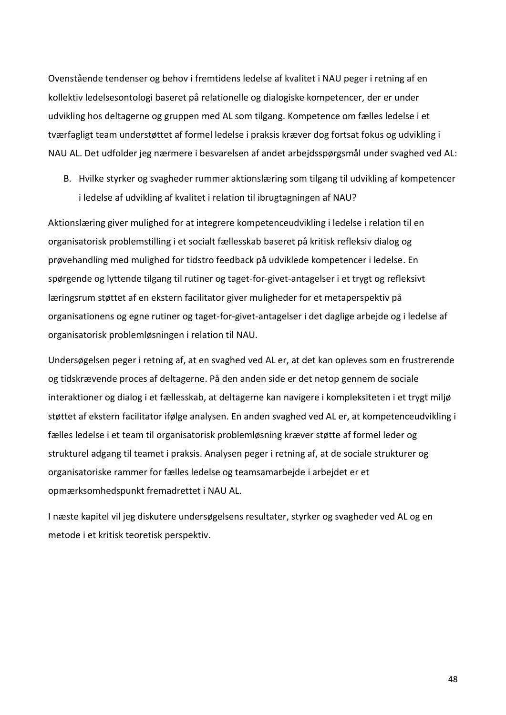Ovenstående tendenser og behov i fremtidens ledelse af kvalitet i NAU peger i retning af en kollektiv ledelsesontologi baseret på relationelle og dialogiske kompetencer, der er under udvikling hos deltagerne og gruppen med AL som tilgang. Kompetence om fælles ledelse i et tværfagligt team understøttet af formel ledelse i praksis kræver dog fortsat fokus og udvikling i NAU AL. Det udfolder jeg nærmere i besvarelsen af andet arbejdsspørgsmål under svaghed ved AL:

B. Hvilke styrker og svagheder rummer aktionslæring som tilgang til udvikling af kompetencer i ledelse af udvikling af kvalitet i relation til ibrugtagningen af NAU?

Aktionslæring giver mulighed for at integrere kompetenceudvikling i ledelse i relation til en organisatorisk problemstilling i et socialt fællesskab baseret på kritisk refleksiv dialog og prøvehandling med mulighed for tidstro feedback på udviklede kompetencer i ledelse. En spørgende og lyttende tilgang til rutiner og taget-for-givet-antagelser i et trygt og refleksivt læringsrum støttet af en ekstern facilitator giver muligheder for et metaperspektiv på organisationens og egne rutiner og taget-for-givet-antagelser i det daglige arbejde og i ledelse af organisatorisk problemløsningen i relation til NAU.

Undersøgelsen peger i retning af, at en svaghed ved AL er, at det kan opleves som en frustrerende og tidskrævende proces af deltagerne. På den anden side er det netop gennem de sociale interaktioner og dialog i et fællesskab, at deltagerne kan navigere i kompleksiteten i et trygt miljø støttet af ekstern facilitator ifølge analysen. En anden svaghed ved AL er, at kompetenceudvikling i fælles ledelse i et team til organisatorisk problemløsning kræver støtte af formel leder og strukturel adgang til teamet i praksis. Analysen peger i retning af, at de sociale strukturer og organisatoriske rammer for fælles ledelse og teamsamarbejde i arbejdet er et opmærksomhedspunkt fremadrettet i NAU AL.

I næste kapitel vil jeg diskutere undersøgelsens resultater, styrker og svagheder ved AL og en metode i et kritisk teoretisk perspektiv.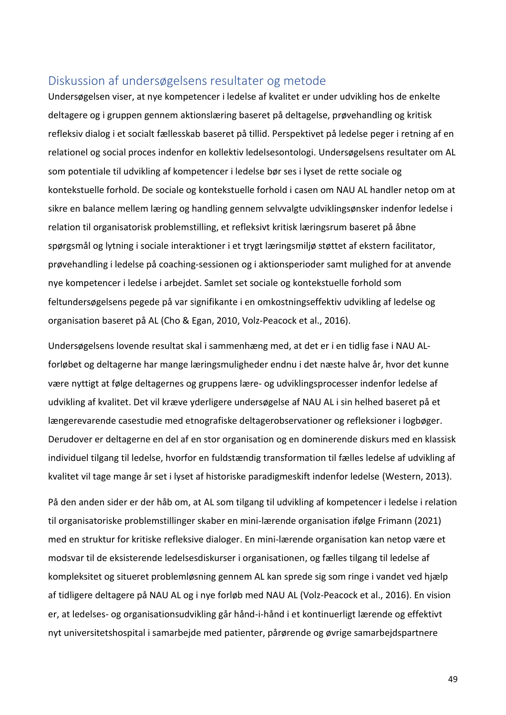# <span id="page-53-0"></span>Diskussion af undersøgelsens resultater og metode

Undersøgelsen viser, at nye kompetencer i ledelse af kvalitet er under udvikling hos de enkelte deltagere og i gruppen gennem aktionslæring baseret på deltagelse, prøvehandling og kritisk refleksiv dialog i et socialt fællesskab baseret på tillid. Perspektivet på ledelse peger i retning af en relationel og social proces indenfor en kollektiv ledelsesontologi. Undersøgelsens resultater om AL som potentiale til udvikling af kompetencer i ledelse bør ses i lyset de rette sociale og kontekstuelle forhold. De sociale og kontekstuelle forhold i casen om NAU AL handler netop om at sikre en balance mellem læring og handling gennem selvvalgte udviklingsønsker indenfor ledelse i relation til organisatorisk problemstilling, et refleksivt kritisk læringsrum baseret på åbne spørgsmål og lytning i sociale interaktioner i et trygt læringsmiljø støttet af ekstern facilitator, prøvehandling i ledelse på coaching-sessionen og i aktionsperioder samt mulighed for at anvende nye kompetencer i ledelse i arbejdet. Samlet set sociale og kontekstuelle forhold som feltundersøgelsens pegede på var signifikante i en omkostningseffektiv udvikling af ledelse og organisation baseret på AL (Cho & Egan, 2010, Volz-Peacock et al., 2016).

Undersøgelsens lovende resultat skal i sammenhæng med, at det er i en tidlig fase i NAU ALforløbet og deltagerne har mange læringsmuligheder endnu i det næste halve år, hvor det kunne være nyttigt at følge deltagernes og gruppens lære- og udviklingsprocesser indenfor ledelse af udvikling af kvalitet. Det vil kræve yderligere undersøgelse af NAU AL i sin helhed baseret på et længerevarende casestudie med etnografiske deltagerobservationer og refleksioner i logbøger. Derudover er deltagerne en del af en stor organisation og en dominerende diskurs med en klassisk individuel tilgang til ledelse, hvorfor en fuldstændig transformation til fælles ledelse af udvikling af kvalitet vil tage mange år set i lyset af historiske paradigmeskift indenfor ledelse (Western, 2013).

På den anden sider er der håb om, at AL som tilgang til udvikling af kompetencer i ledelse i relation til organisatoriske problemstillinger skaber en mini-lærende organisation ifølge Frimann (2021) med en struktur for kritiske refleksive dialoger. En mini-lærende organisation kan netop være et modsvar til de eksisterende ledelsesdiskurser i organisationen, og fælles tilgang til ledelse af kompleksitet og situeret problemløsning gennem AL kan sprede sig som ringe i vandet ved hjælp af tidligere deltagere på NAU AL og i nye forløb med NAU AL (Volz-Peacock et al., 2016). En vision er, at ledelses- og organisationsudvikling går hånd-i-hånd i et kontinuerligt lærende og effektivt nyt universitetshospital i samarbejde med patienter, pårørende og øvrige samarbejdspartnere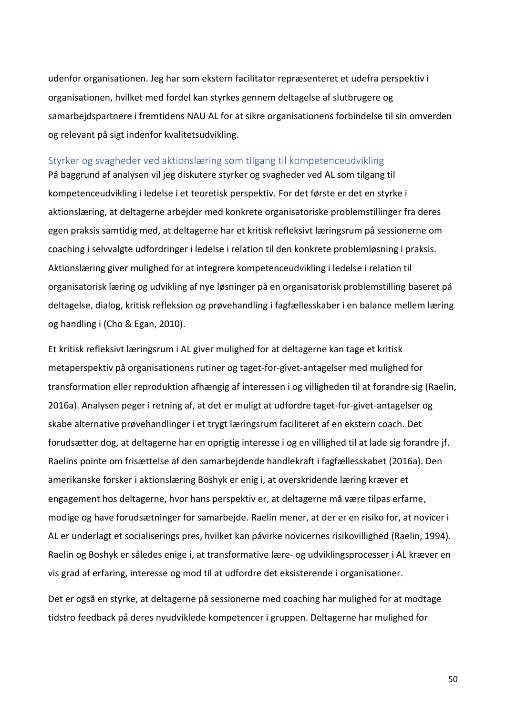udenfor organisationen. Jeg har som ekstern facilitator repræsenteret et udefra perspektiv i organisationen, hvilket med fordel kan styrkes gennem deltagelse af slutbrugere og samarbejdspartnere i fremtidens NAU AL for at sikre organisationens forbindelse til sin omverden og relevant på sigt indenfor kvalitetsudvikling.

### <span id="page-54-0"></span>Styrker og svagheder ved aktionslæring som tilgang til kompetenceudvikling

På baggrund af analysen vil jeg diskutere styrker og svagheder ved AL som tilgang til kompetenceudvikling i ledelse i et teoretisk perspektiv. For det første er det en styrke i aktionslæring, at deltagerne arbejder med konkrete organisatoriske problemstillinger fra deres egen praksis samtidig med, at deltagerne har et kritisk refleksivt læringsrum på sessionerne om coaching i selvvalgte udfordringer i ledelse i relation til den konkrete problemløsning i praksis. Aktionslæring giver mulighed for at integrere kompetenceudvikling i ledelse i relation til organisatorisk læring og udvikling af nye løsninger på en organisatorisk problemstilling baseret på deltagelse, dialog, kritisk refleksion og prøvehandling i fagfællesskaber i en balance mellem læring og handling i (Cho & Egan, 2010).

Et kritisk refleksivt læringsrum i AL giver mulighed for at deltagerne kan tage et kritisk metaperspektiv på organisationens rutiner og taget-for-givet-antagelser med mulighed for transformation eller reproduktion afhængig af interessen i og villigheden til at forandre sig (Raelin, 2016a). Analysen peger i retning af, at det er muligt at udfordre taget-for-givet-antagelser og skabe alternative prøvehandlinger i et trygt læringsrum faciliteret af en ekstern coach. Det forudsætter dog, at deltagerne har en oprigtig interesse i og en villighed til at lade sig forandre jf. Raelins pointe om frisættelse af den samarbejdende handlekraft i fagfællesskabet (2016a). Den amerikanske forsker i aktionslæring Boshyk er enig i, at overskridende læring kræver et engagement hos deltagerne, hvor hans perspektiv er, at deltagerne må være tilpas erfarne, modige og have forudsætninger for samarbejde. Raelin mener, at der er en risiko for, at novicer i AL er underlagt et socialiserings pres, hvilket kan påvirke novicernes risikovillighed (Raelin, 1994). Raelin og Boshyk er således enige i, at transformative lære- og udviklingsprocesser i AL kræver en vis grad af erfaring, interesse og mod til at udfordre det eksisterende i organisationer.

Det er også en styrke, at deltagerne på sessionerne med coaching har mulighed for at modtage tidstro feedback på deres nyudviklede kompetencer i gruppen. Deltagerne har mulighed for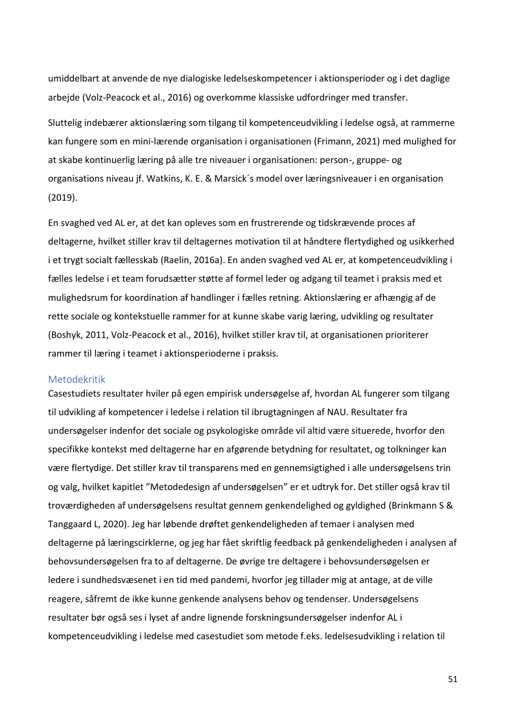umiddelbart at anvende de nye dialogiske ledelseskompetencer i aktionsperioder og i det daglige arbejde (Volz-Peacock et al., 2016) og overkomme klassiske udfordringer med transfer.

Sluttelig indebærer aktionslæring som tilgang til kompetenceudvikling i ledelse også, at rammerne kan fungere som en mini-lærende organisation i organisationen (Frimann, 2021) med mulighed for at skabe kontinuerlig læring på alle tre niveauer i organisationen: person-, gruppe- og organisations niveau jf. Watkins, K. E. & Marsick´s model over læringsniveauer i en organisation (2019).

En svaghed ved AL er, at det kan opleves som en frustrerende og tidskrævende proces af deltagerne, hvilket stiller krav til deltagernes motivation til at håndtere flertydighed og usikkerhed i et trygt socialt fællesskab (Raelin, 2016a). En anden svaghed ved AL er, at kompetenceudvikling i fælles ledelse i et team forudsætter støtte af formel leder og adgang til teamet i praksis med et mulighedsrum for koordination af handlinger i fælles retning. Aktionslæring er afhængig af de rette sociale og kontekstuelle rammer for at kunne skabe varig læring, udvikling og resultater (Boshyk, 2011, Volz-Peacock et al., 2016), hvilket stiller krav til, at organisationen prioriterer rammer til læring i teamet i aktionsperioderne i praksis.

#### <span id="page-55-0"></span>Metodekritik

Casestudiets resultater hviler på egen empirisk undersøgelse af, hvordan AL fungerer som tilgang til udvikling af kompetencer i ledelse i relation til ibrugtagningen af NAU. Resultater fra undersøgelser indenfor det sociale og psykologiske område vil altid være situerede, hvorfor den specifikke kontekst med deltagerne har en afgørende betydning for resultatet, og tolkninger kan være flertydige. Det stiller krav til transparens med en gennemsigtighed i alle undersøgelsens trin og valg, hvilket kapitlet "Metodedesign af undersøgelsen" er et udtryk for. Det stiller også krav til troværdigheden af undersøgelsens resultat gennem genkendelighed og gyldighed (Brinkmann S & Tanggaard L, 2020). Jeg har løbende drøftet genkendeligheden af temaer i analysen med deltagerne på læringscirklerne, og jeg har fået skriftlig feedback på genkendeligheden i analysen af behovsundersøgelsen fra to af deltagerne. De øvrige tre deltagere i behovsundersøgelsen er ledere i sundhedsvæsenet i en tid med pandemi, hvorfor jeg tillader mig at antage, at de ville reagere, såfremt de ikke kunne genkende analysens behov og tendenser. Undersøgelsens resultater bør også ses i lyset af andre lignende forskningsundersøgelser indenfor AL i kompetenceudvikling i ledelse med casestudiet som metode f.eks. ledelsesudvikling i relation til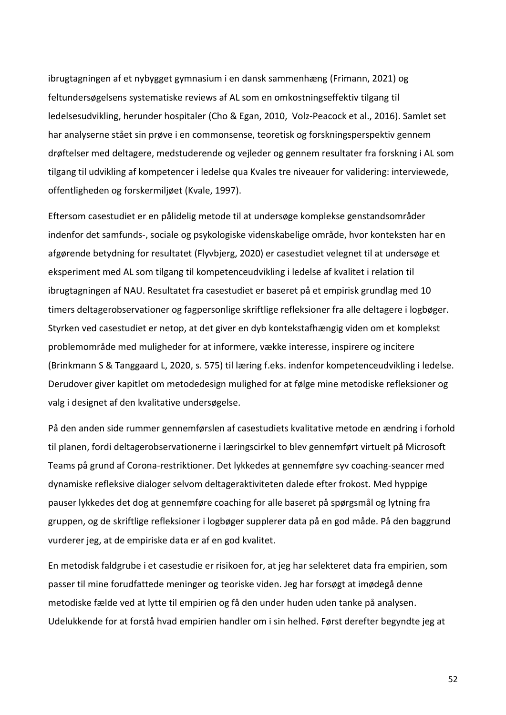ibrugtagningen af et nybygget gymnasium i en dansk sammenhæng (Frimann, 2021) og feltundersøgelsens systematiske reviews af AL som en omkostningseffektiv tilgang til ledelsesudvikling, herunder hospitaler (Cho & Egan, 2010, Volz-Peacock et al., 2016). Samlet set har analyserne stået sin prøve i en commonsense, teoretisk og forskningsperspektiv gennem drøftelser med deltagere, medstuderende og vejleder og gennem resultater fra forskning i AL som tilgang til udvikling af kompetencer i ledelse qua Kvales tre niveauer for validering: interviewede, offentligheden og forskermiljøet (Kvale, 1997).

Eftersom casestudiet er en pålidelig metode til at undersøge komplekse genstandsområder indenfor det samfunds-, sociale og psykologiske videnskabelige område, hvor konteksten har en afgørende betydning for resultatet (Flyvbjerg, 2020) er casestudiet velegnet til at undersøge et eksperiment med AL som tilgang til kompetenceudvikling i ledelse af kvalitet i relation til ibrugtagningen af NAU. Resultatet fra casestudiet er baseret på et empirisk grundlag med 10 timers deltagerobservationer og fagpersonlige skriftlige refleksioner fra alle deltagere i logbøger. Styrken ved casestudiet er netop, at det giver en dyb kontekstafhængig viden om et komplekst problemområde med muligheder for at informere, vække interesse, inspirere og incitere (Brinkmann S & Tanggaard L, 2020, s. 575) til læring f.eks. indenfor kompetenceudvikling i ledelse. Derudover giver kapitlet om metodedesign mulighed for at følge mine metodiske refleksioner og valg i designet af den kvalitative undersøgelse.

På den anden side rummer gennemførslen af casestudiets kvalitative metode en ændring i forhold til planen, fordi deltagerobservationerne i læringscirkel to blev gennemført virtuelt på Microsoft Teams på grund af Corona-restriktioner. Det lykkedes at gennemføre syv coaching-seancer med dynamiske refleksive dialoger selvom deltageraktiviteten dalede efter frokost. Med hyppige pauser lykkedes det dog at gennemføre coaching for alle baseret på spørgsmål og lytning fra gruppen, og de skriftlige refleksioner i logbøger supplerer data på en god måde. På den baggrund vurderer jeg, at de empiriske data er af en god kvalitet.

En metodisk faldgrube i et casestudie er risikoen for, at jeg har selekteret data fra empirien, som passer til mine forudfattede meninger og teoriske viden. Jeg har forsøgt at imødegå denne metodiske fælde ved at lytte til empirien og få den under huden uden tanke på analysen. Udelukkende for at forstå hvad empirien handler om i sin helhed. Først derefter begyndte jeg at

52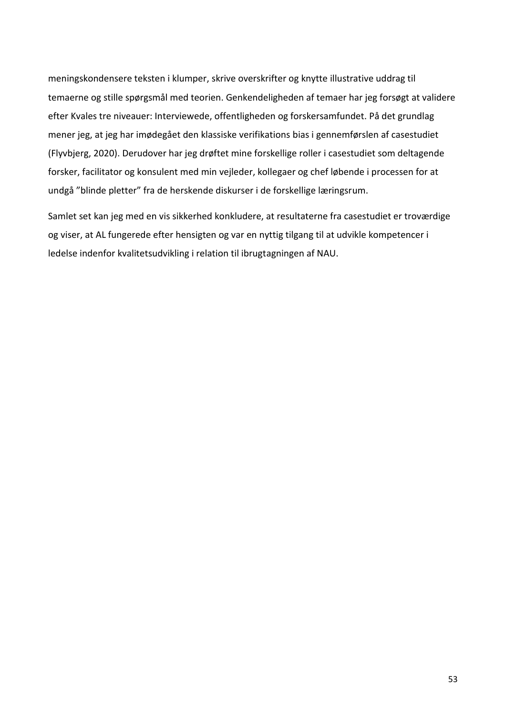meningskondensere teksten i klumper, skrive overskrifter og knytte illustrative uddrag til temaerne og stille spørgsmål med teorien. Genkendeligheden af temaer har jeg forsøgt at validere efter Kvales tre niveauer: Interviewede, offentligheden og forskersamfundet. På det grundlag mener jeg, at jeg har imødegået den klassiske verifikations bias i gennemførslen af casestudiet (Flyvbjerg, 2020). Derudover har jeg drøftet mine forskellige roller i casestudiet som deltagende forsker, facilitator og konsulent med min vejleder, kollegaer og chef løbende i processen for at undgå "blinde pletter" fra de herskende diskurser i de forskellige læringsrum.

Samlet set kan jeg med en vis sikkerhed konkludere, at resultaterne fra casestudiet er troværdige og viser, at AL fungerede efter hensigten og var en nyttig tilgang til at udvikle kompetencer i ledelse indenfor kvalitetsudvikling i relation til ibrugtagningen af NAU.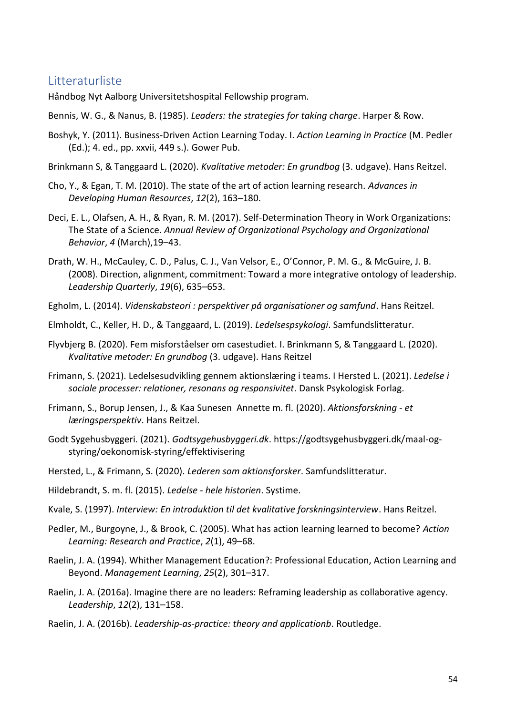# <span id="page-58-0"></span>Litteraturliste

Håndbog Nyt Aalborg Universitetshospital Fellowship program.

- Bennis, W. G., & Nanus, B. (1985). *Leaders: the strategies for taking charge*. Harper & Row.
- Boshyk, Y. (2011). Business-Driven Action Learning Today. I. *Action Learning in Practice* (M. Pedler (Ed.); 4. ed., pp. xxvii, 449 s.). Gower Pub.
- Brinkmann S, & Tanggaard L. (2020). *Kvalitative metoder: En grundbog* (3. udgave). Hans Reitzel.
- Cho, Y., & Egan, T. M. (2010). The state of the art of action learning research. *Advances in Developing Human Resources*, *12*(2), 163–180.
- Deci, E. L., Olafsen, A. H., & Ryan, R. M. (2017). Self-Determination Theory in Work Organizations: The State of a Science. *Annual Review of Organizational Psychology and Organizational Behavior*, *4* (March),19–43.
- Drath, W. H., McCauley, C. D., Palus, C. J., Van Velsor, E., O'Connor, P. M. G., & McGuire, J. B. (2008). Direction, alignment, commitment: Toward a more integrative ontology of leadership. *Leadership Quarterly*, *19*(6), 635–653.
- Egholm, L. (2014). *Videnskabsteori : perspektiver på organisationer og samfund*. Hans Reitzel.
- Elmholdt, C., Keller, H. D., & Tanggaard, L. (2019). *Ledelsespsykologi*. Samfundslitteratur.
- Flyvbjerg B. (2020). Fem misforståelser om casestudiet. I. Brinkmann S, & Tanggaard L. (2020). *Kvalitative metoder: En grundbog* (3. udgave). Hans Reitzel
- Frimann, S. (2021). Ledelsesudvikling gennem aktionslæring i teams. I Hersted L. (2021). *Ledelse i sociale processer: relationer, resonans og responsivitet*. Dansk Psykologisk Forlag.
- Frimann, S., Borup Jensen, J., & Kaa Sunesen Annette m. fl. (2020). *Aktionsforskning - et læringsperspektiv*. Hans Reitzel.
- Godt Sygehusbyggeri. (2021). *Godtsygehusbyggeri.dk*. https://godtsygehusbyggeri.dk/maal-ogstyring/oekonomisk-styring/effektivisering
- Hersted, L., & Frimann, S. (2020). *Lederen som aktionsforsker*. Samfundslitteratur.
- Hildebrandt, S. m. fl. (2015). *Ledelse - hele historien*. Systime.
- Kvale, S. (1997). *Interview: En introduktion til det kvalitative forskningsinterview*. Hans Reitzel.
- Pedler, M., Burgoyne, J., & Brook, C. (2005). What has action learning learned to become? *Action Learning: Research and Practice*, *2*(1), 49–68.
- Raelin, J. A. (1994). Whither Management Education?: Professional Education, Action Learning and Beyond. *Management Learning*, *25*(2), 301–317.
- Raelin, J. A. (2016a). Imagine there are no leaders: Reframing leadership as collaborative agency. *Leadership*, *12*(2), 131–158.
- Raelin, J. A. (2016b). *Leadership-as-practice: theory and applicationb*. Routledge.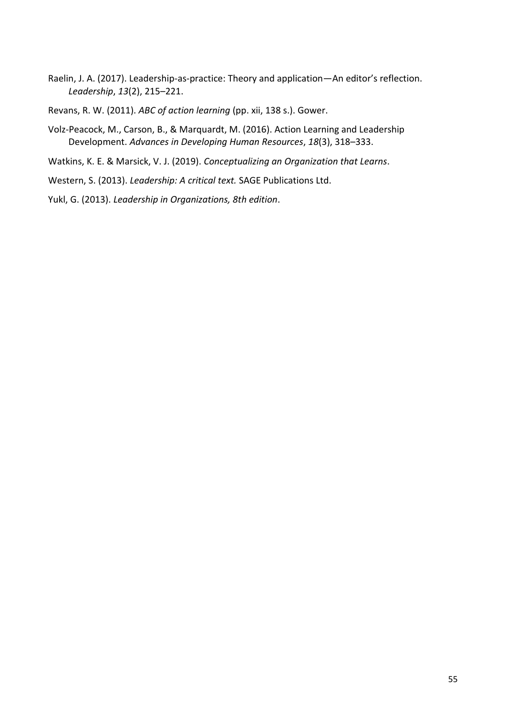- Raelin, J. A. (2017). Leadership-as-practice: Theory and application—An editor's reflection. *Leadership*, *13*(2), 215–221.
- Revans, R. W. (2011). *ABC of action learning* (pp. xii, 138 s.). Gower.
- Volz-Peacock, M., Carson, B., & Marquardt, M. (2016). Action Learning and Leadership Development. *Advances in Developing Human Resources*, *18*(3), 318–333.
- Watkins, K. E. & Marsick, V. J. (2019). *Conceptualizing an Organization that Learns*.
- Western, S. (2013). *Leadership: A critical text.* SAGE Publications Ltd.
- Yukl, G. (2013). *Leadership in Organizations, 8th edition*.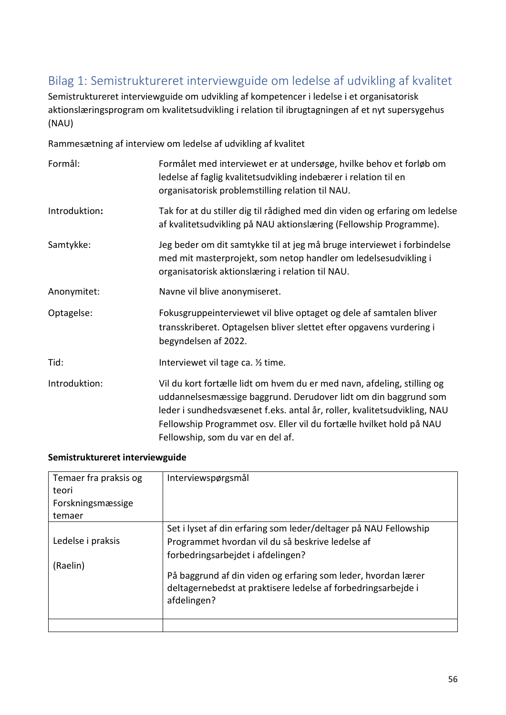# <span id="page-60-0"></span>Bilag 1: Semistruktureret interviewguide om ledelse af udvikling af kvalitet

Semistruktureret interviewguide om udvikling af kompetencer i ledelse i et organisatorisk aktionslæringsprogram om kvalitetsudvikling i relation til ibrugtagningen af et nyt supersygehus (NAU)

Rammesætning af interview om ledelse af udvikling af kvalitet

| Formål:       | Formålet med interviewet er at undersøge, hvilke behov et forløb om<br>ledelse af faglig kvalitetsudvikling indebærer i relation til en<br>organisatorisk problemstilling relation til NAU.                                                                                                                                         |  |
|---------------|-------------------------------------------------------------------------------------------------------------------------------------------------------------------------------------------------------------------------------------------------------------------------------------------------------------------------------------|--|
| Introduktion: | Tak for at du stiller dig til rådighed med din viden og erfaring om ledelse<br>af kvalitetsudvikling på NAU aktionslæring (Fellowship Programme).                                                                                                                                                                                   |  |
| Samtykke:     | Jeg beder om dit samtykke til at jeg må bruge interviewet i forbindelse<br>med mit masterprojekt, som netop handler om ledelsesudvikling i<br>organisatorisk aktionslæring i relation til NAU.                                                                                                                                      |  |
| Anonymitet:   | Navne vil blive anonymiseret.                                                                                                                                                                                                                                                                                                       |  |
| Optagelse:    | Fokusgruppeinterviewet vil blive optaget og dele af samtalen bliver<br>transskriberet. Optagelsen bliver slettet efter opgavens vurdering i<br>begyndelsen af 2022.                                                                                                                                                                 |  |
| Tid:          | Interviewet vil tage ca. 1/2 time.                                                                                                                                                                                                                                                                                                  |  |
| Introduktion: | Vil du kort fortælle lidt om hvem du er med navn, afdeling, stilling og<br>uddannelsesmæssige baggrund. Derudover lidt om din baggrund som<br>leder i sundhedsvæsenet f.eks. antal år, roller, kvalitetsudvikling, NAU<br>Fellowship Programmet osv. Eller vil du fortælle hvilket hold på NAU<br>Fellowship, som du var en del af. |  |

### **Semistruktureret interviewguide**

| Temaer fra praksis og<br>teori<br>Forskningsmæssige<br>temaer | Interviewspørgsmål                                                                                                                                                                                                                                                                                         |  |
|---------------------------------------------------------------|------------------------------------------------------------------------------------------------------------------------------------------------------------------------------------------------------------------------------------------------------------------------------------------------------------|--|
| Ledelse i praksis<br>(Raelin)                                 | Set i lyset af din erfaring som leder/deltager på NAU Fellowship<br>Programmet hvordan vil du så beskrive ledelse af<br>forbedringsarbejdet i afdelingen?<br>På baggrund af din viden og erfaring som leder, hvordan lærer<br>deltagernebedst at praktisere ledelse af forbedringsarbejde i<br>afdelingen? |  |
|                                                               |                                                                                                                                                                                                                                                                                                            |  |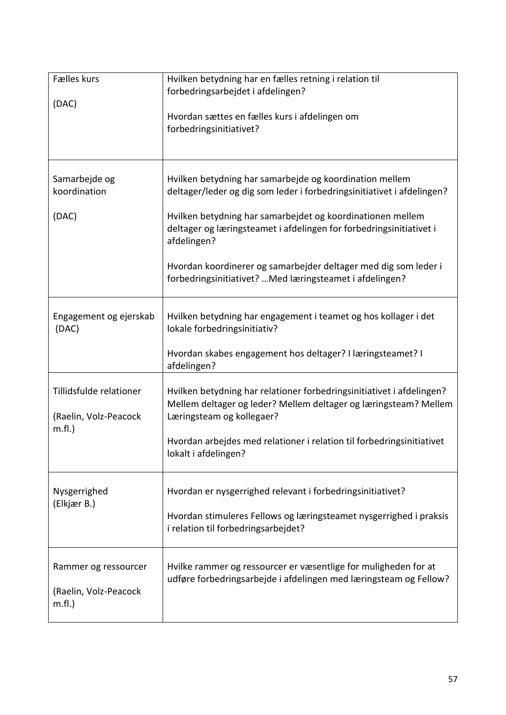| Fælles kurs<br>(DAC)                                         | Hvilken betydning har en fælles retning i relation til<br>forbedringsarbejdet i afdelingen?<br>Hvordan sættes en fælles kurs i afdelingen om<br>forbedringsinitiativet?                                                                                                                                                                                                                                              |  |  |
|--------------------------------------------------------------|----------------------------------------------------------------------------------------------------------------------------------------------------------------------------------------------------------------------------------------------------------------------------------------------------------------------------------------------------------------------------------------------------------------------|--|--|
| Samarbejde og<br>koordination<br>(DAC)                       | Hvilken betydning har samarbejde og koordination mellem<br>deltager/leder og dig som leder i forbedringsinitiativet i afdelingen?<br>Hvilken betydning har samarbejdet og koordinationen mellem<br>deltager og læringsteamet i afdelingen for forbedringsinitiativet i<br>afdelingen?<br>Hvordan koordinerer og samarbejder deltager med dig som leder i<br>forbedringsinitiativet?  Med læringsteamet i afdelingen? |  |  |
| Engagement og ejerskab<br>(DAC)                              | Hvilken betydning har engagement i teamet og hos kollager i det<br>lokale forbedringsinitiativ?<br>Hvordan skabes engagement hos deltager? I læringsteamet? I<br>afdelingen?                                                                                                                                                                                                                                         |  |  |
| Tillidsfulde relationer<br>(Raelin, Volz-Peacock<br>$m.f.$ ) | Hvilken betydning har relationer forbedringsinitiativet i afdelingen?<br>Mellem deltager og leder? Mellem deltager og læringsteam? Mellem<br>Læringsteam og kollegaer?<br>Hvordan arbejdes med relationer i relation til forbedringsinitiativet<br>lokalt i afdelingen?                                                                                                                                              |  |  |
| Nysgerrighed<br>(Elkjær B.)                                  | Hvordan er nysgerrighed relevant i forbedringsinitiativet?<br>Hvordan stimuleres Fellows og læringsteamet nysgerrighed i praksis<br>i relation til forbedringsarbejdet?                                                                                                                                                                                                                                              |  |  |
| Rammer og ressourcer<br>(Raelin, Volz-Peacock<br>$m.f.$ )    | Hvilke rammer og ressourcer er væsentlige for muligheden for at<br>udføre forbedringsarbejde i afdelingen med læringsteam og Fellow?                                                                                                                                                                                                                                                                                 |  |  |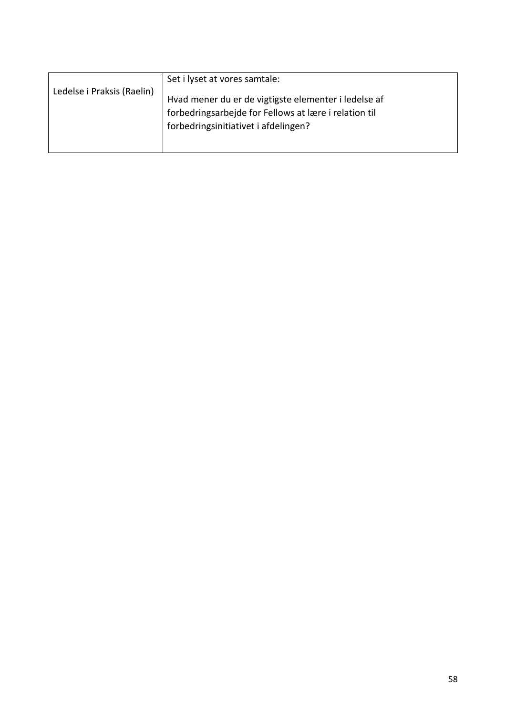|                                      | Set i lyset at vores samtale:                         |
|--------------------------------------|-------------------------------------------------------|
| Ledelse i Praksis (Raelin)           | Hvad mener du er de vigtigste elementer i ledelse af  |
|                                      | forbedringsarbejde for Fellows at lære i relation til |
| forbedringsinitiativet i afdelingen? |                                                       |
|                                      |                                                       |